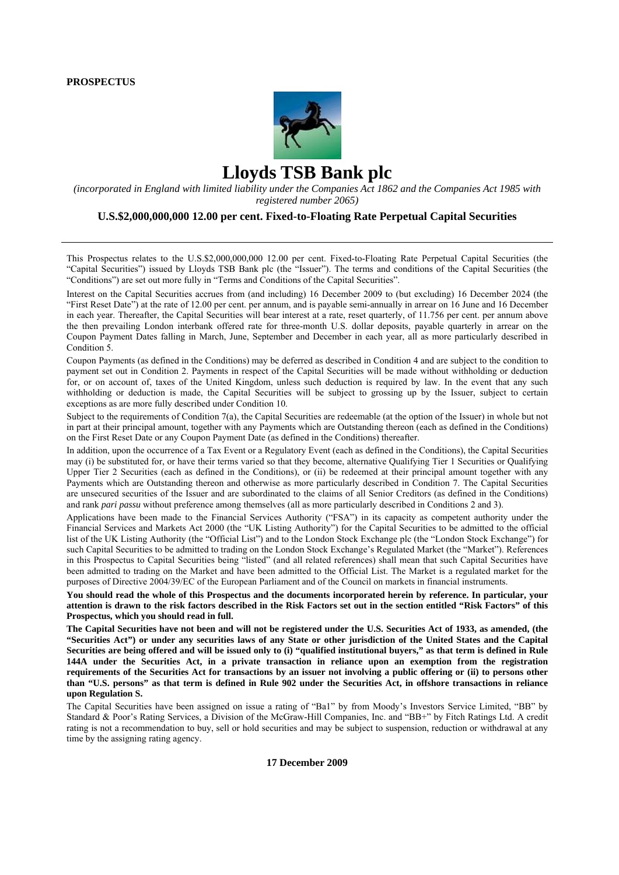

# **Lloyds TSB Bank plc**

*(incorporated in England with limited liability under the Companies Act 1862 and the Companies Act 1985 with registered number 2065)* 

#### **U.S.\$2,000,000,000 12.00 per cent. Fixed-to-Floating Rate Perpetual Capital Securities**

This Prospectus relates to the U.S.\$2,000,000,000 12.00 per cent. Fixed-to-Floating Rate Perpetual Capital Securities (the "Capital Securities") issued by Lloyds TSB Bank plc (the "Issuer"). The terms and conditions of the Capital Securities (the "Conditions") are set out more fully in "Terms and Conditions of the Capital Securities".

Interest on the Capital Securities accrues from (and including) 16 December 2009 to (but excluding) 16 December 2024 (the "First Reset Date") at the rate of 12.00 per cent. per annum, and is payable semi-annually in arrear on 16 June and 16 December in each year. Thereafter, the Capital Securities will bear interest at a rate, reset quarterly, of 11.756 per cent. per annum above the then prevailing London interbank offered rate for three-month U.S. dollar deposits, payable quarterly in arrear on the Coupon Payment Dates falling in March, June, September and December in each year, all as more particularly described in Condition 5.

Coupon Payments (as defined in the Conditions) may be deferred as described in Condition 4 and are subject to the condition to payment set out in Condition 2. Payments in respect of the Capital Securities will be made without withholding or deduction for, or on account of, taxes of the United Kingdom, unless such deduction is required by law. In the event that any such withholding or deduction is made, the Capital Securities will be subject to grossing up by the Issuer, subject to certain exceptions as are more fully described under Condition 10.

Subject to the requirements of Condition 7(a), the Capital Securities are redeemable (at the option of the Issuer) in whole but not in part at their principal amount, together with any Payments which are Outstanding thereon (each as defined in the Conditions) on the First Reset Date or any Coupon Payment Date (as defined in the Conditions) thereafter.

In addition, upon the occurrence of a Tax Event or a Regulatory Event (each as defined in the Conditions), the Capital Securities may (i) be substituted for, or have their terms varied so that they become, alternative Qualifying Tier 1 Securities or Qualifying Upper Tier 2 Securities (each as defined in the Conditions), or (ii) be redeemed at their principal amount together with any Payments which are Outstanding thereon and otherwise as more particularly described in Condition 7. The Capital Securities are unsecured securities of the Issuer and are subordinated to the claims of all Senior Creditors (as defined in the Conditions) and rank *pari passu* without preference among themselves (all as more particularly described in Conditions 2 and 3).

Applications have been made to the Financial Services Authority ("FSA") in its capacity as competent authority under the Financial Services and Markets Act 2000 (the "UK Listing Authority") for the Capital Securities to be admitted to the official list of the UK Listing Authority (the "Official List") and to the London Stock Exchange plc (the "London Stock Exchange") for such Capital Securities to be admitted to trading on the London Stock Exchange's Regulated Market (the "Market"). References in this Prospectus to Capital Securities being "listed" (and all related references) shall mean that such Capital Securities have been admitted to trading on the Market and have been admitted to the Official List. The Market is a regulated market for the purposes of Directive 2004/39/EC of the European Parliament and of the Council on markets in financial instruments.

**You should read the whole of this Prospectus and the documents incorporated herein by reference. In particular, your attention is drawn to the risk factors described in the Risk Factors set out in the section entitled "Risk Factors" of this Prospectus, which you should read in full.** 

**The Capital Securities have not been and will not be registered under the U.S. Securities Act of 1933, as amended, (the "Securities Act") or under any securities laws of any State or other jurisdiction of the United States and the Capital Securities are being offered and will be issued only to (i) "qualified institutional buyers," as that term is defined in Rule 144A under the Securities Act, in a private transaction in reliance upon an exemption from the registration requirements of the Securities Act for transactions by an issuer not involving a public offering or (ii) to persons other than "U.S. persons" as that term is defined in Rule 902 under the Securities Act, in offshore transactions in reliance upon Regulation S.**

The Capital Securities have been assigned on issue a rating of "Ba1" by from Moody's Investors Service Limited, "BB" by Standard & Poor's Rating Services, a Division of the McGraw-Hill Companies, Inc. and "BB+" by Fitch Ratings Ltd. A credit rating is not a recommendation to buy, sell or hold securities and may be subject to suspension, reduction or withdrawal at any time by the assigning rating agency.

**17 December 2009**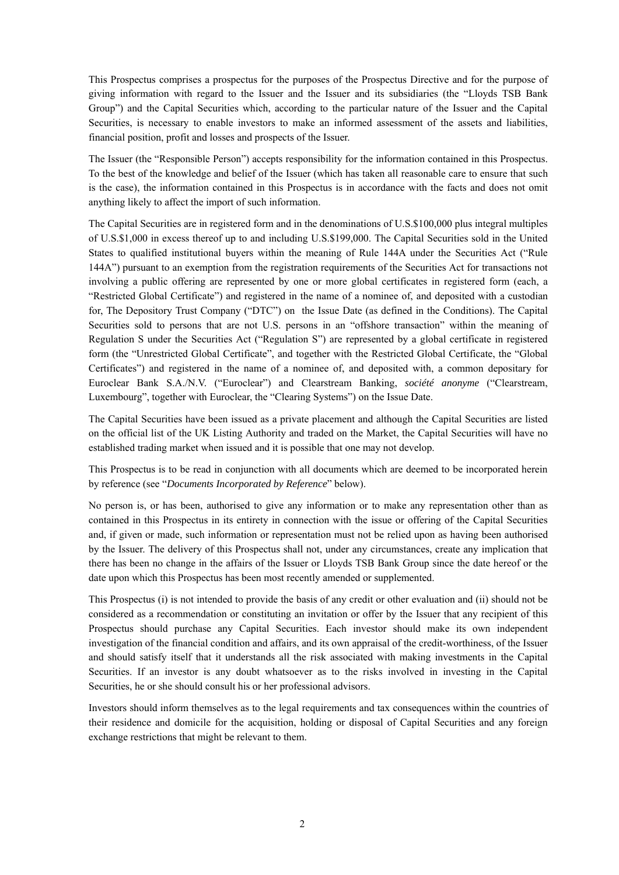This Prospectus comprises a prospectus for the purposes of the Prospectus Directive and for the purpose of giving information with regard to the Issuer and the Issuer and its subsidiaries (the "Lloyds TSB Bank Group") and the Capital Securities which, according to the particular nature of the Issuer and the Capital Securities, is necessary to enable investors to make an informed assessment of the assets and liabilities, financial position, profit and losses and prospects of the Issuer.

The Issuer (the "Responsible Person") accepts responsibility for the information contained in this Prospectus. To the best of the knowledge and belief of the Issuer (which has taken all reasonable care to ensure that such is the case), the information contained in this Prospectus is in accordance with the facts and does not omit anything likely to affect the import of such information.

The Capital Securities are in registered form and in the denominations of U.S.\$100,000 plus integral multiples of U.S.\$1,000 in excess thereof up to and including U.S.\$199,000. The Capital Securities sold in the United States to qualified institutional buyers within the meaning of Rule 144A under the Securities Act ("Rule 144A") pursuant to an exemption from the registration requirements of the Securities Act for transactions not involving a public offering are represented by one or more global certificates in registered form (each, a "Restricted Global Certificate") and registered in the name of a nominee of, and deposited with a custodian for, The Depository Trust Company ("DTC") on the Issue Date (as defined in the Conditions). The Capital Securities sold to persons that are not U.S. persons in an "offshore transaction" within the meaning of Regulation S under the Securities Act ("Regulation S") are represented by a global certificate in registered form (the "Unrestricted Global Certificate", and together with the Restricted Global Certificate, the "Global Certificates") and registered in the name of a nominee of, and deposited with, a common depositary for Euroclear Bank S.A./N.V. ("Euroclear") and Clearstream Banking, *société anonyme* ("Clearstream, Luxembourg", together with Euroclear, the "Clearing Systems") on the Issue Date.

The Capital Securities have been issued as a private placement and although the Capital Securities are listed on the official list of the UK Listing Authority and traded on the Market, the Capital Securities will have no established trading market when issued and it is possible that one may not develop.

This Prospectus is to be read in conjunction with all documents which are deemed to be incorporated herein by reference (see "*Documents Incorporated by Reference*" below).

No person is, or has been, authorised to give any information or to make any representation other than as contained in this Prospectus in its entirety in connection with the issue or offering of the Capital Securities and, if given or made, such information or representation must not be relied upon as having been authorised by the Issuer. The delivery of this Prospectus shall not, under any circumstances, create any implication that there has been no change in the affairs of the Issuer or Lloyds TSB Bank Group since the date hereof or the date upon which this Prospectus has been most recently amended or supplemented.

This Prospectus (i) is not intended to provide the basis of any credit or other evaluation and (ii) should not be considered as a recommendation or constituting an invitation or offer by the Issuer that any recipient of this Prospectus should purchase any Capital Securities. Each investor should make its own independent investigation of the financial condition and affairs, and its own appraisal of the credit-worthiness, of the Issuer and should satisfy itself that it understands all the risk associated with making investments in the Capital Securities. If an investor is any doubt whatsoever as to the risks involved in investing in the Capital Securities, he or she should consult his or her professional advisors.

Investors should inform themselves as to the legal requirements and tax consequences within the countries of their residence and domicile for the acquisition, holding or disposal of Capital Securities and any foreign exchange restrictions that might be relevant to them.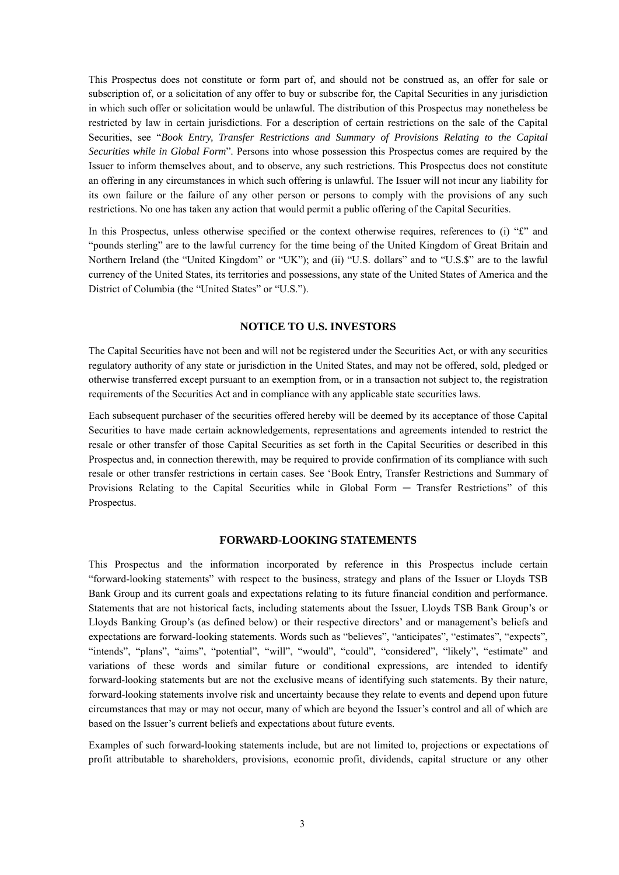This Prospectus does not constitute or form part of, and should not be construed as, an offer for sale or subscription of, or a solicitation of any offer to buy or subscribe for, the Capital Securities in any jurisdiction in which such offer or solicitation would be unlawful. The distribution of this Prospectus may nonetheless be restricted by law in certain jurisdictions. For a description of certain restrictions on the sale of the Capital Securities, see "*Book Entry, Transfer Restrictions and Summary of Provisions Relating to the Capital Securities while in Global Form*". Persons into whose possession this Prospectus comes are required by the Issuer to inform themselves about, and to observe, any such restrictions. This Prospectus does not constitute an offering in any circumstances in which such offering is unlawful. The Issuer will not incur any liability for its own failure or the failure of any other person or persons to comply with the provisions of any such restrictions. No one has taken any action that would permit a public offering of the Capital Securities.

In this Prospectus, unless otherwise specified or the context otherwise requires, references to (i) " $\mathbf{f}$ " and "pounds sterling" are to the lawful currency for the time being of the United Kingdom of Great Britain and Northern Ireland (the "United Kingdom" or "UK"); and (ii) "U.S. dollars" and to "U.S.\$" are to the lawful currency of the United States, its territories and possessions, any state of the United States of America and the District of Columbia (the "United States" or "U.S.").

# **NOTICE TO U.S. INVESTORS**

The Capital Securities have not been and will not be registered under the Securities Act, or with any securities regulatory authority of any state or jurisdiction in the United States, and may not be offered, sold, pledged or otherwise transferred except pursuant to an exemption from, or in a transaction not subject to, the registration requirements of the Securities Act and in compliance with any applicable state securities laws.

Each subsequent purchaser of the securities offered hereby will be deemed by its acceptance of those Capital Securities to have made certain acknowledgements, representations and agreements intended to restrict the resale or other transfer of those Capital Securities as set forth in the Capital Securities or described in this Prospectus and, in connection therewith, may be required to provide confirmation of its compliance with such resale or other transfer restrictions in certain cases. See 'Book Entry, Transfer Restrictions and Summary of Provisions Relating to the Capital Securities while in Global Form ─ Transfer Restrictions" of this Prospectus.

# **FORWARD-LOOKING STATEMENTS**

This Prospectus and the information incorporated by reference in this Prospectus include certain "forward-looking statements" with respect to the business, strategy and plans of the Issuer or Lloyds TSB Bank Group and its current goals and expectations relating to its future financial condition and performance. Statements that are not historical facts, including statements about the Issuer, Lloyds TSB Bank Group's or Lloyds Banking Group's (as defined below) or their respective directors' and or management's beliefs and expectations are forward-looking statements. Words such as "believes", "anticipates", "estimates", "expects", "intends", "plans", "aims", "potential", "will", "would", "could", "considered", "likely", "estimate" and variations of these words and similar future or conditional expressions, are intended to identify forward-looking statements but are not the exclusive means of identifying such statements. By their nature, forward-looking statements involve risk and uncertainty because they relate to events and depend upon future circumstances that may or may not occur, many of which are beyond the Issuer's control and all of which are based on the Issuer's current beliefs and expectations about future events.

Examples of such forward-looking statements include, but are not limited to, projections or expectations of profit attributable to shareholders, provisions, economic profit, dividends, capital structure or any other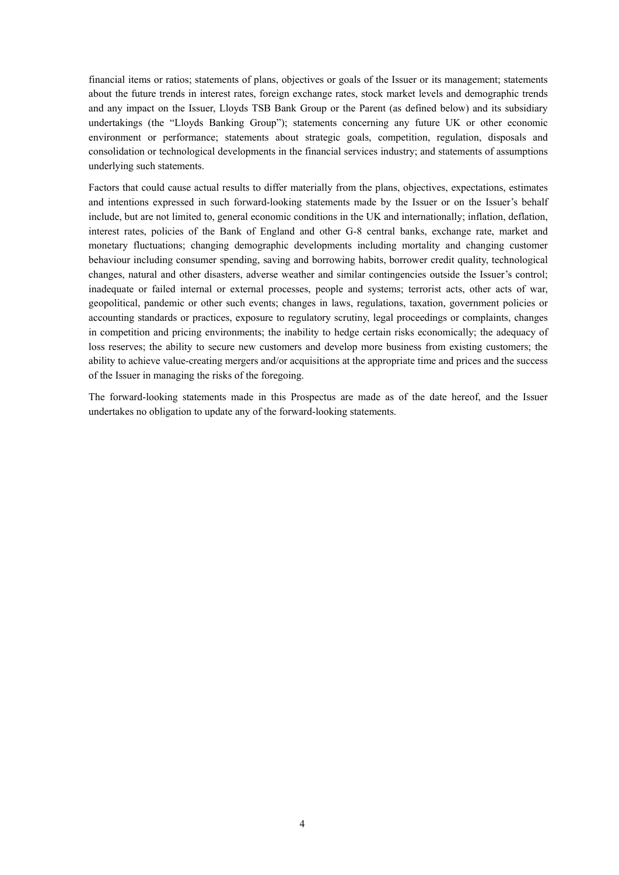financial items or ratios; statements of plans, objectives or goals of the Issuer or its management; statements about the future trends in interest rates, foreign exchange rates, stock market levels and demographic trends and any impact on the Issuer, Lloyds TSB Bank Group or the Parent (as defined below) and its subsidiary undertakings (the "Lloyds Banking Group"); statements concerning any future UK or other economic environment or performance; statements about strategic goals, competition, regulation, disposals and consolidation or technological developments in the financial services industry; and statements of assumptions underlying such statements.

Factors that could cause actual results to differ materially from the plans, objectives, expectations, estimates and intentions expressed in such forward-looking statements made by the Issuer or on the Issuer's behalf include, but are not limited to, general economic conditions in the UK and internationally; inflation, deflation, interest rates, policies of the Bank of England and other G-8 central banks, exchange rate, market and monetary fluctuations; changing demographic developments including mortality and changing customer behaviour including consumer spending, saving and borrowing habits, borrower credit quality, technological changes, natural and other disasters, adverse weather and similar contingencies outside the Issuer's control; inadequate or failed internal or external processes, people and systems; terrorist acts, other acts of war, geopolitical, pandemic or other such events; changes in laws, regulations, taxation, government policies or accounting standards or practices, exposure to regulatory scrutiny, legal proceedings or complaints, changes in competition and pricing environments; the inability to hedge certain risks economically; the adequacy of loss reserves; the ability to secure new customers and develop more business from existing customers; the ability to achieve value-creating mergers and/or acquisitions at the appropriate time and prices and the success of the Issuer in managing the risks of the foregoing.

The forward-looking statements made in this Prospectus are made as of the date hereof, and the Issuer undertakes no obligation to update any of the forward-looking statements.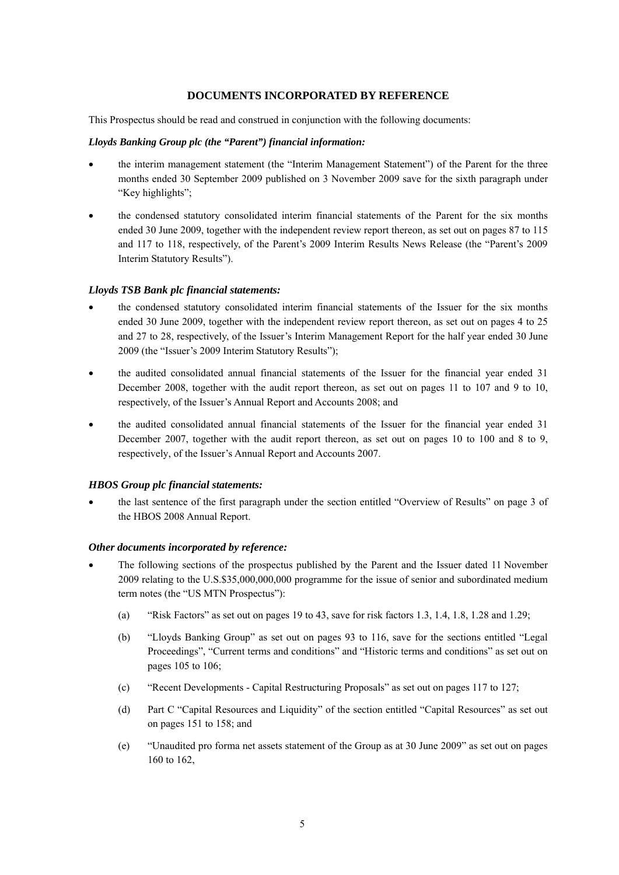# **DOCUMENTS INCORPORATED BY REFERENCE**

This Prospectus should be read and construed in conjunction with the following documents:

#### *Lloyds Banking Group plc (the "Parent") financial information:*

- the interim management statement (the "Interim Management Statement") of the Parent for the three months ended 30 September 2009 published on 3 November 2009 save for the sixth paragraph under "Key highlights";
- the condensed statutory consolidated interim financial statements of the Parent for the six months ended 30 June 2009, together with the independent review report thereon, as set out on pages 87 to 115 and 117 to 118, respectively, of the Parent's 2009 Interim Results News Release (the "Parent's 2009 Interim Statutory Results").

#### *Lloyds TSB Bank plc financial statements:*

- the condensed statutory consolidated interim financial statements of the Issuer for the six months ended 30 June 2009, together with the independent review report thereon, as set out on pages 4 to 25 and 27 to 28, respectively, of the Issuer's Interim Management Report for the half year ended 30 June 2009 (the "Issuer's 2009 Interim Statutory Results");
- the audited consolidated annual financial statements of the Issuer for the financial year ended 31 December 2008, together with the audit report thereon, as set out on pages 11 to 107 and 9 to 10, respectively, of the Issuer's Annual Report and Accounts 2008; and
- the audited consolidated annual financial statements of the Issuer for the financial year ended 31 December 2007, together with the audit report thereon, as set out on pages 10 to 100 and 8 to 9, respectively, of the Issuer's Annual Report and Accounts 2007.

#### *HBOS Group plc financial statements:*

• the last sentence of the first paragraph under the section entitled "Overview of Results" on page 3 of the HBOS 2008 Annual Report.

#### *Other documents incorporated by reference:*

- The following sections of the prospectus published by the Parent and the Issuer dated 11 November 2009 relating to the U.S.\$35,000,000,000 programme for the issue of senior and subordinated medium term notes (the "US MTN Prospectus"):
	- (a) "Risk Factors" as set out on pages 19 to 43, save for risk factors 1.3, 1.4, 1.8, 1.28 and 1.29;
	- (b) "Lloyds Banking Group" as set out on pages 93 to 116, save for the sections entitled "Legal Proceedings", "Current terms and conditions" and "Historic terms and conditions" as set out on pages 105 to 106;
	- (c) "Recent Developments Capital Restructuring Proposals" as set out on pages 117 to 127;
	- (d) Part C "Capital Resources and Liquidity" of the section entitled "Capital Resources" as set out on pages 151 to 158; and
	- (e) "Unaudited pro forma net assets statement of the Group as at 30 June 2009" as set out on pages 160 to 162,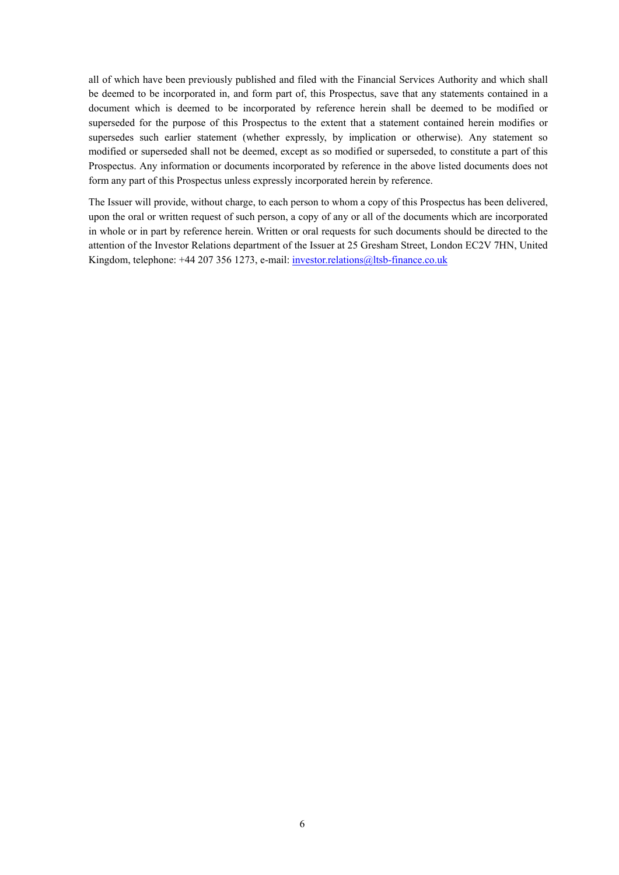all of which have been previously published and filed with the Financial Services Authority and which shall be deemed to be incorporated in, and form part of, this Prospectus, save that any statements contained in a document which is deemed to be incorporated by reference herein shall be deemed to be modified or superseded for the purpose of this Prospectus to the extent that a statement contained herein modifies or supersedes such earlier statement (whether expressly, by implication or otherwise). Any statement so modified or superseded shall not be deemed, except as so modified or superseded, to constitute a part of this Prospectus. Any information or documents incorporated by reference in the above listed documents does not form any part of this Prospectus unless expressly incorporated herein by reference.

The Issuer will provide, without charge, to each person to whom a copy of this Prospectus has been delivered, upon the oral or written request of such person, a copy of any or all of the documents which are incorporated in whole or in part by reference herein. Written or oral requests for such documents should be directed to the attention of the Investor Relations department of the Issuer at 25 Gresham Street, London EC2V 7HN, United Kingdom, telephone: +44 207 356 1273, e-mail: investor.relations@ltsb-finance.co.uk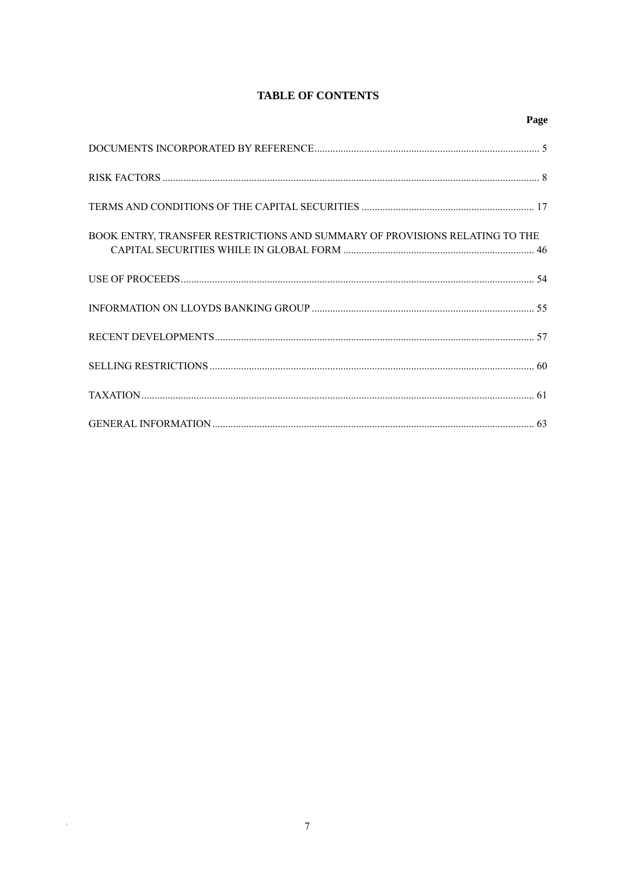# **TABLE OF CONTENTS**

| BOOK ENTRY, TRANSFER RESTRICTIONS AND SUMMARY OF PROVISIONS RELATING TO THE |  |
|-----------------------------------------------------------------------------|--|
|                                                                             |  |
|                                                                             |  |
|                                                                             |  |
|                                                                             |  |
|                                                                             |  |
|                                                                             |  |

 $\mathcal{O}(\mathcal{O}_\mathcal{O})$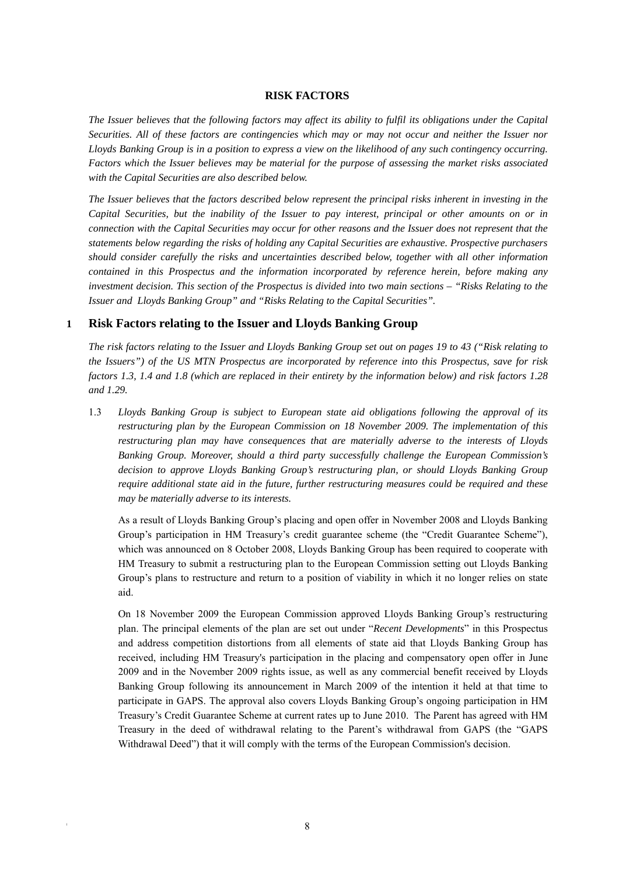#### **RISK FACTORS**

*The Issuer believes that the following factors may affect its ability to fulfil its obligations under the Capital Securities. All of these factors are contingencies which may or may not occur and neither the Issuer nor Lloyds Banking Group is in a position to express a view on the likelihood of any such contingency occurring. Factors which the Issuer believes may be material for the purpose of assessing the market risks associated with the Capital Securities are also described below.* 

*The Issuer believes that the factors described below represent the principal risks inherent in investing in the Capital Securities, but the inability of the Issuer to pay interest, principal or other amounts on or in connection with the Capital Securities may occur for other reasons and the Issuer does not represent that the statements below regarding the risks of holding any Capital Securities are exhaustive. Prospective purchasers should consider carefully the risks and uncertainties described below, together with all other information contained in this Prospectus and the information incorporated by reference herein, before making any investment decision. This section of the Prospectus is divided into two main sections – "Risks Relating to the Issuer and Lloyds Banking Group" and "Risks Relating to the Capital Securities".* 

# **1 Risk Factors relating to the Issuer and Lloyds Banking Group**

*The risk factors relating to the Issuer and Lloyds Banking Group set out on pages 19 to 43 ("Risk relating to the Issuers") of the US MTN Prospectus are incorporated by reference into this Prospectus, save for risk factors 1.3, 1.4 and 1.8 (which are replaced in their entirety by the information below) and risk factors 1.28 and 1.29.* 

1.3 *Lloyds Banking Group is subject to European state aid obligations following the approval of its restructuring plan by the European Commission on 18 November 2009. The implementation of this restructuring plan may have consequences that are materially adverse to the interests of Lloyds Banking Group. Moreover, should a third party successfully challenge the European Commission's decision to approve Lloyds Banking Group's restructuring plan, or should Lloyds Banking Group require additional state aid in the future, further restructuring measures could be required and these may be materially adverse to its interests.* 

As a result of Lloyds Banking Group's placing and open offer in November 2008 and Lloyds Banking Group's participation in HM Treasury's credit guarantee scheme (the "Credit Guarantee Scheme"), which was announced on 8 October 2008, Lloyds Banking Group has been required to cooperate with HM Treasury to submit a restructuring plan to the European Commission setting out Lloyds Banking Group's plans to restructure and return to a position of viability in which it no longer relies on state aid.

On 18 November 2009 the European Commission approved Lloyds Banking Group's restructuring plan. The principal elements of the plan are set out under "*Recent Developments*" in this Prospectus and address competition distortions from all elements of state aid that Lloyds Banking Group has received, including HM Treasury's participation in the placing and compensatory open offer in June 2009 and in the November 2009 rights issue, as well as any commercial benefit received by Lloyds Banking Group following its announcement in March 2009 of the intention it held at that time to participate in GAPS. The approval also covers Lloyds Banking Group's ongoing participation in HM Treasury's Credit Guarantee Scheme at current rates up to June 2010. The Parent has agreed with HM Treasury in the deed of withdrawal relating to the Parent's withdrawal from GAPS (the "GAPS Withdrawal Deed") that it will comply with the terms of the European Commission's decision.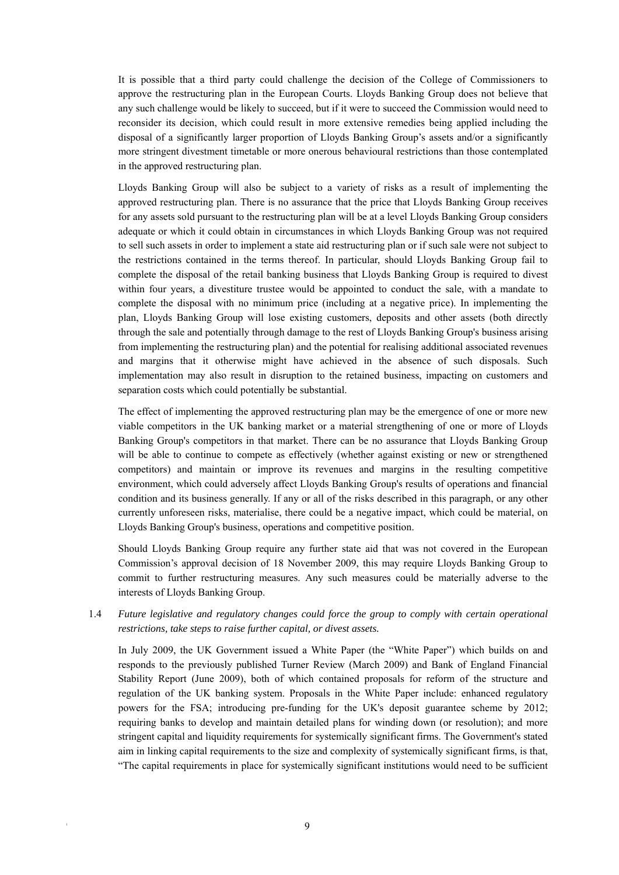It is possible that a third party could challenge the decision of the College of Commissioners to approve the restructuring plan in the European Courts. Lloyds Banking Group does not believe that any such challenge would be likely to succeed, but if it were to succeed the Commission would need to reconsider its decision, which could result in more extensive remedies being applied including the disposal of a significantly larger proportion of Lloyds Banking Group's assets and/or a significantly more stringent divestment timetable or more onerous behavioural restrictions than those contemplated in the approved restructuring plan.

Lloyds Banking Group will also be subject to a variety of risks as a result of implementing the approved restructuring plan. There is no assurance that the price that Lloyds Banking Group receives for any assets sold pursuant to the restructuring plan will be at a level Lloyds Banking Group considers adequate or which it could obtain in circumstances in which Lloyds Banking Group was not required to sell such assets in order to implement a state aid restructuring plan or if such sale were not subject to the restrictions contained in the terms thereof. In particular, should Lloyds Banking Group fail to complete the disposal of the retail banking business that Lloyds Banking Group is required to divest within four years, a divestiture trustee would be appointed to conduct the sale, with a mandate to complete the disposal with no minimum price (including at a negative price). In implementing the plan, Lloyds Banking Group will lose existing customers, deposits and other assets (both directly through the sale and potentially through damage to the rest of Lloyds Banking Group's business arising from implementing the restructuring plan) and the potential for realising additional associated revenues and margins that it otherwise might have achieved in the absence of such disposals. Such implementation may also result in disruption to the retained business, impacting on customers and separation costs which could potentially be substantial.

The effect of implementing the approved restructuring plan may be the emergence of one or more new viable competitors in the UK banking market or a material strengthening of one or more of Lloyds Banking Group's competitors in that market. There can be no assurance that Lloyds Banking Group will be able to continue to compete as effectively (whether against existing or new or strengthened competitors) and maintain or improve its revenues and margins in the resulting competitive environment, which could adversely affect Lloyds Banking Group's results of operations and financial condition and its business generally. If any or all of the risks described in this paragraph, or any other currently unforeseen risks, materialise, there could be a negative impact, which could be material, on Lloyds Banking Group's business, operations and competitive position.

Should Lloyds Banking Group require any further state aid that was not covered in the European Commission's approval decision of 18 November 2009, this may require Lloyds Banking Group to commit to further restructuring measures. Any such measures could be materially adverse to the interests of Lloyds Banking Group.

1.4 *Future legislative and regulatory changes could force the group to comply with certain operational restrictions, take steps to raise further capital, or divest assets.*

In July 2009, the UK Government issued a White Paper (the "White Paper") which builds on and responds to the previously published Turner Review (March 2009) and Bank of England Financial Stability Report (June 2009), both of which contained proposals for reform of the structure and regulation of the UK banking system. Proposals in the White Paper include: enhanced regulatory powers for the FSA; introducing pre-funding for the UK's deposit guarantee scheme by 2012; requiring banks to develop and maintain detailed plans for winding down (or resolution); and more stringent capital and liquidity requirements for systemically significant firms. The Government's stated aim in linking capital requirements to the size and complexity of systemically significant firms, is that, "The capital requirements in place for systemically significant institutions would need to be sufficient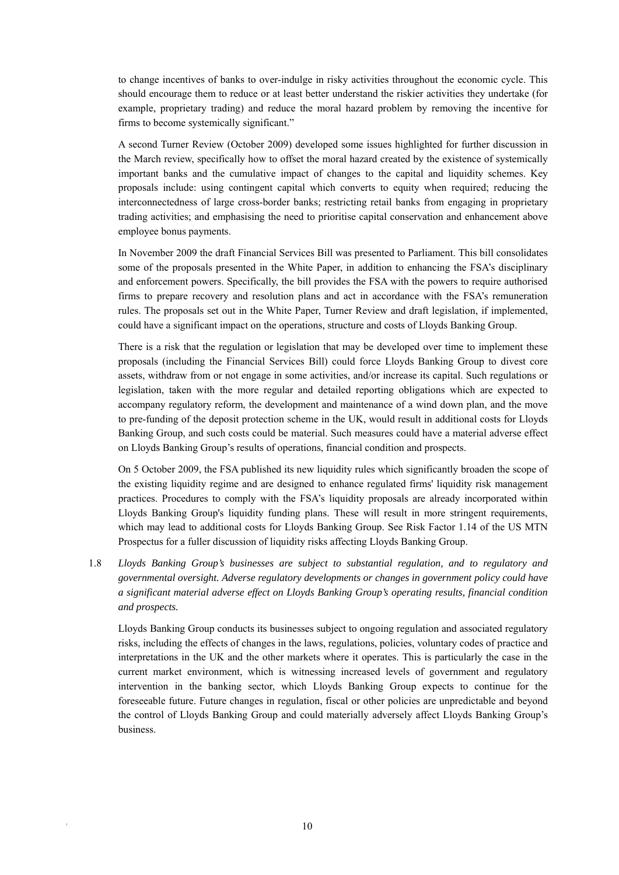to change incentives of banks to over-indulge in risky activities throughout the economic cycle. This should encourage them to reduce or at least better understand the riskier activities they undertake (for example, proprietary trading) and reduce the moral hazard problem by removing the incentive for firms to become systemically significant."

A second Turner Review (October 2009) developed some issues highlighted for further discussion in the March review, specifically how to offset the moral hazard created by the existence of systemically important banks and the cumulative impact of changes to the capital and liquidity schemes. Key proposals include: using contingent capital which converts to equity when required; reducing the interconnectedness of large cross-border banks; restricting retail banks from engaging in proprietary trading activities; and emphasising the need to prioritise capital conservation and enhancement above employee bonus payments.

In November 2009 the draft Financial Services Bill was presented to Parliament. This bill consolidates some of the proposals presented in the White Paper, in addition to enhancing the FSA's disciplinary and enforcement powers. Specifically, the bill provides the FSA with the powers to require authorised firms to prepare recovery and resolution plans and act in accordance with the FSA's remuneration rules. The proposals set out in the White Paper, Turner Review and draft legislation, if implemented, could have a significant impact on the operations, structure and costs of Lloyds Banking Group.

There is a risk that the regulation or legislation that may be developed over time to implement these proposals (including the Financial Services Bill) could force Lloyds Banking Group to divest core assets, withdraw from or not engage in some activities, and/or increase its capital. Such regulations or legislation, taken with the more regular and detailed reporting obligations which are expected to accompany regulatory reform, the development and maintenance of a wind down plan, and the move to pre-funding of the deposit protection scheme in the UK, would result in additional costs for Lloyds Banking Group, and such costs could be material. Such measures could have a material adverse effect on Lloyds Banking Group's results of operations, financial condition and prospects.

On 5 October 2009, the FSA published its new liquidity rules which significantly broaden the scope of the existing liquidity regime and are designed to enhance regulated firms' liquidity risk management practices. Procedures to comply with the FSA's liquidity proposals are already incorporated within Lloyds Banking Group's liquidity funding plans. These will result in more stringent requirements, which may lead to additional costs for Lloyds Banking Group. See Risk Factor 1.14 of the US MTN Prospectus for a fuller discussion of liquidity risks affecting Lloyds Banking Group.

1.8 *Lloyds Banking Group's businesses are subject to substantial regulation, and to regulatory and governmental oversight. Adverse regulatory developments or changes in government policy could have a significant material adverse effect on Lloyds Banking Group's operating results, financial condition and prospects.*

Lloyds Banking Group conducts its businesses subject to ongoing regulation and associated regulatory risks, including the effects of changes in the laws, regulations, policies, voluntary codes of practice and interpretations in the UK and the other markets where it operates. This is particularly the case in the current market environment, which is witnessing increased levels of government and regulatory intervention in the banking sector, which Lloyds Banking Group expects to continue for the foreseeable future. Future changes in regulation, fiscal or other policies are unpredictable and beyond the control of Lloyds Banking Group and could materially adversely affect Lloyds Banking Group's business.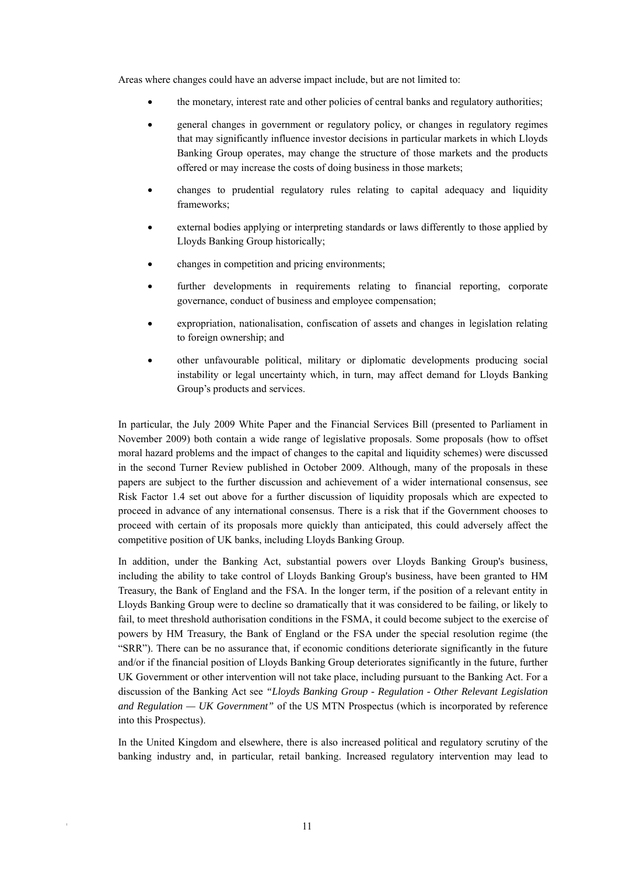Areas where changes could have an adverse impact include, but are not limited to:

- the monetary, interest rate and other policies of central banks and regulatory authorities;
- general changes in government or regulatory policy, or changes in regulatory regimes that may significantly influence investor decisions in particular markets in which Lloyds Banking Group operates, may change the structure of those markets and the products offered or may increase the costs of doing business in those markets;
- changes to prudential regulatory rules relating to capital adequacy and liquidity frameworks;
- external bodies applying or interpreting standards or laws differently to those applied by Lloyds Banking Group historically;
- changes in competition and pricing environments;
- further developments in requirements relating to financial reporting, corporate governance, conduct of business and employee compensation;
- expropriation, nationalisation, confiscation of assets and changes in legislation relating to foreign ownership; and
- other unfavourable political, military or diplomatic developments producing social instability or legal uncertainty which, in turn, may affect demand for Lloyds Banking Group's products and services.

In particular, the July 2009 White Paper and the Financial Services Bill (presented to Parliament in November 2009) both contain a wide range of legislative proposals. Some proposals (how to offset moral hazard problems and the impact of changes to the capital and liquidity schemes) were discussed in the second Turner Review published in October 2009. Although, many of the proposals in these papers are subject to the further discussion and achievement of a wider international consensus, see Risk Factor 1.4 set out above for a further discussion of liquidity proposals which are expected to proceed in advance of any international consensus. There is a risk that if the Government chooses to proceed with certain of its proposals more quickly than anticipated, this could adversely affect the competitive position of UK banks, including Lloyds Banking Group.

In addition, under the Banking Act, substantial powers over Lloyds Banking Group's business, including the ability to take control of Lloyds Banking Group's business, have been granted to HM Treasury, the Bank of England and the FSA. In the longer term, if the position of a relevant entity in Lloyds Banking Group were to decline so dramatically that it was considered to be failing, or likely to fail, to meet threshold authorisation conditions in the FSMA, it could become subject to the exercise of powers by HM Treasury, the Bank of England or the FSA under the special resolution regime (the "SRR"). There can be no assurance that, if economic conditions deteriorate significantly in the future and/or if the financial position of Lloyds Banking Group deteriorates significantly in the future, further UK Government or other intervention will not take place, including pursuant to the Banking Act. For a discussion of the Banking Act see *"Lloyds Banking Group - Regulation - Other Relevant Legislation and Regulation — UK Government"* of the US MTN Prospectus (which is incorporated by reference into this Prospectus).

In the United Kingdom and elsewhere, there is also increased political and regulatory scrutiny of the banking industry and, in particular, retail banking. Increased regulatory intervention may lead to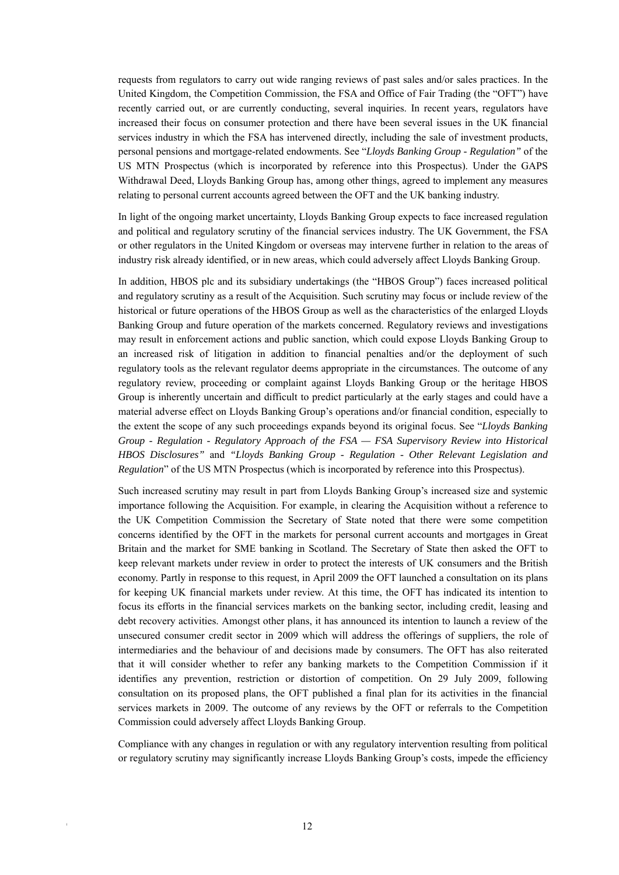requests from regulators to carry out wide ranging reviews of past sales and/or sales practices. In the United Kingdom, the Competition Commission, the FSA and Office of Fair Trading (the "OFT") have recently carried out, or are currently conducting, several inquiries. In recent years, regulators have increased their focus on consumer protection and there have been several issues in the UK financial services industry in which the FSA has intervened directly, including the sale of investment products, personal pensions and mortgage-related endowments. See "*Lloyds Banking Group - Regulation"* of the US MTN Prospectus (which is incorporated by reference into this Prospectus). Under the GAPS Withdrawal Deed, Lloyds Banking Group has, among other things, agreed to implement any measures relating to personal current accounts agreed between the OFT and the UK banking industry.

In light of the ongoing market uncertainty, Lloyds Banking Group expects to face increased regulation and political and regulatory scrutiny of the financial services industry. The UK Government, the FSA or other regulators in the United Kingdom or overseas may intervene further in relation to the areas of industry risk already identified, or in new areas, which could adversely affect Lloyds Banking Group.

In addition, HBOS plc and its subsidiary undertakings (the "HBOS Group") faces increased political and regulatory scrutiny as a result of the Acquisition. Such scrutiny may focus or include review of the historical or future operations of the HBOS Group as well as the characteristics of the enlarged Lloyds Banking Group and future operation of the markets concerned. Regulatory reviews and investigations may result in enforcement actions and public sanction, which could expose Lloyds Banking Group to an increased risk of litigation in addition to financial penalties and/or the deployment of such regulatory tools as the relevant regulator deems appropriate in the circumstances. The outcome of any regulatory review, proceeding or complaint against Lloyds Banking Group or the heritage HBOS Group is inherently uncertain and difficult to predict particularly at the early stages and could have a material adverse effect on Lloyds Banking Group's operations and/or financial condition, especially to the extent the scope of any such proceedings expands beyond its original focus. See "*Lloyds Banking Group - Regulation - Regulatory Approach of the FSA — FSA Supervisory Review into Historical HBOS Disclosures"* and *"Lloyds Banking Group - Regulation - Other Relevant Legislation and Regulation*" of the US MTN Prospectus (which is incorporated by reference into this Prospectus).

Such increased scrutiny may result in part from Lloyds Banking Group's increased size and systemic importance following the Acquisition. For example, in clearing the Acquisition without a reference to the UK Competition Commission the Secretary of State noted that there were some competition concerns identified by the OFT in the markets for personal current accounts and mortgages in Great Britain and the market for SME banking in Scotland. The Secretary of State then asked the OFT to keep relevant markets under review in order to protect the interests of UK consumers and the British economy. Partly in response to this request, in April 2009 the OFT launched a consultation on its plans for keeping UK financial markets under review. At this time, the OFT has indicated its intention to focus its efforts in the financial services markets on the banking sector, including credit, leasing and debt recovery activities. Amongst other plans, it has announced its intention to launch a review of the unsecured consumer credit sector in 2009 which will address the offerings of suppliers, the role of intermediaries and the behaviour of and decisions made by consumers. The OFT has also reiterated that it will consider whether to refer any banking markets to the Competition Commission if it identifies any prevention, restriction or distortion of competition. On 29 July 2009, following consultation on its proposed plans, the OFT published a final plan for its activities in the financial services markets in 2009. The outcome of any reviews by the OFT or referrals to the Competition Commission could adversely affect Lloyds Banking Group.

Compliance with any changes in regulation or with any regulatory intervention resulting from political or regulatory scrutiny may significantly increase Lloyds Banking Group's costs, impede the efficiency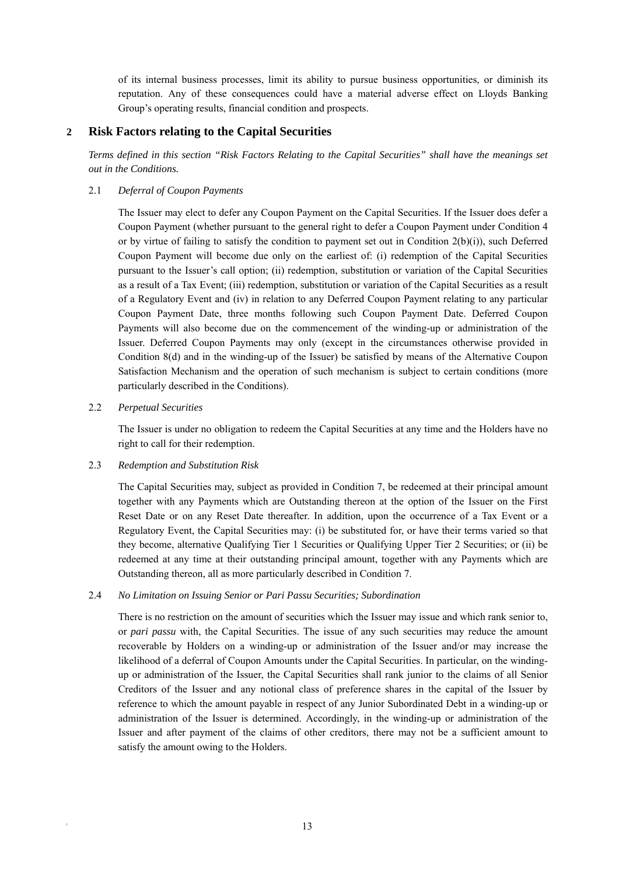of its internal business processes, limit its ability to pursue business opportunities, or diminish its reputation. Any of these consequences could have a material adverse effect on Lloyds Banking Group's operating results, financial condition and prospects.

# **2 Risk Factors relating to the Capital Securities**

*Terms defined in this section "Risk Factors Relating to the Capital Securities" shall have the meanings set out in the Conditions.* 

# 2.1 *Deferral of Coupon Payments*

The Issuer may elect to defer any Coupon Payment on the Capital Securities. If the Issuer does defer a Coupon Payment (whether pursuant to the general right to defer a Coupon Payment under Condition 4 or by virtue of failing to satisfy the condition to payment set out in Condition  $2(b)(i)$ , such Deferred Coupon Payment will become due only on the earliest of: (i) redemption of the Capital Securities pursuant to the Issuer's call option; (ii) redemption, substitution or variation of the Capital Securities as a result of a Tax Event; (iii) redemption, substitution or variation of the Capital Securities as a result of a Regulatory Event and (iv) in relation to any Deferred Coupon Payment relating to any particular Coupon Payment Date, three months following such Coupon Payment Date. Deferred Coupon Payments will also become due on the commencement of the winding-up or administration of the Issuer. Deferred Coupon Payments may only (except in the circumstances otherwise provided in Condition 8(d) and in the winding-up of the Issuer) be satisfied by means of the Alternative Coupon Satisfaction Mechanism and the operation of such mechanism is subject to certain conditions (more particularly described in the Conditions).

# 2.2 *Perpetual Securities*

The Issuer is under no obligation to redeem the Capital Securities at any time and the Holders have no right to call for their redemption.

# 2.3 *Redemption and Substitution Risk*

The Capital Securities may, subject as provided in Condition 7, be redeemed at their principal amount together with any Payments which are Outstanding thereon at the option of the Issuer on the First Reset Date or on any Reset Date thereafter. In addition, upon the occurrence of a Tax Event or a Regulatory Event, the Capital Securities may: (i) be substituted for, or have their terms varied so that they become, alternative Qualifying Tier 1 Securities or Qualifying Upper Tier 2 Securities; or (ii) be redeemed at any time at their outstanding principal amount, together with any Payments which are Outstanding thereon, all as more particularly described in Condition 7.

# 2.4 *No Limitation on Issuing Senior or Pari Passu Securities; Subordination*

There is no restriction on the amount of securities which the Issuer may issue and which rank senior to, or *pari passu* with, the Capital Securities. The issue of any such securities may reduce the amount recoverable by Holders on a winding-up or administration of the Issuer and/or may increase the likelihood of a deferral of Coupon Amounts under the Capital Securities. In particular, on the windingup or administration of the Issuer, the Capital Securities shall rank junior to the claims of all Senior Creditors of the Issuer and any notional class of preference shares in the capital of the Issuer by reference to which the amount payable in respect of any Junior Subordinated Debt in a winding-up or administration of the Issuer is determined. Accordingly, in the winding-up or administration of the Issuer and after payment of the claims of other creditors, there may not be a sufficient amount to satisfy the amount owing to the Holders.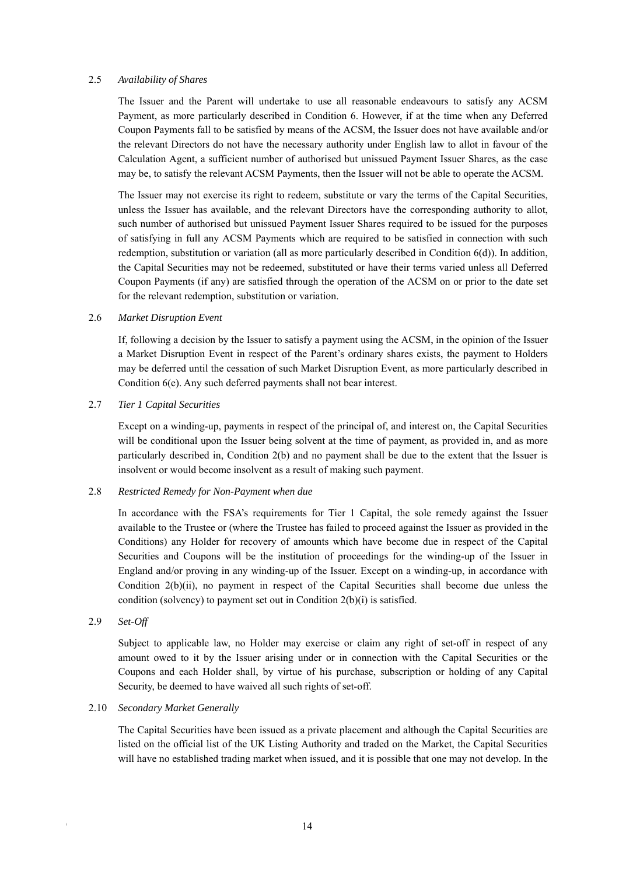#### 2.5 *Availability of Shares*

The Issuer and the Parent will undertake to use all reasonable endeavours to satisfy any ACSM Payment, as more particularly described in Condition 6. However, if at the time when any Deferred Coupon Payments fall to be satisfied by means of the ACSM, the Issuer does not have available and/or the relevant Directors do not have the necessary authority under English law to allot in favour of the Calculation Agent, a sufficient number of authorised but unissued Payment Issuer Shares, as the case may be, to satisfy the relevant ACSM Payments, then the Issuer will not be able to operate the ACSM.

The Issuer may not exercise its right to redeem, substitute or vary the terms of the Capital Securities, unless the Issuer has available, and the relevant Directors have the corresponding authority to allot, such number of authorised but unissued Payment Issuer Shares required to be issued for the purposes of satisfying in full any ACSM Payments which are required to be satisfied in connection with such redemption, substitution or variation (all as more particularly described in Condition  $6(d)$ ). In addition, the Capital Securities may not be redeemed, substituted or have their terms varied unless all Deferred Coupon Payments (if any) are satisfied through the operation of the ACSM on or prior to the date set for the relevant redemption, substitution or variation.

#### 2.6 *Market Disruption Event*

If, following a decision by the Issuer to satisfy a payment using the ACSM, in the opinion of the Issuer a Market Disruption Event in respect of the Parent's ordinary shares exists, the payment to Holders may be deferred until the cessation of such Market Disruption Event, as more particularly described in Condition 6(e). Any such deferred payments shall not bear interest.

# 2.7 *Tier 1 Capital Securities*

Except on a winding-up, payments in respect of the principal of, and interest on, the Capital Securities will be conditional upon the Issuer being solvent at the time of payment, as provided in, and as more particularly described in, Condition 2(b) and no payment shall be due to the extent that the Issuer is insolvent or would become insolvent as a result of making such payment.

#### 2.8 *Restricted Remedy for Non-Payment when due*

In accordance with the FSA's requirements for Tier 1 Capital, the sole remedy against the Issuer available to the Trustee or (where the Trustee has failed to proceed against the Issuer as provided in the Conditions) any Holder for recovery of amounts which have become due in respect of the Capital Securities and Coupons will be the institution of proceedings for the winding-up of the Issuer in England and/or proving in any winding-up of the Issuer. Except on a winding-up, in accordance with Condition 2(b)(ii), no payment in respect of the Capital Securities shall become due unless the condition (solvency) to payment set out in Condition 2(b)(i) is satisfied.

#### 2.9 *Set-Off*

Subject to applicable law, no Holder may exercise or claim any right of set-off in respect of any amount owed to it by the Issuer arising under or in connection with the Capital Securities or the Coupons and each Holder shall, by virtue of his purchase, subscription or holding of any Capital Security, be deemed to have waived all such rights of set-off.

#### 2.10 *Secondary Market Generally*

The Capital Securities have been issued as a private placement and although the Capital Securities are listed on the official list of the UK Listing Authority and traded on the Market, the Capital Securities will have no established trading market when issued, and it is possible that one may not develop. In the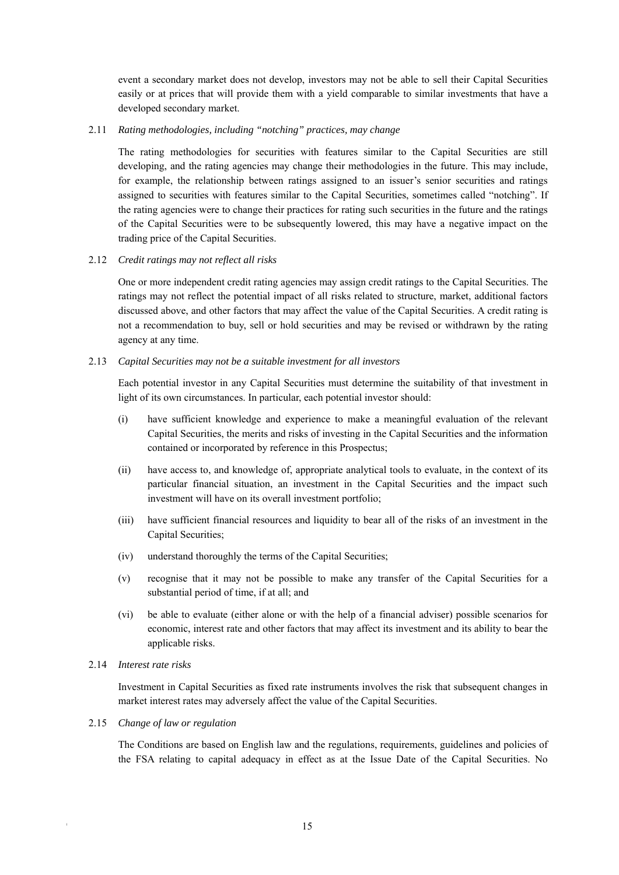event a secondary market does not develop, investors may not be able to sell their Capital Securities easily or at prices that will provide them with a yield comparable to similar investments that have a developed secondary market.

#### 2.11 *Rating methodologies, including "notching" practices, may change*

The rating methodologies for securities with features similar to the Capital Securities are still developing, and the rating agencies may change their methodologies in the future. This may include, for example, the relationship between ratings assigned to an issuer's senior securities and ratings assigned to securities with features similar to the Capital Securities, sometimes called "notching". If the rating agencies were to change their practices for rating such securities in the future and the ratings of the Capital Securities were to be subsequently lowered, this may have a negative impact on the trading price of the Capital Securities.

# 2.12 *Credit ratings may not reflect all risks*

One or more independent credit rating agencies may assign credit ratings to the Capital Securities. The ratings may not reflect the potential impact of all risks related to structure, market, additional factors discussed above, and other factors that may affect the value of the Capital Securities. A credit rating is not a recommendation to buy, sell or hold securities and may be revised or withdrawn by the rating agency at any time.

# 2.13 *Capital Securities may not be a suitable investment for all investors*

Each potential investor in any Capital Securities must determine the suitability of that investment in light of its own circumstances. In particular, each potential investor should:

- (i) have sufficient knowledge and experience to make a meaningful evaluation of the relevant Capital Securities, the merits and risks of investing in the Capital Securities and the information contained or incorporated by reference in this Prospectus;
- (ii) have access to, and knowledge of, appropriate analytical tools to evaluate, in the context of its particular financial situation, an investment in the Capital Securities and the impact such investment will have on its overall investment portfolio;
- (iii) have sufficient financial resources and liquidity to bear all of the risks of an investment in the Capital Securities;
- (iv) understand thoroughly the terms of the Capital Securities;
- (v) recognise that it may not be possible to make any transfer of the Capital Securities for a substantial period of time, if at all; and
- (vi) be able to evaluate (either alone or with the help of a financial adviser) possible scenarios for economic, interest rate and other factors that may affect its investment and its ability to bear the applicable risks.
- 2.14 *Interest rate risks*

Investment in Capital Securities as fixed rate instruments involves the risk that subsequent changes in market interest rates may adversely affect the value of the Capital Securities.

#### 2.15 *Change of law or regulation*

The Conditions are based on English law and the regulations, requirements, guidelines and policies of the FSA relating to capital adequacy in effect as at the Issue Date of the Capital Securities. No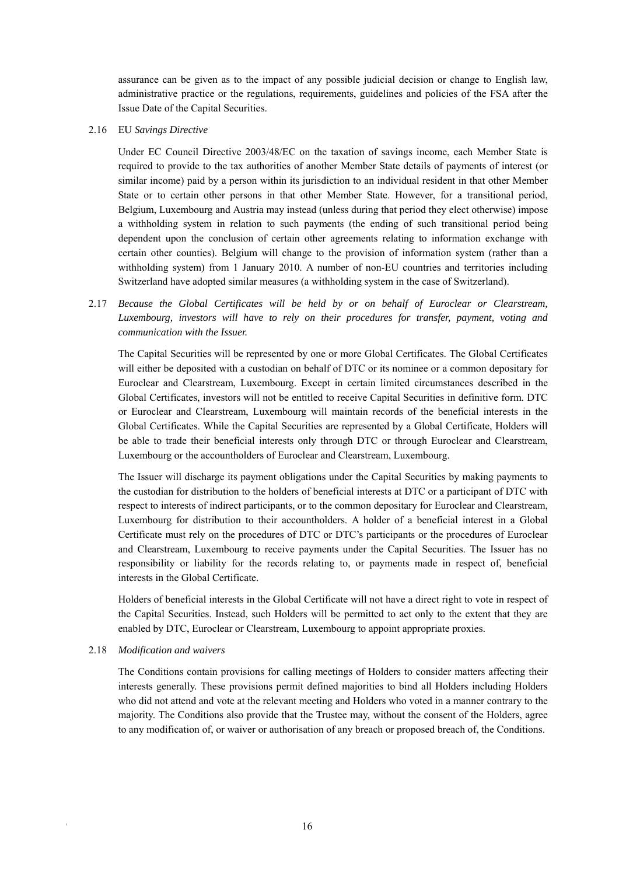assurance can be given as to the impact of any possible judicial decision or change to English law, administrative practice or the regulations, requirements, guidelines and policies of the FSA after the Issue Date of the Capital Securities.

2.16 EU *Savings Directive* 

Under EC Council Directive 2003/48/EC on the taxation of savings income, each Member State is required to provide to the tax authorities of another Member State details of payments of interest (or similar income) paid by a person within its jurisdiction to an individual resident in that other Member State or to certain other persons in that other Member State. However, for a transitional period, Belgium, Luxembourg and Austria may instead (unless during that period they elect otherwise) impose a withholding system in relation to such payments (the ending of such transitional period being dependent upon the conclusion of certain other agreements relating to information exchange with certain other counties). Belgium will change to the provision of information system (rather than a withholding system) from 1 January 2010. A number of non-EU countries and territories including Switzerland have adopted similar measures (a withholding system in the case of Switzerland).

2.17 *Because the Global Certificates will be held by or on behalf of Euroclear or Clearstream, Luxembourg, investors will have to rely on their procedures for transfer, payment, voting and communication with the Issuer.* 

The Capital Securities will be represented by one or more Global Certificates. The Global Certificates will either be deposited with a custodian on behalf of DTC or its nominee or a common depositary for Euroclear and Clearstream, Luxembourg. Except in certain limited circumstances described in the Global Certificates, investors will not be entitled to receive Capital Securities in definitive form. DTC or Euroclear and Clearstream, Luxembourg will maintain records of the beneficial interests in the Global Certificates. While the Capital Securities are represented by a Global Certificate, Holders will be able to trade their beneficial interests only through DTC or through Euroclear and Clearstream, Luxembourg or the accountholders of Euroclear and Clearstream, Luxembourg.

The Issuer will discharge its payment obligations under the Capital Securities by making payments to the custodian for distribution to the holders of beneficial interests at DTC or a participant of DTC with respect to interests of indirect participants, or to the common depositary for Euroclear and Clearstream, Luxembourg for distribution to their accountholders. A holder of a beneficial interest in a Global Certificate must rely on the procedures of DTC or DTC's participants or the procedures of Euroclear and Clearstream, Luxembourg to receive payments under the Capital Securities. The Issuer has no responsibility or liability for the records relating to, or payments made in respect of, beneficial interests in the Global Certificate.

Holders of beneficial interests in the Global Certificate will not have a direct right to vote in respect of the Capital Securities. Instead, such Holders will be permitted to act only to the extent that they are enabled by DTC, Euroclear or Clearstream, Luxembourg to appoint appropriate proxies.

#### 2.18 *Modification and waivers*

The Conditions contain provisions for calling meetings of Holders to consider matters affecting their interests generally. These provisions permit defined majorities to bind all Holders including Holders who did not attend and vote at the relevant meeting and Holders who voted in a manner contrary to the majority. The Conditions also provide that the Trustee may, without the consent of the Holders, agree to any modification of, or waiver or authorisation of any breach or proposed breach of, the Conditions.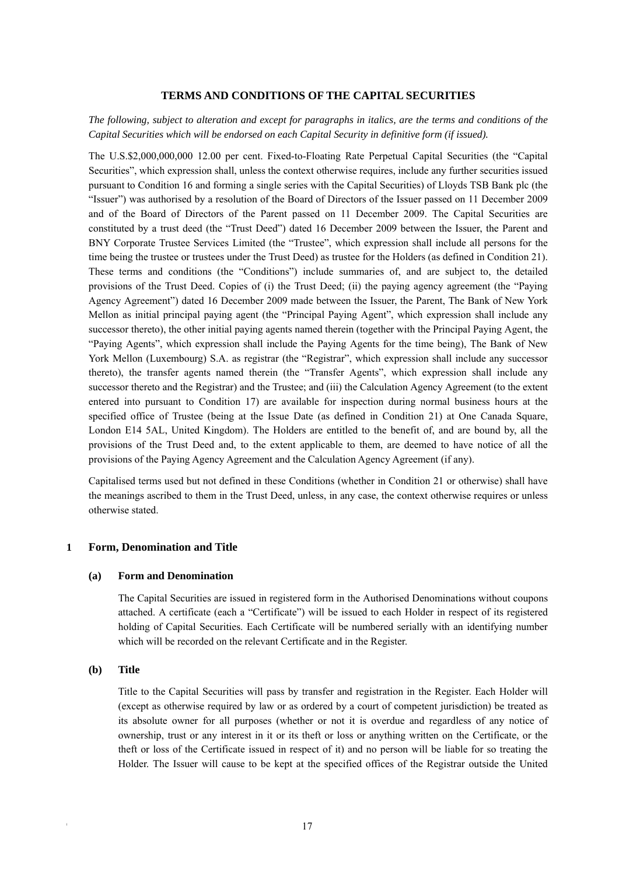#### **TERMS AND CONDITIONS OF THE CAPITAL SECURITIES**

# *The following, subject to alteration and except for paragraphs in italics, are the terms and conditions of the Capital Securities which will be endorsed on each Capital Security in definitive form (if issued).*

The U.S.\$2,000,000,000 12.00 per cent. Fixed-to-Floating Rate Perpetual Capital Securities (the "Capital Securities", which expression shall, unless the context otherwise requires, include any further securities issued pursuant to Condition 16 and forming a single series with the Capital Securities) of Lloyds TSB Bank plc (the "Issuer") was authorised by a resolution of the Board of Directors of the Issuer passed on 11 December 2009 and of the Board of Directors of the Parent passed on 11 December 2009. The Capital Securities are constituted by a trust deed (the "Trust Deed") dated 16 December 2009 between the Issuer, the Parent and BNY Corporate Trustee Services Limited (the "Trustee", which expression shall include all persons for the time being the trustee or trustees under the Trust Deed) as trustee for the Holders (as defined in Condition 21). These terms and conditions (the "Conditions") include summaries of, and are subject to, the detailed provisions of the Trust Deed. Copies of (i) the Trust Deed; (ii) the paying agency agreement (the "Paying Agency Agreement") dated 16 December 2009 made between the Issuer, the Parent, The Bank of New York Mellon as initial principal paying agent (the "Principal Paying Agent", which expression shall include any successor thereto), the other initial paying agents named therein (together with the Principal Paying Agent, the "Paying Agents", which expression shall include the Paying Agents for the time being), The Bank of New York Mellon (Luxembourg) S.A. as registrar (the "Registrar", which expression shall include any successor thereto), the transfer agents named therein (the "Transfer Agents", which expression shall include any successor thereto and the Registrar) and the Trustee; and (iii) the Calculation Agency Agreement (to the extent entered into pursuant to Condition 17) are available for inspection during normal business hours at the specified office of Trustee (being at the Issue Date (as defined in Condition 21) at One Canada Square, London E14 5AL, United Kingdom). The Holders are entitled to the benefit of, and are bound by, all the provisions of the Trust Deed and, to the extent applicable to them, are deemed to have notice of all the provisions of the Paying Agency Agreement and the Calculation Agency Agreement (if any).

Capitalised terms used but not defined in these Conditions (whether in Condition 21 or otherwise) shall have the meanings ascribed to them in the Trust Deed, unless, in any case, the context otherwise requires or unless otherwise stated.

#### **1 Form, Denomination and Title**

#### **(a) Form and Denomination**

The Capital Securities are issued in registered form in the Authorised Denominations without coupons attached. A certificate (each a "Certificate") will be issued to each Holder in respect of its registered holding of Capital Securities. Each Certificate will be numbered serially with an identifying number which will be recorded on the relevant Certificate and in the Register.

#### **(b) Title**

Title to the Capital Securities will pass by transfer and registration in the Register. Each Holder will (except as otherwise required by law or as ordered by a court of competent jurisdiction) be treated as its absolute owner for all purposes (whether or not it is overdue and regardless of any notice of ownership, trust or any interest in it or its theft or loss or anything written on the Certificate, or the theft or loss of the Certificate issued in respect of it) and no person will be liable for so treating the Holder. The Issuer will cause to be kept at the specified offices of the Registrar outside the United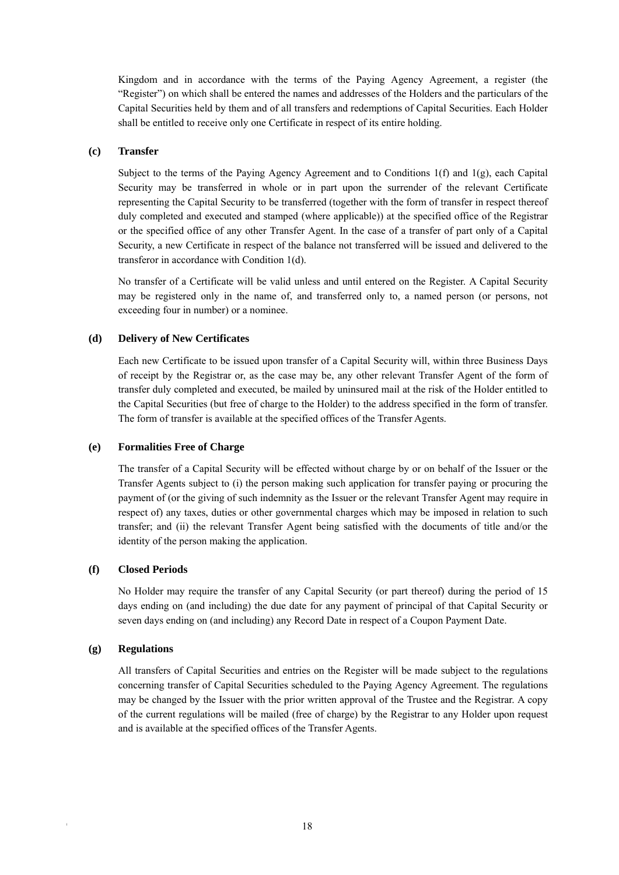Kingdom and in accordance with the terms of the Paying Agency Agreement, a register (the "Register") on which shall be entered the names and addresses of the Holders and the particulars of the Capital Securities held by them and of all transfers and redemptions of Capital Securities. Each Holder shall be entitled to receive only one Certificate in respect of its entire holding.

# **(c) Transfer**

Subject to the terms of the Paying Agency Agreement and to Conditions  $1(f)$  and  $1(g)$ , each Capital Security may be transferred in whole or in part upon the surrender of the relevant Certificate representing the Capital Security to be transferred (together with the form of transfer in respect thereof duly completed and executed and stamped (where applicable)) at the specified office of the Registrar or the specified office of any other Transfer Agent. In the case of a transfer of part only of a Capital Security, a new Certificate in respect of the balance not transferred will be issued and delivered to the transferor in accordance with Condition 1(d).

No transfer of a Certificate will be valid unless and until entered on the Register. A Capital Security may be registered only in the name of, and transferred only to, a named person (or persons, not exceeding four in number) or a nominee.

# **(d) Delivery of New Certificates**

Each new Certificate to be issued upon transfer of a Capital Security will, within three Business Days of receipt by the Registrar or, as the case may be, any other relevant Transfer Agent of the form of transfer duly completed and executed, be mailed by uninsured mail at the risk of the Holder entitled to the Capital Securities (but free of charge to the Holder) to the address specified in the form of transfer. The form of transfer is available at the specified offices of the Transfer Agents.

#### **(e) Formalities Free of Charge**

The transfer of a Capital Security will be effected without charge by or on behalf of the Issuer or the Transfer Agents subject to (i) the person making such application for transfer paying or procuring the payment of (or the giving of such indemnity as the Issuer or the relevant Transfer Agent may require in respect of) any taxes, duties or other governmental charges which may be imposed in relation to such transfer; and (ii) the relevant Transfer Agent being satisfied with the documents of title and/or the identity of the person making the application.

#### **(f) Closed Periods**

No Holder may require the transfer of any Capital Security (or part thereof) during the period of 15 days ending on (and including) the due date for any payment of principal of that Capital Security or seven days ending on (and including) any Record Date in respect of a Coupon Payment Date.

#### **(g) Regulations**

All transfers of Capital Securities and entries on the Register will be made subject to the regulations concerning transfer of Capital Securities scheduled to the Paying Agency Agreement. The regulations may be changed by the Issuer with the prior written approval of the Trustee and the Registrar. A copy of the current regulations will be mailed (free of charge) by the Registrar to any Holder upon request and is available at the specified offices of the Transfer Agents.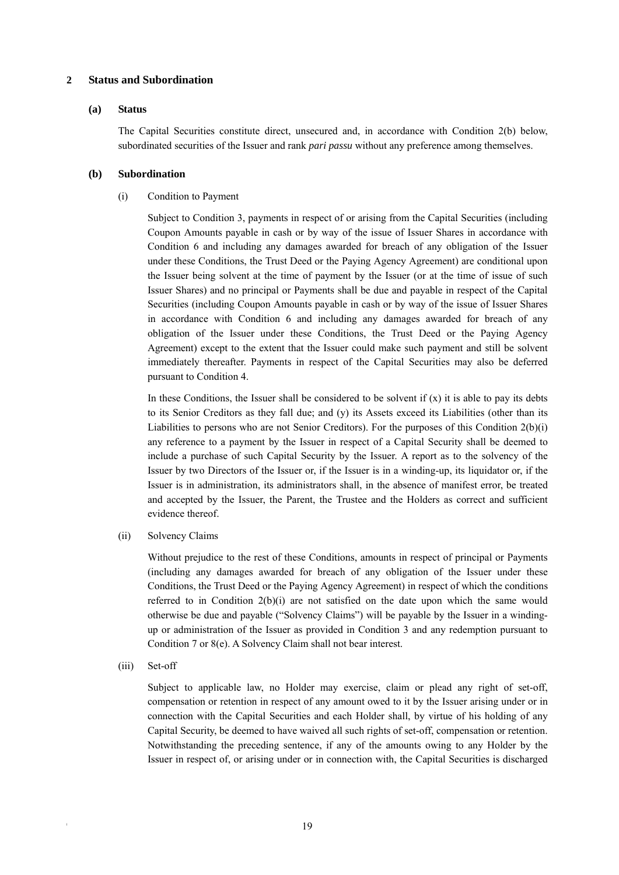#### **2 Status and Subordination**

#### **(a) Status**

The Capital Securities constitute direct, unsecured and, in accordance with Condition 2(b) below, subordinated securities of the Issuer and rank *pari passu* without any preference among themselves.

# **(b) Subordination**

# (i) Condition to Payment

Subject to Condition 3, payments in respect of or arising from the Capital Securities (including Coupon Amounts payable in cash or by way of the issue of Issuer Shares in accordance with Condition 6 and including any damages awarded for breach of any obligation of the Issuer under these Conditions, the Trust Deed or the Paying Agency Agreement) are conditional upon the Issuer being solvent at the time of payment by the Issuer (or at the time of issue of such Issuer Shares) and no principal or Payments shall be due and payable in respect of the Capital Securities (including Coupon Amounts payable in cash or by way of the issue of Issuer Shares in accordance with Condition 6 and including any damages awarded for breach of any obligation of the Issuer under these Conditions, the Trust Deed or the Paying Agency Agreement) except to the extent that the Issuer could make such payment and still be solvent immediately thereafter. Payments in respect of the Capital Securities may also be deferred pursuant to Condition 4.

In these Conditions, the Issuer shall be considered to be solvent if  $(x)$  it is able to pay its debts to its Senior Creditors as they fall due; and (y) its Assets exceed its Liabilities (other than its Liabilities to persons who are not Senior Creditors). For the purposes of this Condition  $2(b)(i)$ any reference to a payment by the Issuer in respect of a Capital Security shall be deemed to include a purchase of such Capital Security by the Issuer. A report as to the solvency of the Issuer by two Directors of the Issuer or, if the Issuer is in a winding-up, its liquidator or, if the Issuer is in administration, its administrators shall, in the absence of manifest error, be treated and accepted by the Issuer, the Parent, the Trustee and the Holders as correct and sufficient evidence thereof.

(ii) Solvency Claims

Without prejudice to the rest of these Conditions, amounts in respect of principal or Payments (including any damages awarded for breach of any obligation of the Issuer under these Conditions, the Trust Deed or the Paying Agency Agreement) in respect of which the conditions referred to in Condition  $2(b)(i)$  are not satisfied on the date upon which the same would otherwise be due and payable ("Solvency Claims") will be payable by the Issuer in a windingup or administration of the Issuer as provided in Condition 3 and any redemption pursuant to Condition 7 or 8(e). A Solvency Claim shall not bear interest.

(iii) Set-off

Subject to applicable law, no Holder may exercise, claim or plead any right of set-off, compensation or retention in respect of any amount owed to it by the Issuer arising under or in connection with the Capital Securities and each Holder shall, by virtue of his holding of any Capital Security, be deemed to have waived all such rights of set-off, compensation or retention. Notwithstanding the preceding sentence, if any of the amounts owing to any Holder by the Issuer in respect of, or arising under or in connection with, the Capital Securities is discharged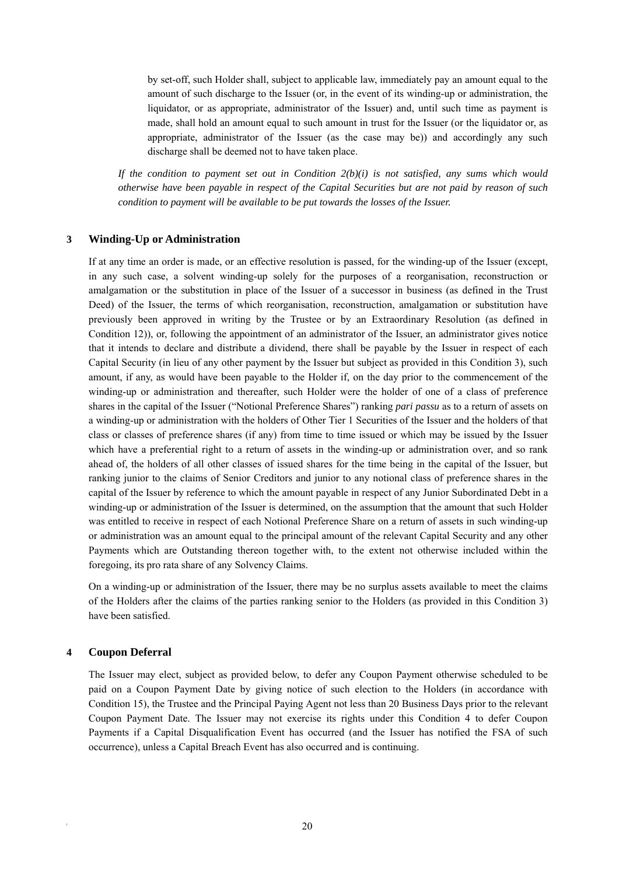by set-off, such Holder shall, subject to applicable law, immediately pay an amount equal to the amount of such discharge to the Issuer (or, in the event of its winding-up or administration, the liquidator, or as appropriate, administrator of the Issuer) and, until such time as payment is made, shall hold an amount equal to such amount in trust for the Issuer (or the liquidator or, as appropriate, administrator of the Issuer (as the case may be)) and accordingly any such discharge shall be deemed not to have taken place.

*If the condition to payment set out in Condition 2(b)(i) is not satisfied, any sums which would otherwise have been payable in respect of the Capital Securities but are not paid by reason of such condition to payment will be available to be put towards the losses of the Issuer.* 

#### **3 Winding-Up or Administration**

If at any time an order is made, or an effective resolution is passed, for the winding-up of the Issuer (except, in any such case, a solvent winding-up solely for the purposes of a reorganisation, reconstruction or amalgamation or the substitution in place of the Issuer of a successor in business (as defined in the Trust Deed) of the Issuer, the terms of which reorganisation, reconstruction, amalgamation or substitution have previously been approved in writing by the Trustee or by an Extraordinary Resolution (as defined in Condition 12)), or, following the appointment of an administrator of the Issuer, an administrator gives notice that it intends to declare and distribute a dividend, there shall be payable by the Issuer in respect of each Capital Security (in lieu of any other payment by the Issuer but subject as provided in this Condition 3), such amount, if any, as would have been payable to the Holder if, on the day prior to the commencement of the winding-up or administration and thereafter, such Holder were the holder of one of a class of preference shares in the capital of the Issuer ("Notional Preference Shares") ranking *pari passu* as to a return of assets on a winding-up or administration with the holders of Other Tier 1 Securities of the Issuer and the holders of that class or classes of preference shares (if any) from time to time issued or which may be issued by the Issuer which have a preferential right to a return of assets in the winding-up or administration over, and so rank ahead of, the holders of all other classes of issued shares for the time being in the capital of the Issuer, but ranking junior to the claims of Senior Creditors and junior to any notional class of preference shares in the capital of the Issuer by reference to which the amount payable in respect of any Junior Subordinated Debt in a winding-up or administration of the Issuer is determined, on the assumption that the amount that such Holder was entitled to receive in respect of each Notional Preference Share on a return of assets in such winding-up or administration was an amount equal to the principal amount of the relevant Capital Security and any other Payments which are Outstanding thereon together with, to the extent not otherwise included within the foregoing, its pro rata share of any Solvency Claims.

On a winding-up or administration of the Issuer, there may be no surplus assets available to meet the claims of the Holders after the claims of the parties ranking senior to the Holders (as provided in this Condition 3) have been satisfied.

#### **4 Coupon Deferral**

The Issuer may elect, subject as provided below, to defer any Coupon Payment otherwise scheduled to be paid on a Coupon Payment Date by giving notice of such election to the Holders (in accordance with Condition 15), the Trustee and the Principal Paying Agent not less than 20 Business Days prior to the relevant Coupon Payment Date. The Issuer may not exercise its rights under this Condition 4 to defer Coupon Payments if a Capital Disqualification Event has occurred (and the Issuer has notified the FSA of such occurrence), unless a Capital Breach Event has also occurred and is continuing.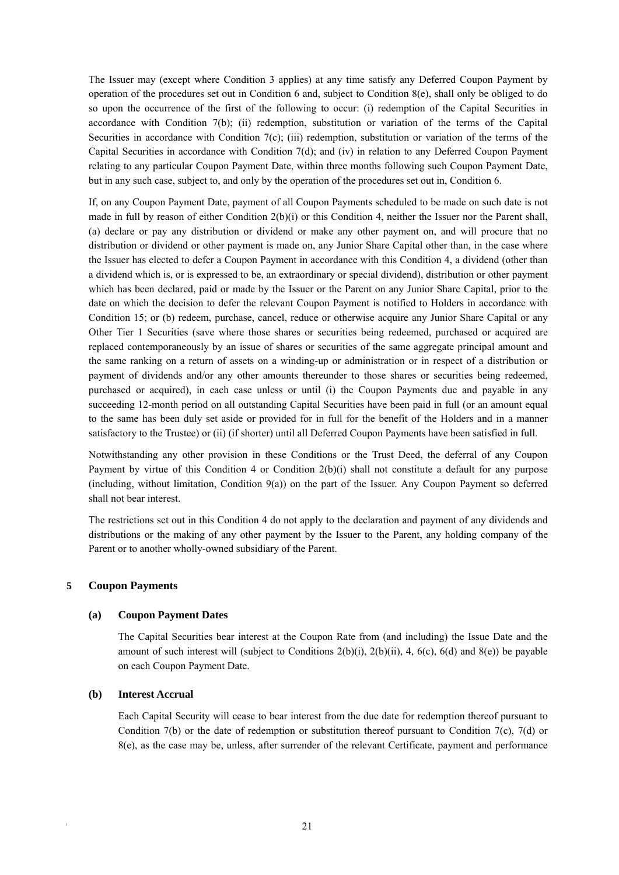The Issuer may (except where Condition 3 applies) at any time satisfy any Deferred Coupon Payment by operation of the procedures set out in Condition 6 and, subject to Condition 8(e), shall only be obliged to do so upon the occurrence of the first of the following to occur: (i) redemption of the Capital Securities in accordance with Condition 7(b); (ii) redemption, substitution or variation of the terms of the Capital Securities in accordance with Condition 7(c); (iii) redemption, substitution or variation of the terms of the Capital Securities in accordance with Condition 7(d); and (iv) in relation to any Deferred Coupon Payment relating to any particular Coupon Payment Date, within three months following such Coupon Payment Date, but in any such case, subject to, and only by the operation of the procedures set out in, Condition 6.

If, on any Coupon Payment Date, payment of all Coupon Payments scheduled to be made on such date is not made in full by reason of either Condition 2(b)(i) or this Condition 4, neither the Issuer nor the Parent shall, (a) declare or pay any distribution or dividend or make any other payment on, and will procure that no distribution or dividend or other payment is made on, any Junior Share Capital other than, in the case where the Issuer has elected to defer a Coupon Payment in accordance with this Condition 4, a dividend (other than a dividend which is, or is expressed to be, an extraordinary or special dividend), distribution or other payment which has been declared, paid or made by the Issuer or the Parent on any Junior Share Capital, prior to the date on which the decision to defer the relevant Coupon Payment is notified to Holders in accordance with Condition 15; or (b) redeem, purchase, cancel, reduce or otherwise acquire any Junior Share Capital or any Other Tier 1 Securities (save where those shares or securities being redeemed, purchased or acquired are replaced contemporaneously by an issue of shares or securities of the same aggregate principal amount and the same ranking on a return of assets on a winding-up or administration or in respect of a distribution or payment of dividends and/or any other amounts thereunder to those shares or securities being redeemed, purchased or acquired), in each case unless or until (i) the Coupon Payments due and payable in any succeeding 12-month period on all outstanding Capital Securities have been paid in full (or an amount equal to the same has been duly set aside or provided for in full for the benefit of the Holders and in a manner satisfactory to the Trustee) or (ii) (if shorter) until all Deferred Coupon Payments have been satisfied in full.

Notwithstanding any other provision in these Conditions or the Trust Deed, the deferral of any Coupon Payment by virtue of this Condition 4 or Condition 2(b)(i) shall not constitute a default for any purpose (including, without limitation, Condition 9(a)) on the part of the Issuer. Any Coupon Payment so deferred shall not bear interest.

The restrictions set out in this Condition 4 do not apply to the declaration and payment of any dividends and distributions or the making of any other payment by the Issuer to the Parent, any holding company of the Parent or to another wholly-owned subsidiary of the Parent.

# **5 Coupon Payments**

#### **(a) Coupon Payment Dates**

The Capital Securities bear interest at the Coupon Rate from (and including) the Issue Date and the amount of such interest will (subject to Conditions  $2(b)(i)$ ,  $2(b)(ii)$ ,  $4$ ,  $6(c)$ ,  $6(d)$  and  $8(e)$ ) be payable on each Coupon Payment Date.

#### **(b) Interest Accrual**

Each Capital Security will cease to bear interest from the due date for redemption thereof pursuant to Condition 7(b) or the date of redemption or substitution thereof pursuant to Condition 7(c), 7(d) or 8(e), as the case may be, unless, after surrender of the relevant Certificate, payment and performance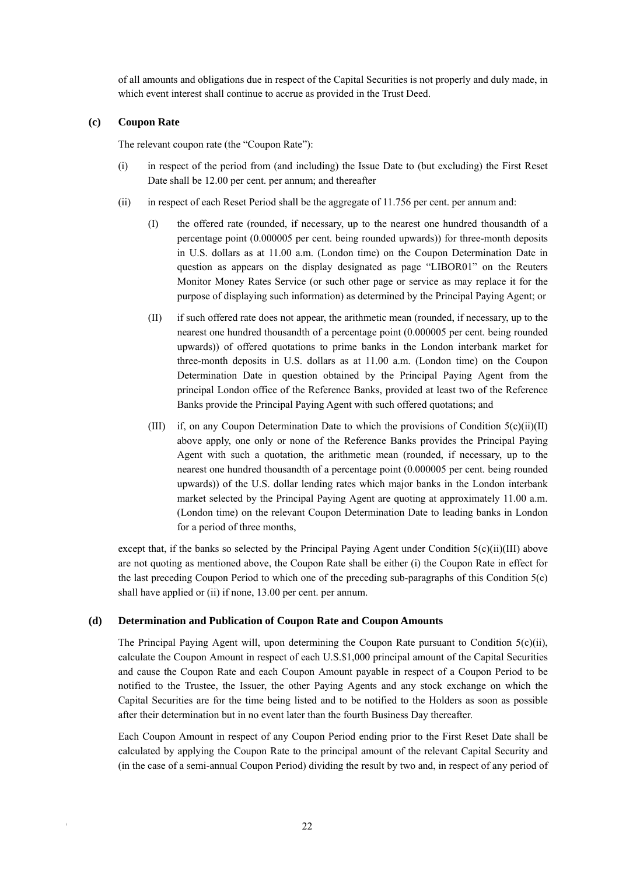of all amounts and obligations due in respect of the Capital Securities is not properly and duly made, in which event interest shall continue to accrue as provided in the Trust Deed.

# **(c) Coupon Rate**

The relevant coupon rate (the "Coupon Rate"):

- (i) in respect of the period from (and including) the Issue Date to (but excluding) the First Reset Date shall be 12.00 per cent. per annum; and thereafter
- (ii) in respect of each Reset Period shall be the aggregate of 11.756 per cent. per annum and:
	- (I) the offered rate (rounded, if necessary, up to the nearest one hundred thousandth of a percentage point (0.000005 per cent. being rounded upwards)) for three-month deposits in U.S. dollars as at 11.00 a.m. (London time) on the Coupon Determination Date in question as appears on the display designated as page "LIBOR01" on the Reuters Monitor Money Rates Service (or such other page or service as may replace it for the purpose of displaying such information) as determined by the Principal Paying Agent; or
	- (II) if such offered rate does not appear, the arithmetic mean (rounded, if necessary, up to the nearest one hundred thousandth of a percentage point (0.000005 per cent. being rounded upwards)) of offered quotations to prime banks in the London interbank market for three-month deposits in U.S. dollars as at 11.00 a.m. (London time) on the Coupon Determination Date in question obtained by the Principal Paying Agent from the principal London office of the Reference Banks, provided at least two of the Reference Banks provide the Principal Paying Agent with such offered quotations; and
	- (III) if, on any Coupon Determination Date to which the provisions of Condition 5(c)(ii)(II) above apply, one only or none of the Reference Banks provides the Principal Paying Agent with such a quotation, the arithmetic mean (rounded, if necessary, up to the nearest one hundred thousandth of a percentage point (0.000005 per cent. being rounded upwards)) of the U.S. dollar lending rates which major banks in the London interbank market selected by the Principal Paying Agent are quoting at approximately 11.00 a.m. (London time) on the relevant Coupon Determination Date to leading banks in London for a period of three months,

except that, if the banks so selected by the Principal Paying Agent under Condition  $5(c)(ii)(III)$  above are not quoting as mentioned above, the Coupon Rate shall be either (i) the Coupon Rate in effect for the last preceding Coupon Period to which one of the preceding sub-paragraphs of this Condition 5(c) shall have applied or (ii) if none, 13.00 per cent. per annum.

# **(d) Determination and Publication of Coupon Rate and Coupon Amounts**

The Principal Paying Agent will, upon determining the Coupon Rate pursuant to Condition  $5(c)(ii)$ , calculate the Coupon Amount in respect of each U.S.\$1,000 principal amount of the Capital Securities and cause the Coupon Rate and each Coupon Amount payable in respect of a Coupon Period to be notified to the Trustee, the Issuer, the other Paying Agents and any stock exchange on which the Capital Securities are for the time being listed and to be notified to the Holders as soon as possible after their determination but in no event later than the fourth Business Day thereafter.

Each Coupon Amount in respect of any Coupon Period ending prior to the First Reset Date shall be calculated by applying the Coupon Rate to the principal amount of the relevant Capital Security and (in the case of a semi-annual Coupon Period) dividing the result by two and, in respect of any period of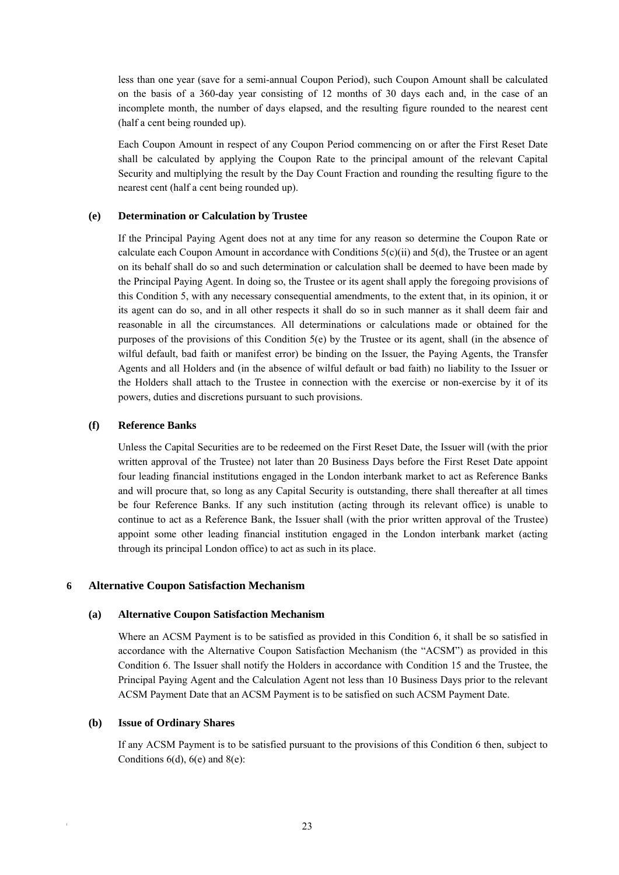less than one year (save for a semi-annual Coupon Period), such Coupon Amount shall be calculated on the basis of a 360-day year consisting of 12 months of 30 days each and, in the case of an incomplete month, the number of days elapsed, and the resulting figure rounded to the nearest cent (half a cent being rounded up).

Each Coupon Amount in respect of any Coupon Period commencing on or after the First Reset Date shall be calculated by applying the Coupon Rate to the principal amount of the relevant Capital Security and multiplying the result by the Day Count Fraction and rounding the resulting figure to the nearest cent (half a cent being rounded up).

#### **(e) Determination or Calculation by Trustee**

If the Principal Paying Agent does not at any time for any reason so determine the Coupon Rate or calculate each Coupon Amount in accordance with Conditions  $5(c)(ii)$  and  $5(d)$ , the Trustee or an agent on its behalf shall do so and such determination or calculation shall be deemed to have been made by the Principal Paying Agent. In doing so, the Trustee or its agent shall apply the foregoing provisions of this Condition 5, with any necessary consequential amendments, to the extent that, in its opinion, it or its agent can do so, and in all other respects it shall do so in such manner as it shall deem fair and reasonable in all the circumstances. All determinations or calculations made or obtained for the purposes of the provisions of this Condition  $5(e)$  by the Trustee or its agent, shall (in the absence of wilful default, bad faith or manifest error) be binding on the Issuer, the Paying Agents, the Transfer Agents and all Holders and (in the absence of wilful default or bad faith) no liability to the Issuer or the Holders shall attach to the Trustee in connection with the exercise or non-exercise by it of its powers, duties and discretions pursuant to such provisions.

#### **(f) Reference Banks**

Unless the Capital Securities are to be redeemed on the First Reset Date, the Issuer will (with the prior written approval of the Trustee) not later than 20 Business Days before the First Reset Date appoint four leading financial institutions engaged in the London interbank market to act as Reference Banks and will procure that, so long as any Capital Security is outstanding, there shall thereafter at all times be four Reference Banks. If any such institution (acting through its relevant office) is unable to continue to act as a Reference Bank, the Issuer shall (with the prior written approval of the Trustee) appoint some other leading financial institution engaged in the London interbank market (acting through its principal London office) to act as such in its place.

#### **6 Alternative Coupon Satisfaction Mechanism**

#### **(a) Alternative Coupon Satisfaction Mechanism**

Where an ACSM Payment is to be satisfied as provided in this Condition 6, it shall be so satisfied in accordance with the Alternative Coupon Satisfaction Mechanism (the "ACSM") as provided in this Condition 6. The Issuer shall notify the Holders in accordance with Condition 15 and the Trustee, the Principal Paying Agent and the Calculation Agent not less than 10 Business Days prior to the relevant ACSM Payment Date that an ACSM Payment is to be satisfied on such ACSM Payment Date.

#### **(b) Issue of Ordinary Shares**

If any ACSM Payment is to be satisfied pursuant to the provisions of this Condition 6 then, subject to Conditions  $6(d)$ ,  $6(e)$  and  $8(e)$ :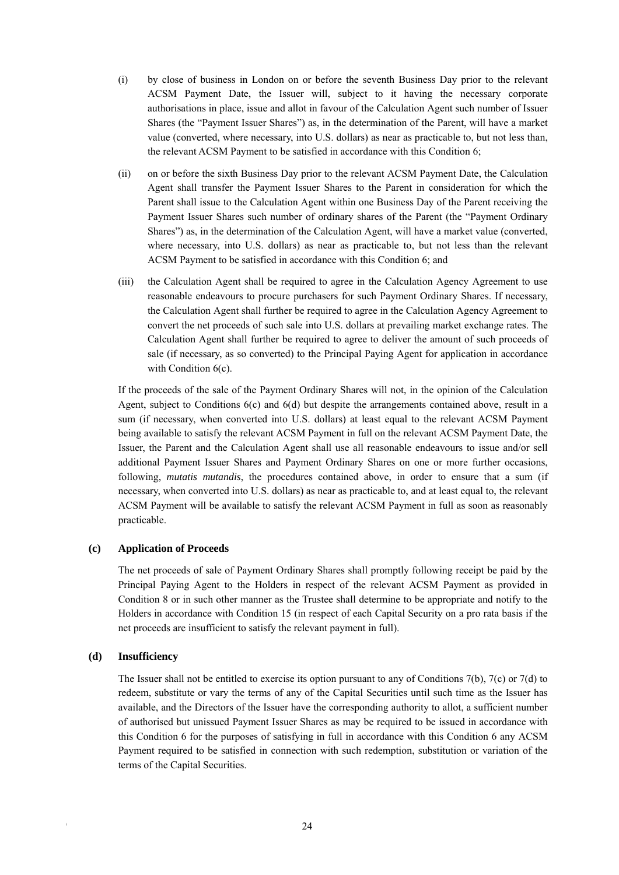- (i) by close of business in London on or before the seventh Business Day prior to the relevant ACSM Payment Date, the Issuer will, subject to it having the necessary corporate authorisations in place, issue and allot in favour of the Calculation Agent such number of Issuer Shares (the "Payment Issuer Shares") as, in the determination of the Parent, will have a market value (converted, where necessary, into U.S. dollars) as near as practicable to, but not less than, the relevant ACSM Payment to be satisfied in accordance with this Condition 6;
- (ii) on or before the sixth Business Day prior to the relevant ACSM Payment Date, the Calculation Agent shall transfer the Payment Issuer Shares to the Parent in consideration for which the Parent shall issue to the Calculation Agent within one Business Day of the Parent receiving the Payment Issuer Shares such number of ordinary shares of the Parent (the "Payment Ordinary Shares") as, in the determination of the Calculation Agent, will have a market value (converted, where necessary, into U.S. dollars) as near as practicable to, but not less than the relevant ACSM Payment to be satisfied in accordance with this Condition 6; and
- (iii) the Calculation Agent shall be required to agree in the Calculation Agency Agreement to use reasonable endeavours to procure purchasers for such Payment Ordinary Shares. If necessary, the Calculation Agent shall further be required to agree in the Calculation Agency Agreement to convert the net proceeds of such sale into U.S. dollars at prevailing market exchange rates. The Calculation Agent shall further be required to agree to deliver the amount of such proceeds of sale (if necessary, as so converted) to the Principal Paying Agent for application in accordance with Condition 6(c).

If the proceeds of the sale of the Payment Ordinary Shares will not, in the opinion of the Calculation Agent, subject to Conditions 6(c) and 6(d) but despite the arrangements contained above, result in a sum (if necessary, when converted into U.S. dollars) at least equal to the relevant ACSM Payment being available to satisfy the relevant ACSM Payment in full on the relevant ACSM Payment Date, the Issuer, the Parent and the Calculation Agent shall use all reasonable endeavours to issue and/or sell additional Payment Issuer Shares and Payment Ordinary Shares on one or more further occasions, following, *mutatis mutandis*, the procedures contained above, in order to ensure that a sum (if necessary, when converted into U.S. dollars) as near as practicable to, and at least equal to, the relevant ACSM Payment will be available to satisfy the relevant ACSM Payment in full as soon as reasonably practicable.

#### **(c) Application of Proceeds**

The net proceeds of sale of Payment Ordinary Shares shall promptly following receipt be paid by the Principal Paying Agent to the Holders in respect of the relevant ACSM Payment as provided in Condition 8 or in such other manner as the Trustee shall determine to be appropriate and notify to the Holders in accordance with Condition 15 (in respect of each Capital Security on a pro rata basis if the net proceeds are insufficient to satisfy the relevant payment in full).

#### **(d) Insufficiency**

The Issuer shall not be entitled to exercise its option pursuant to any of Conditions 7(b), 7(c) or 7(d) to redeem, substitute or vary the terms of any of the Capital Securities until such time as the Issuer has available, and the Directors of the Issuer have the corresponding authority to allot, a sufficient number of authorised but unissued Payment Issuer Shares as may be required to be issued in accordance with this Condition 6 for the purposes of satisfying in full in accordance with this Condition 6 any ACSM Payment required to be satisfied in connection with such redemption, substitution or variation of the terms of the Capital Securities.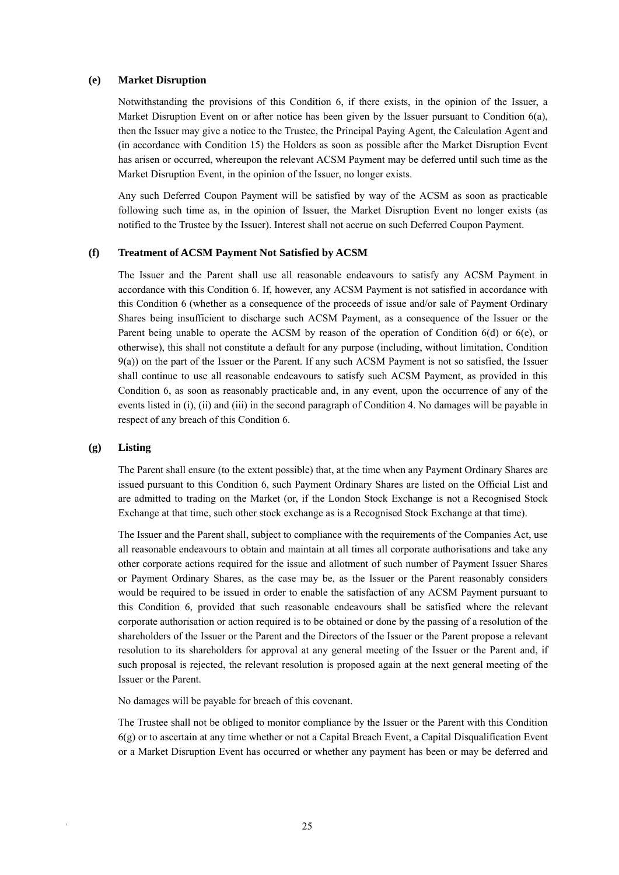#### **(e) Market Disruption**

Notwithstanding the provisions of this Condition 6, if there exists, in the opinion of the Issuer, a Market Disruption Event on or after notice has been given by the Issuer pursuant to Condition 6(a), then the Issuer may give a notice to the Trustee, the Principal Paying Agent, the Calculation Agent and (in accordance with Condition 15) the Holders as soon as possible after the Market Disruption Event has arisen or occurred, whereupon the relevant ACSM Payment may be deferred until such time as the Market Disruption Event, in the opinion of the Issuer, no longer exists.

Any such Deferred Coupon Payment will be satisfied by way of the ACSM as soon as practicable following such time as, in the opinion of Issuer, the Market Disruption Event no longer exists (as notified to the Trustee by the Issuer). Interest shall not accrue on such Deferred Coupon Payment.

#### **(f) Treatment of ACSM Payment Not Satisfied by ACSM**

The Issuer and the Parent shall use all reasonable endeavours to satisfy any ACSM Payment in accordance with this Condition 6. If, however, any ACSM Payment is not satisfied in accordance with this Condition 6 (whether as a consequence of the proceeds of issue and/or sale of Payment Ordinary Shares being insufficient to discharge such ACSM Payment, as a consequence of the Issuer or the Parent being unable to operate the ACSM by reason of the operation of Condition 6(d) or 6(e), or otherwise), this shall not constitute a default for any purpose (including, without limitation, Condition 9(a)) on the part of the Issuer or the Parent. If any such ACSM Payment is not so satisfied, the Issuer shall continue to use all reasonable endeavours to satisfy such ACSM Payment, as provided in this Condition 6, as soon as reasonably practicable and, in any event, upon the occurrence of any of the events listed in (i), (ii) and (iii) in the second paragraph of Condition 4. No damages will be payable in respect of any breach of this Condition 6.

#### **(g) Listing**

The Parent shall ensure (to the extent possible) that, at the time when any Payment Ordinary Shares are issued pursuant to this Condition 6, such Payment Ordinary Shares are listed on the Official List and are admitted to trading on the Market (or, if the London Stock Exchange is not a Recognised Stock Exchange at that time, such other stock exchange as is a Recognised Stock Exchange at that time).

The Issuer and the Parent shall, subject to compliance with the requirements of the Companies Act, use all reasonable endeavours to obtain and maintain at all times all corporate authorisations and take any other corporate actions required for the issue and allotment of such number of Payment Issuer Shares or Payment Ordinary Shares, as the case may be, as the Issuer or the Parent reasonably considers would be required to be issued in order to enable the satisfaction of any ACSM Payment pursuant to this Condition 6, provided that such reasonable endeavours shall be satisfied where the relevant corporate authorisation or action required is to be obtained or done by the passing of a resolution of the shareholders of the Issuer or the Parent and the Directors of the Issuer or the Parent propose a relevant resolution to its shareholders for approval at any general meeting of the Issuer or the Parent and, if such proposal is rejected, the relevant resolution is proposed again at the next general meeting of the Issuer or the Parent.

No damages will be payable for breach of this covenant.

The Trustee shall not be obliged to monitor compliance by the Issuer or the Parent with this Condition 6(g) or to ascertain at any time whether or not a Capital Breach Event, a Capital Disqualification Event or a Market Disruption Event has occurred or whether any payment has been or may be deferred and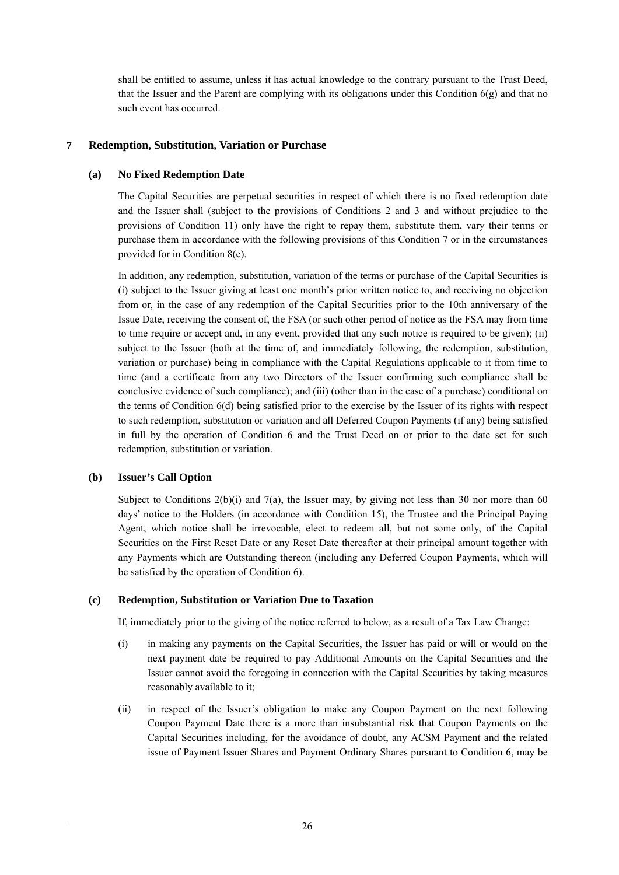shall be entitled to assume, unless it has actual knowledge to the contrary pursuant to the Trust Deed, that the Issuer and the Parent are complying with its obligations under this Condition  $6(g)$  and that no such event has occurred.

# **7 Redemption, Substitution, Variation or Purchase**

#### **(a) No Fixed Redemption Date**

The Capital Securities are perpetual securities in respect of which there is no fixed redemption date and the Issuer shall (subject to the provisions of Conditions 2 and 3 and without prejudice to the provisions of Condition 11) only have the right to repay them, substitute them, vary their terms or purchase them in accordance with the following provisions of this Condition 7 or in the circumstances provided for in Condition 8(e).

In addition, any redemption, substitution, variation of the terms or purchase of the Capital Securities is (i) subject to the Issuer giving at least one month's prior written notice to, and receiving no objection from or, in the case of any redemption of the Capital Securities prior to the 10th anniversary of the Issue Date, receiving the consent of, the FSA (or such other period of notice as the FSA may from time to time require or accept and, in any event, provided that any such notice is required to be given); (ii) subject to the Issuer (both at the time of, and immediately following, the redemption, substitution, variation or purchase) being in compliance with the Capital Regulations applicable to it from time to time (and a certificate from any two Directors of the Issuer confirming such compliance shall be conclusive evidence of such compliance); and (iii) (other than in the case of a purchase) conditional on the terms of Condition 6(d) being satisfied prior to the exercise by the Issuer of its rights with respect to such redemption, substitution or variation and all Deferred Coupon Payments (if any) being satisfied in full by the operation of Condition 6 and the Trust Deed on or prior to the date set for such redemption, substitution or variation.

#### **(b) Issuer's Call Option**

Subject to Conditions  $2(b)(i)$  and  $7(a)$ , the Issuer may, by giving not less than 30 nor more than 60 days' notice to the Holders (in accordance with Condition 15), the Trustee and the Principal Paying Agent, which notice shall be irrevocable, elect to redeem all, but not some only, of the Capital Securities on the First Reset Date or any Reset Date thereafter at their principal amount together with any Payments which are Outstanding thereon (including any Deferred Coupon Payments, which will be satisfied by the operation of Condition 6).

#### **(c) Redemption, Substitution or Variation Due to Taxation**

If, immediately prior to the giving of the notice referred to below, as a result of a Tax Law Change:

- (i) in making any payments on the Capital Securities, the Issuer has paid or will or would on the next payment date be required to pay Additional Amounts on the Capital Securities and the Issuer cannot avoid the foregoing in connection with the Capital Securities by taking measures reasonably available to it;
- (ii) in respect of the Issuer's obligation to make any Coupon Payment on the next following Coupon Payment Date there is a more than insubstantial risk that Coupon Payments on the Capital Securities including, for the avoidance of doubt, any ACSM Payment and the related issue of Payment Issuer Shares and Payment Ordinary Shares pursuant to Condition 6, may be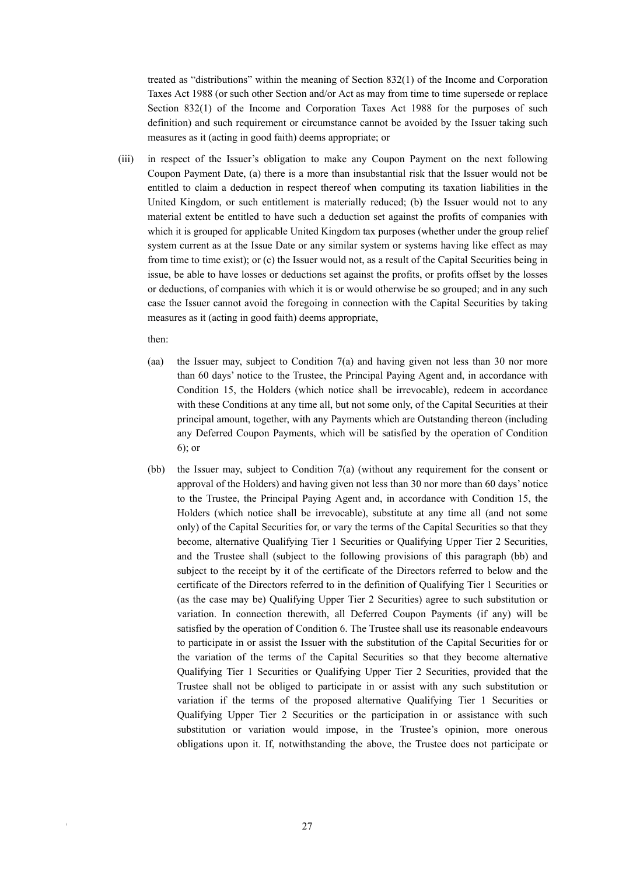treated as "distributions" within the meaning of Section 832(1) of the Income and Corporation Taxes Act 1988 (or such other Section and/or Act as may from time to time supersede or replace Section 832(1) of the Income and Corporation Taxes Act 1988 for the purposes of such definition) and such requirement or circumstance cannot be avoided by the Issuer taking such measures as it (acting in good faith) deems appropriate; or

(iii) in respect of the Issuer's obligation to make any Coupon Payment on the next following Coupon Payment Date, (a) there is a more than insubstantial risk that the Issuer would not be entitled to claim a deduction in respect thereof when computing its taxation liabilities in the United Kingdom, or such entitlement is materially reduced; (b) the Issuer would not to any material extent be entitled to have such a deduction set against the profits of companies with which it is grouped for applicable United Kingdom tax purposes (whether under the group relief system current as at the Issue Date or any similar system or systems having like effect as may from time to time exist); or (c) the Issuer would not, as a result of the Capital Securities being in issue, be able to have losses or deductions set against the profits, or profits offset by the losses or deductions, of companies with which it is or would otherwise be so grouped; and in any such case the Issuer cannot avoid the foregoing in connection with the Capital Securities by taking measures as it (acting in good faith) deems appropriate,

then:

- (aa) the Issuer may, subject to Condition 7(a) and having given not less than 30 nor more than 60 days' notice to the Trustee, the Principal Paying Agent and, in accordance with Condition 15, the Holders (which notice shall be irrevocable), redeem in accordance with these Conditions at any time all, but not some only, of the Capital Securities at their principal amount, together, with any Payments which are Outstanding thereon (including any Deferred Coupon Payments, which will be satisfied by the operation of Condition 6); or
- (bb) the Issuer may, subject to Condition 7(a) (without any requirement for the consent or approval of the Holders) and having given not less than 30 nor more than 60 days' notice to the Trustee, the Principal Paying Agent and, in accordance with Condition 15, the Holders (which notice shall be irrevocable), substitute at any time all (and not some only) of the Capital Securities for, or vary the terms of the Capital Securities so that they become, alternative Qualifying Tier 1 Securities or Qualifying Upper Tier 2 Securities, and the Trustee shall (subject to the following provisions of this paragraph (bb) and subject to the receipt by it of the certificate of the Directors referred to below and the certificate of the Directors referred to in the definition of Qualifying Tier 1 Securities or (as the case may be) Qualifying Upper Tier 2 Securities) agree to such substitution or variation. In connection therewith, all Deferred Coupon Payments (if any) will be satisfied by the operation of Condition 6. The Trustee shall use its reasonable endeavours to participate in or assist the Issuer with the substitution of the Capital Securities for or the variation of the terms of the Capital Securities so that they become alternative Qualifying Tier 1 Securities or Qualifying Upper Tier 2 Securities, provided that the Trustee shall not be obliged to participate in or assist with any such substitution or variation if the terms of the proposed alternative Qualifying Tier 1 Securities or Qualifying Upper Tier 2 Securities or the participation in or assistance with such substitution or variation would impose, in the Trustee's opinion, more onerous obligations upon it. If, notwithstanding the above, the Trustee does not participate or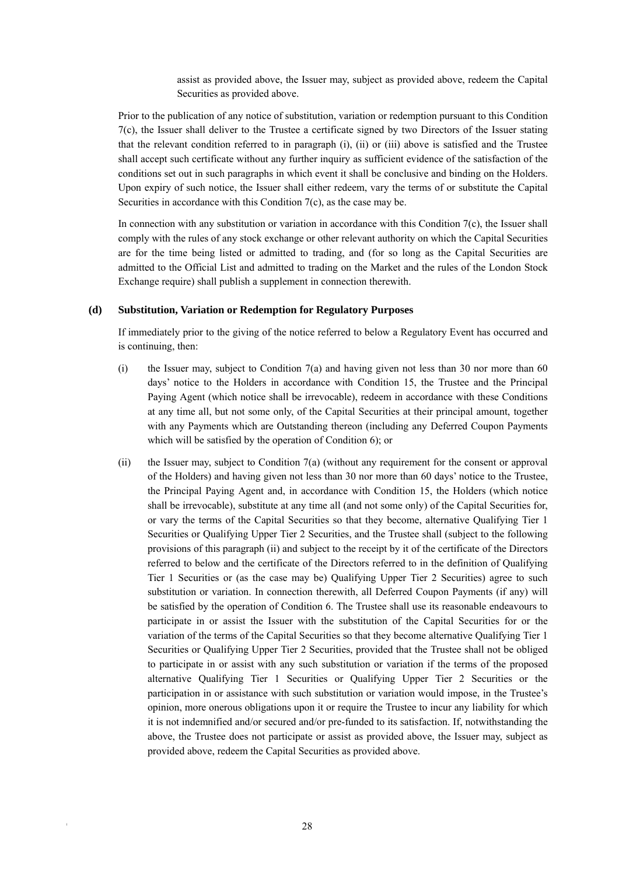assist as provided above, the Issuer may, subject as provided above, redeem the Capital Securities as provided above.

Prior to the publication of any notice of substitution, variation or redemption pursuant to this Condition 7(c), the Issuer shall deliver to the Trustee a certificate signed by two Directors of the Issuer stating that the relevant condition referred to in paragraph (i), (ii) or (iii) above is satisfied and the Trustee shall accept such certificate without any further inquiry as sufficient evidence of the satisfaction of the conditions set out in such paragraphs in which event it shall be conclusive and binding on the Holders. Upon expiry of such notice, the Issuer shall either redeem, vary the terms of or substitute the Capital Securities in accordance with this Condition 7(c), as the case may be.

In connection with any substitution or variation in accordance with this Condition  $7(c)$ , the Issuer shall comply with the rules of any stock exchange or other relevant authority on which the Capital Securities are for the time being listed or admitted to trading, and (for so long as the Capital Securities are admitted to the Official List and admitted to trading on the Market and the rules of the London Stock Exchange require) shall publish a supplement in connection therewith.

#### **(d) Substitution, Variation or Redemption for Regulatory Purposes**

If immediately prior to the giving of the notice referred to below a Regulatory Event has occurred and is continuing, then:

- (i) the Issuer may, subject to Condition 7(a) and having given not less than 30 nor more than 60 days' notice to the Holders in accordance with Condition 15, the Trustee and the Principal Paying Agent (which notice shall be irrevocable), redeem in accordance with these Conditions at any time all, but not some only, of the Capital Securities at their principal amount, together with any Payments which are Outstanding thereon (including any Deferred Coupon Payments which will be satisfied by the operation of Condition 6); or
- (ii) the Issuer may, subject to Condition 7(a) (without any requirement for the consent or approval of the Holders) and having given not less than 30 nor more than 60 days' notice to the Trustee, the Principal Paying Agent and, in accordance with Condition 15, the Holders (which notice shall be irrevocable), substitute at any time all (and not some only) of the Capital Securities for, or vary the terms of the Capital Securities so that they become, alternative Qualifying Tier 1 Securities or Qualifying Upper Tier 2 Securities, and the Trustee shall (subject to the following provisions of this paragraph (ii) and subject to the receipt by it of the certificate of the Directors referred to below and the certificate of the Directors referred to in the definition of Qualifying Tier 1 Securities or (as the case may be) Qualifying Upper Tier 2 Securities) agree to such substitution or variation. In connection therewith, all Deferred Coupon Payments (if any) will be satisfied by the operation of Condition 6. The Trustee shall use its reasonable endeavours to participate in or assist the Issuer with the substitution of the Capital Securities for or the variation of the terms of the Capital Securities so that they become alternative Qualifying Tier 1 Securities or Qualifying Upper Tier 2 Securities, provided that the Trustee shall not be obliged to participate in or assist with any such substitution or variation if the terms of the proposed alternative Qualifying Tier 1 Securities or Qualifying Upper Tier 2 Securities or the participation in or assistance with such substitution or variation would impose, in the Trustee's opinion, more onerous obligations upon it or require the Trustee to incur any liability for which it is not indemnified and/or secured and/or pre-funded to its satisfaction. If, notwithstanding the above, the Trustee does not participate or assist as provided above, the Issuer may, subject as provided above, redeem the Capital Securities as provided above.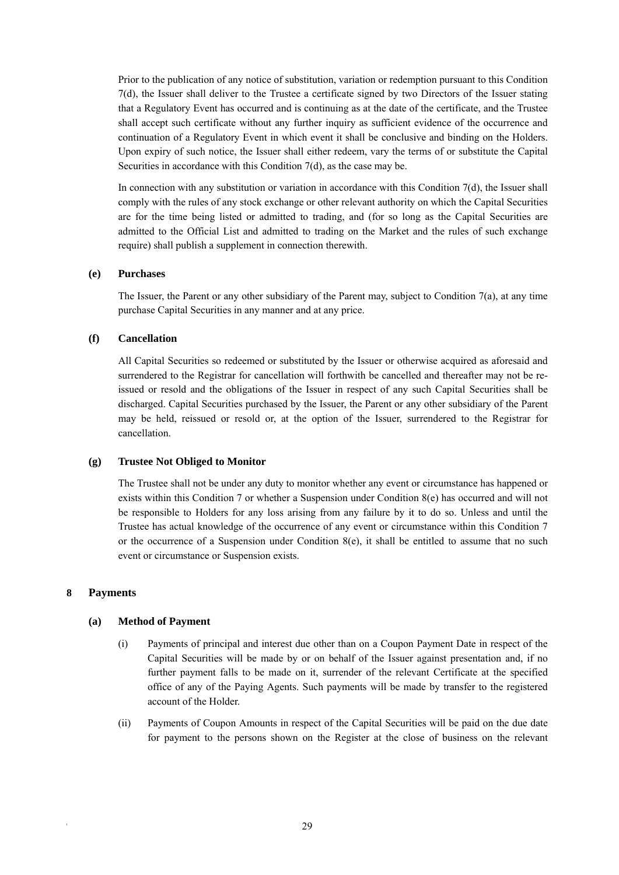Prior to the publication of any notice of substitution, variation or redemption pursuant to this Condition 7(d), the Issuer shall deliver to the Trustee a certificate signed by two Directors of the Issuer stating that a Regulatory Event has occurred and is continuing as at the date of the certificate, and the Trustee shall accept such certificate without any further inquiry as sufficient evidence of the occurrence and continuation of a Regulatory Event in which event it shall be conclusive and binding on the Holders. Upon expiry of such notice, the Issuer shall either redeem, vary the terms of or substitute the Capital Securities in accordance with this Condition 7(d), as the case may be.

In connection with any substitution or variation in accordance with this Condition 7(d), the Issuer shall comply with the rules of any stock exchange or other relevant authority on which the Capital Securities are for the time being listed or admitted to trading, and (for so long as the Capital Securities are admitted to the Official List and admitted to trading on the Market and the rules of such exchange require) shall publish a supplement in connection therewith.

# **(e) Purchases**

The Issuer, the Parent or any other subsidiary of the Parent may, subject to Condition 7(a), at any time purchase Capital Securities in any manner and at any price.

# **(f) Cancellation**

All Capital Securities so redeemed or substituted by the Issuer or otherwise acquired as aforesaid and surrendered to the Registrar for cancellation will forthwith be cancelled and thereafter may not be reissued or resold and the obligations of the Issuer in respect of any such Capital Securities shall be discharged. Capital Securities purchased by the Issuer, the Parent or any other subsidiary of the Parent may be held, reissued or resold or, at the option of the Issuer, surrendered to the Registrar for cancellation.

#### **(g) Trustee Not Obliged to Monitor**

The Trustee shall not be under any duty to monitor whether any event or circumstance has happened or exists within this Condition 7 or whether a Suspension under Condition 8(e) has occurred and will not be responsible to Holders for any loss arising from any failure by it to do so. Unless and until the Trustee has actual knowledge of the occurrence of any event or circumstance within this Condition 7 or the occurrence of a Suspension under Condition  $8(e)$ , it shall be entitled to assume that no such event or circumstance or Suspension exists.

# **8 Payments**

#### **(a) Method of Payment**

- (i) Payments of principal and interest due other than on a Coupon Payment Date in respect of the Capital Securities will be made by or on behalf of the Issuer against presentation and, if no further payment falls to be made on it, surrender of the relevant Certificate at the specified office of any of the Paying Agents. Such payments will be made by transfer to the registered account of the Holder.
- (ii) Payments of Coupon Amounts in respect of the Capital Securities will be paid on the due date for payment to the persons shown on the Register at the close of business on the relevant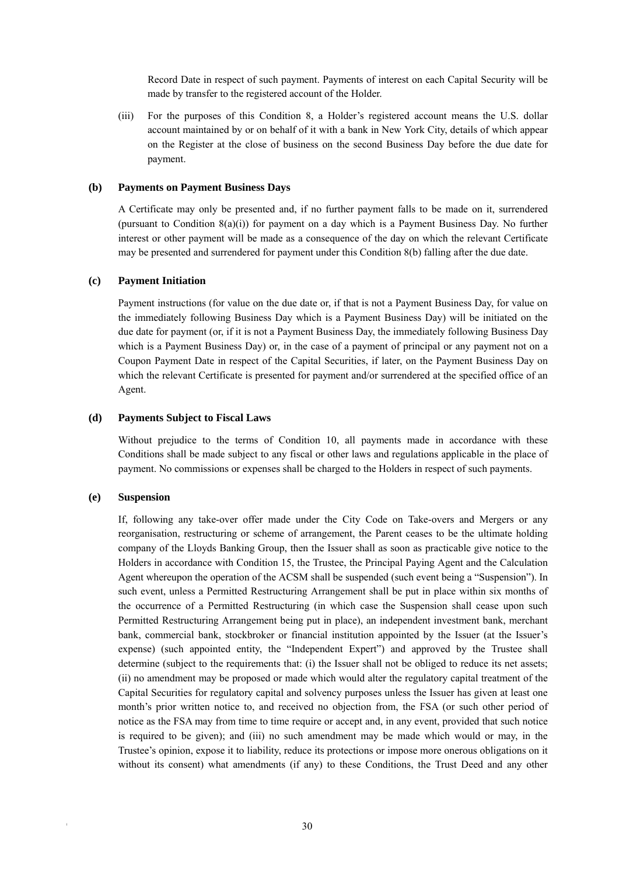Record Date in respect of such payment. Payments of interest on each Capital Security will be made by transfer to the registered account of the Holder.

(iii) For the purposes of this Condition 8, a Holder's registered account means the U.S. dollar account maintained by or on behalf of it with a bank in New York City, details of which appear on the Register at the close of business on the second Business Day before the due date for payment.

#### **(b) Payments on Payment Business Days**

A Certificate may only be presented and, if no further payment falls to be made on it, surrendered (pursuant to Condition  $S(a)(i)$ ) for payment on a day which is a Payment Business Day. No further interest or other payment will be made as a consequence of the day on which the relevant Certificate may be presented and surrendered for payment under this Condition 8(b) falling after the due date.

#### **(c) Payment Initiation**

Payment instructions (for value on the due date or, if that is not a Payment Business Day, for value on the immediately following Business Day which is a Payment Business Day) will be initiated on the due date for payment (or, if it is not a Payment Business Day, the immediately following Business Day which is a Payment Business Day) or, in the case of a payment of principal or any payment not on a Coupon Payment Date in respect of the Capital Securities, if later, on the Payment Business Day on which the relevant Certificate is presented for payment and/or surrendered at the specified office of an Agent.

#### **(d) Payments Subject to Fiscal Laws**

Without prejudice to the terms of Condition 10, all payments made in accordance with these Conditions shall be made subject to any fiscal or other laws and regulations applicable in the place of payment. No commissions or expenses shall be charged to the Holders in respect of such payments.

#### **(e) Suspension**

If, following any take-over offer made under the City Code on Take-overs and Mergers or any reorganisation, restructuring or scheme of arrangement, the Parent ceases to be the ultimate holding company of the Lloyds Banking Group, then the Issuer shall as soon as practicable give notice to the Holders in accordance with Condition 15, the Trustee, the Principal Paying Agent and the Calculation Agent whereupon the operation of the ACSM shall be suspended (such event being a "Suspension"). In such event, unless a Permitted Restructuring Arrangement shall be put in place within six months of the occurrence of a Permitted Restructuring (in which case the Suspension shall cease upon such Permitted Restructuring Arrangement being put in place), an independent investment bank, merchant bank, commercial bank, stockbroker or financial institution appointed by the Issuer (at the Issuer's expense) (such appointed entity, the "Independent Expert") and approved by the Trustee shall determine (subject to the requirements that: (i) the Issuer shall not be obliged to reduce its net assets; (ii) no amendment may be proposed or made which would alter the regulatory capital treatment of the Capital Securities for regulatory capital and solvency purposes unless the Issuer has given at least one month's prior written notice to, and received no objection from, the FSA (or such other period of notice as the FSA may from time to time require or accept and, in any event, provided that such notice is required to be given); and (iii) no such amendment may be made which would or may, in the Trustee's opinion, expose it to liability, reduce its protections or impose more onerous obligations on it without its consent) what amendments (if any) to these Conditions, the Trust Deed and any other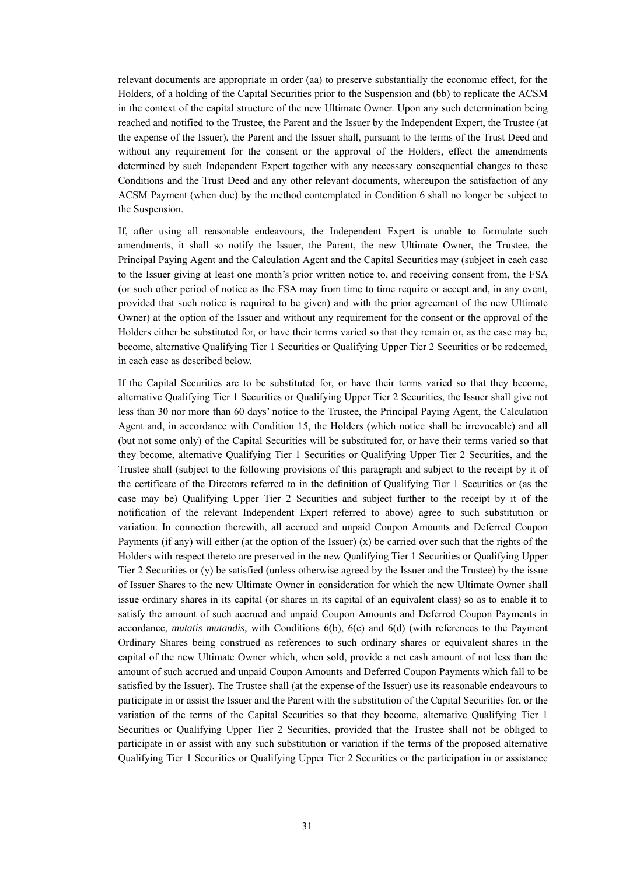relevant documents are appropriate in order (aa) to preserve substantially the economic effect, for the Holders, of a holding of the Capital Securities prior to the Suspension and (bb) to replicate the ACSM in the context of the capital structure of the new Ultimate Owner. Upon any such determination being reached and notified to the Trustee, the Parent and the Issuer by the Independent Expert, the Trustee (at the expense of the Issuer), the Parent and the Issuer shall, pursuant to the terms of the Trust Deed and without any requirement for the consent or the approval of the Holders, effect the amendments determined by such Independent Expert together with any necessary consequential changes to these Conditions and the Trust Deed and any other relevant documents, whereupon the satisfaction of any ACSM Payment (when due) by the method contemplated in Condition 6 shall no longer be subject to the Suspension.

If, after using all reasonable endeavours, the Independent Expert is unable to formulate such amendments, it shall so notify the Issuer, the Parent, the new Ultimate Owner, the Trustee, the Principal Paying Agent and the Calculation Agent and the Capital Securities may (subject in each case to the Issuer giving at least one month's prior written notice to, and receiving consent from, the FSA (or such other period of notice as the FSA may from time to time require or accept and, in any event, provided that such notice is required to be given) and with the prior agreement of the new Ultimate Owner) at the option of the Issuer and without any requirement for the consent or the approval of the Holders either be substituted for, or have their terms varied so that they remain or, as the case may be, become, alternative Qualifying Tier 1 Securities or Qualifying Upper Tier 2 Securities or be redeemed, in each case as described below.

If the Capital Securities are to be substituted for, or have their terms varied so that they become, alternative Qualifying Tier 1 Securities or Qualifying Upper Tier 2 Securities, the Issuer shall give not less than 30 nor more than 60 days' notice to the Trustee, the Principal Paying Agent, the Calculation Agent and, in accordance with Condition 15, the Holders (which notice shall be irrevocable) and all (but not some only) of the Capital Securities will be substituted for, or have their terms varied so that they become, alternative Qualifying Tier 1 Securities or Qualifying Upper Tier 2 Securities, and the Trustee shall (subject to the following provisions of this paragraph and subject to the receipt by it of the certificate of the Directors referred to in the definition of Qualifying Tier 1 Securities or (as the case may be) Qualifying Upper Tier 2 Securities and subject further to the receipt by it of the notification of the relevant Independent Expert referred to above) agree to such substitution or variation. In connection therewith, all accrued and unpaid Coupon Amounts and Deferred Coupon Payments (if any) will either (at the option of the Issuer)  $(x)$  be carried over such that the rights of the Holders with respect thereto are preserved in the new Qualifying Tier 1 Securities or Qualifying Upper Tier 2 Securities or (y) be satisfied (unless otherwise agreed by the Issuer and the Trustee) by the issue of Issuer Shares to the new Ultimate Owner in consideration for which the new Ultimate Owner shall issue ordinary shares in its capital (or shares in its capital of an equivalent class) so as to enable it to satisfy the amount of such accrued and unpaid Coupon Amounts and Deferred Coupon Payments in accordance, *mutatis mutandis*, with Conditions 6(b), 6(c) and 6(d) (with references to the Payment Ordinary Shares being construed as references to such ordinary shares or equivalent shares in the capital of the new Ultimate Owner which, when sold, provide a net cash amount of not less than the amount of such accrued and unpaid Coupon Amounts and Deferred Coupon Payments which fall to be satisfied by the Issuer). The Trustee shall (at the expense of the Issuer) use its reasonable endeavours to participate in or assist the Issuer and the Parent with the substitution of the Capital Securities for, or the variation of the terms of the Capital Securities so that they become, alternative Qualifying Tier 1 Securities or Qualifying Upper Tier 2 Securities, provided that the Trustee shall not be obliged to participate in or assist with any such substitution or variation if the terms of the proposed alternative Qualifying Tier 1 Securities or Qualifying Upper Tier 2 Securities or the participation in or assistance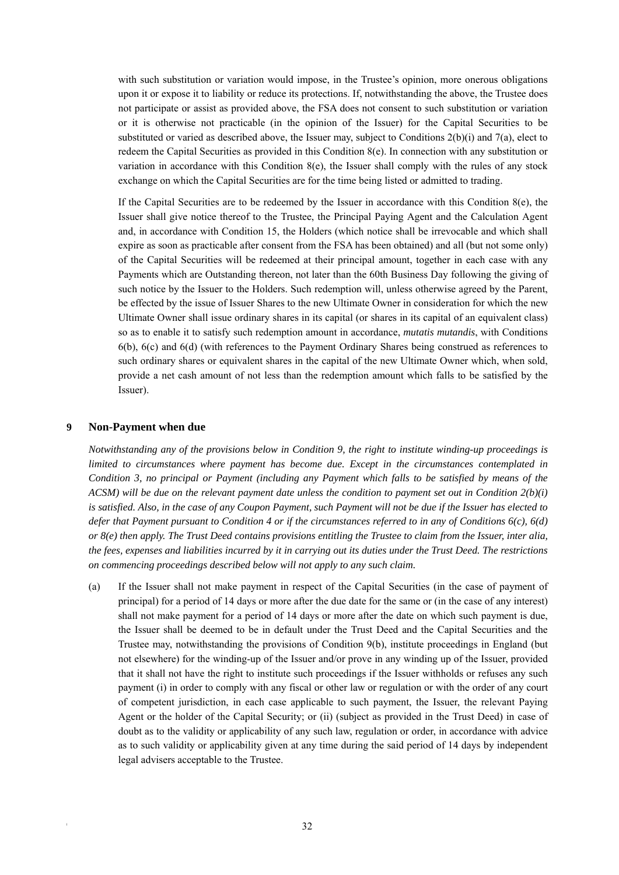with such substitution or variation would impose, in the Trustee's opinion, more onerous obligations upon it or expose it to liability or reduce its protections. If, notwithstanding the above, the Trustee does not participate or assist as provided above, the FSA does not consent to such substitution or variation or it is otherwise not practicable (in the opinion of the Issuer) for the Capital Securities to be substituted or varied as described above, the Issuer may, subject to Conditions 2(b)(i) and 7(a), elect to redeem the Capital Securities as provided in this Condition 8(e). In connection with any substitution or variation in accordance with this Condition 8(e), the Issuer shall comply with the rules of any stock exchange on which the Capital Securities are for the time being listed or admitted to trading.

If the Capital Securities are to be redeemed by the Issuer in accordance with this Condition  $8(e)$ , the Issuer shall give notice thereof to the Trustee, the Principal Paying Agent and the Calculation Agent and, in accordance with Condition 15, the Holders (which notice shall be irrevocable and which shall expire as soon as practicable after consent from the FSA has been obtained) and all (but not some only) of the Capital Securities will be redeemed at their principal amount, together in each case with any Payments which are Outstanding thereon, not later than the 60th Business Day following the giving of such notice by the Issuer to the Holders. Such redemption will, unless otherwise agreed by the Parent, be effected by the issue of Issuer Shares to the new Ultimate Owner in consideration for which the new Ultimate Owner shall issue ordinary shares in its capital (or shares in its capital of an equivalent class) so as to enable it to satisfy such redemption amount in accordance, *mutatis mutandis*, with Conditions 6(b), 6(c) and 6(d) (with references to the Payment Ordinary Shares being construed as references to such ordinary shares or equivalent shares in the capital of the new Ultimate Owner which, when sold, provide a net cash amount of not less than the redemption amount which falls to be satisfied by the Issuer).

#### **9 Non-Payment when due**

*Notwithstanding any of the provisions below in Condition 9, the right to institute winding-up proceedings is limited to circumstances where payment has become due. Except in the circumstances contemplated in Condition 3, no principal or Payment (including any Payment which falls to be satisfied by means of the ACSM) will be due on the relevant payment date unless the condition to payment set out in Condition 2(b)(i) is satisfied. Also, in the case of any Coupon Payment, such Payment will not be due if the Issuer has elected to defer that Payment pursuant to Condition 4 or if the circumstances referred to in any of Conditions 6(c), 6(d) or 8(e) then apply. The Trust Deed contains provisions entitling the Trustee to claim from the Issuer, inter alia, the fees, expenses and liabilities incurred by it in carrying out its duties under the Trust Deed. The restrictions on commencing proceedings described below will not apply to any such claim.* 

(a) If the Issuer shall not make payment in respect of the Capital Securities (in the case of payment of principal) for a period of 14 days or more after the due date for the same or (in the case of any interest) shall not make payment for a period of 14 days or more after the date on which such payment is due, the Issuer shall be deemed to be in default under the Trust Deed and the Capital Securities and the Trustee may, notwithstanding the provisions of Condition 9(b), institute proceedings in England (but not elsewhere) for the winding-up of the Issuer and/or prove in any winding up of the Issuer, provided that it shall not have the right to institute such proceedings if the Issuer withholds or refuses any such payment (i) in order to comply with any fiscal or other law or regulation or with the order of any court of competent jurisdiction, in each case applicable to such payment, the Issuer, the relevant Paying Agent or the holder of the Capital Security; or (ii) (subject as provided in the Trust Deed) in case of doubt as to the validity or applicability of any such law, regulation or order, in accordance with advice as to such validity or applicability given at any time during the said period of 14 days by independent legal advisers acceptable to the Trustee.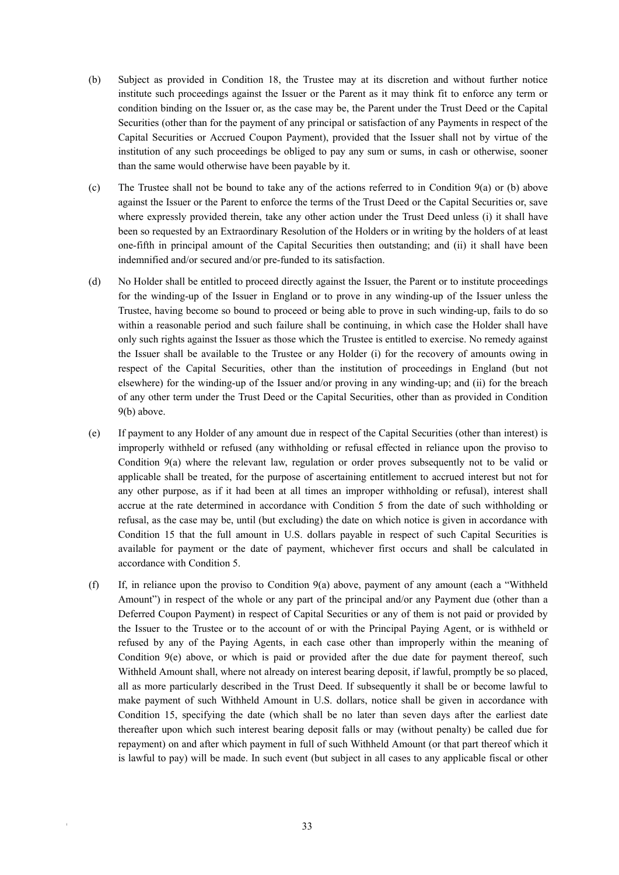- (b) Subject as provided in Condition 18, the Trustee may at its discretion and without further notice institute such proceedings against the Issuer or the Parent as it may think fit to enforce any term or condition binding on the Issuer or, as the case may be, the Parent under the Trust Deed or the Capital Securities (other than for the payment of any principal or satisfaction of any Payments in respect of the Capital Securities or Accrued Coupon Payment), provided that the Issuer shall not by virtue of the institution of any such proceedings be obliged to pay any sum or sums, in cash or otherwise, sooner than the same would otherwise have been payable by it.
- (c) The Trustee shall not be bound to take any of the actions referred to in Condition 9(a) or (b) above against the Issuer or the Parent to enforce the terms of the Trust Deed or the Capital Securities or, save where expressly provided therein, take any other action under the Trust Deed unless (i) it shall have been so requested by an Extraordinary Resolution of the Holders or in writing by the holders of at least one-fifth in principal amount of the Capital Securities then outstanding; and (ii) it shall have been indemnified and/or secured and/or pre-funded to its satisfaction.
- (d) No Holder shall be entitled to proceed directly against the Issuer, the Parent or to institute proceedings for the winding-up of the Issuer in England or to prove in any winding-up of the Issuer unless the Trustee, having become so bound to proceed or being able to prove in such winding-up, fails to do so within a reasonable period and such failure shall be continuing, in which case the Holder shall have only such rights against the Issuer as those which the Trustee is entitled to exercise. No remedy against the Issuer shall be available to the Trustee or any Holder (i) for the recovery of amounts owing in respect of the Capital Securities, other than the institution of proceedings in England (but not elsewhere) for the winding-up of the Issuer and/or proving in any winding-up; and (ii) for the breach of any other term under the Trust Deed or the Capital Securities, other than as provided in Condition 9(b) above.
- (e) If payment to any Holder of any amount due in respect of the Capital Securities (other than interest) is improperly withheld or refused (any withholding or refusal effected in reliance upon the proviso to Condition 9(a) where the relevant law, regulation or order proves subsequently not to be valid or applicable shall be treated, for the purpose of ascertaining entitlement to accrued interest but not for any other purpose, as if it had been at all times an improper withholding or refusal), interest shall accrue at the rate determined in accordance with Condition 5 from the date of such withholding or refusal, as the case may be, until (but excluding) the date on which notice is given in accordance with Condition 15 that the full amount in U.S. dollars payable in respect of such Capital Securities is available for payment or the date of payment, whichever first occurs and shall be calculated in accordance with Condition 5.
- (f) If, in reliance upon the proviso to Condition 9(a) above, payment of any amount (each a "Withheld Amount") in respect of the whole or any part of the principal and/or any Payment due (other than a Deferred Coupon Payment) in respect of Capital Securities or any of them is not paid or provided by the Issuer to the Trustee or to the account of or with the Principal Paying Agent, or is withheld or refused by any of the Paying Agents, in each case other than improperly within the meaning of Condition 9(e) above, or which is paid or provided after the due date for payment thereof, such Withheld Amount shall, where not already on interest bearing deposit, if lawful, promptly be so placed, all as more particularly described in the Trust Deed. If subsequently it shall be or become lawful to make payment of such Withheld Amount in U.S. dollars, notice shall be given in accordance with Condition 15, specifying the date (which shall be no later than seven days after the earliest date thereafter upon which such interest bearing deposit falls or may (without penalty) be called due for repayment) on and after which payment in full of such Withheld Amount (or that part thereof which it is lawful to pay) will be made. In such event (but subject in all cases to any applicable fiscal or other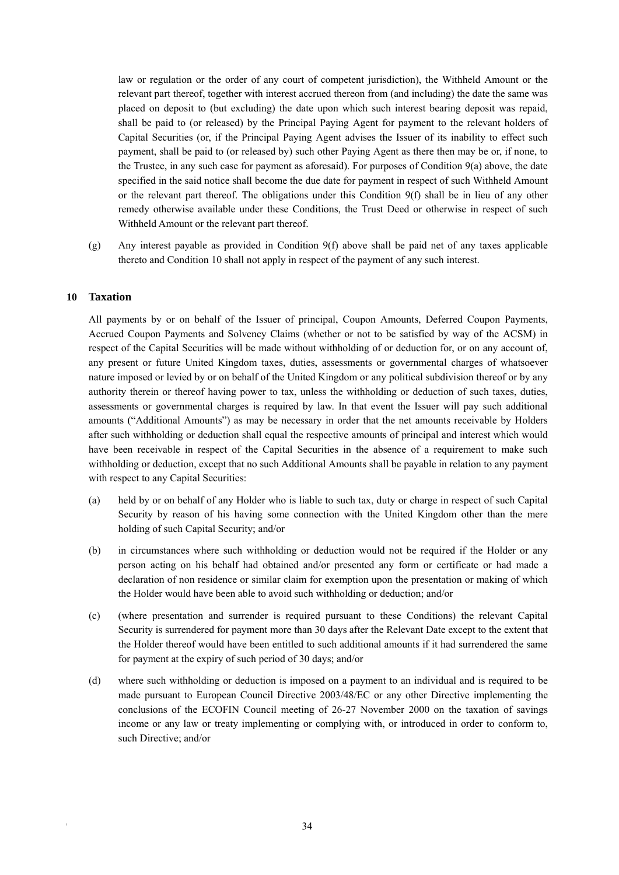law or regulation or the order of any court of competent jurisdiction), the Withheld Amount or the relevant part thereof, together with interest accrued thereon from (and including) the date the same was placed on deposit to (but excluding) the date upon which such interest bearing deposit was repaid, shall be paid to (or released) by the Principal Paying Agent for payment to the relevant holders of Capital Securities (or, if the Principal Paying Agent advises the Issuer of its inability to effect such payment, shall be paid to (or released by) such other Paying Agent as there then may be or, if none, to the Trustee, in any such case for payment as aforesaid). For purposes of Condition 9(a) above, the date specified in the said notice shall become the due date for payment in respect of such Withheld Amount or the relevant part thereof. The obligations under this Condition 9(f) shall be in lieu of any other remedy otherwise available under these Conditions, the Trust Deed or otherwise in respect of such Withheld Amount or the relevant part thereof.

(g) Any interest payable as provided in Condition 9(f) above shall be paid net of any taxes applicable thereto and Condition 10 shall not apply in respect of the payment of any such interest.

#### **10 Taxation**

All payments by or on behalf of the Issuer of principal, Coupon Amounts, Deferred Coupon Payments, Accrued Coupon Payments and Solvency Claims (whether or not to be satisfied by way of the ACSM) in respect of the Capital Securities will be made without withholding of or deduction for, or on any account of, any present or future United Kingdom taxes, duties, assessments or governmental charges of whatsoever nature imposed or levied by or on behalf of the United Kingdom or any political subdivision thereof or by any authority therein or thereof having power to tax, unless the withholding or deduction of such taxes, duties, assessments or governmental charges is required by law. In that event the Issuer will pay such additional amounts ("Additional Amounts") as may be necessary in order that the net amounts receivable by Holders after such withholding or deduction shall equal the respective amounts of principal and interest which would have been receivable in respect of the Capital Securities in the absence of a requirement to make such withholding or deduction, except that no such Additional Amounts shall be payable in relation to any payment with respect to any Capital Securities:

- (a) held by or on behalf of any Holder who is liable to such tax, duty or charge in respect of such Capital Security by reason of his having some connection with the United Kingdom other than the mere holding of such Capital Security; and/or
- (b) in circumstances where such withholding or deduction would not be required if the Holder or any person acting on his behalf had obtained and/or presented any form or certificate or had made a declaration of non residence or similar claim for exemption upon the presentation or making of which the Holder would have been able to avoid such withholding or deduction; and/or
- (c) (where presentation and surrender is required pursuant to these Conditions) the relevant Capital Security is surrendered for payment more than 30 days after the Relevant Date except to the extent that the Holder thereof would have been entitled to such additional amounts if it had surrendered the same for payment at the expiry of such period of 30 days; and/or
- (d) where such withholding or deduction is imposed on a payment to an individual and is required to be made pursuant to European Council Directive 2003/48/EC or any other Directive implementing the conclusions of the ECOFIN Council meeting of 26-27 November 2000 on the taxation of savings income or any law or treaty implementing or complying with, or introduced in order to conform to, such Directive; and/or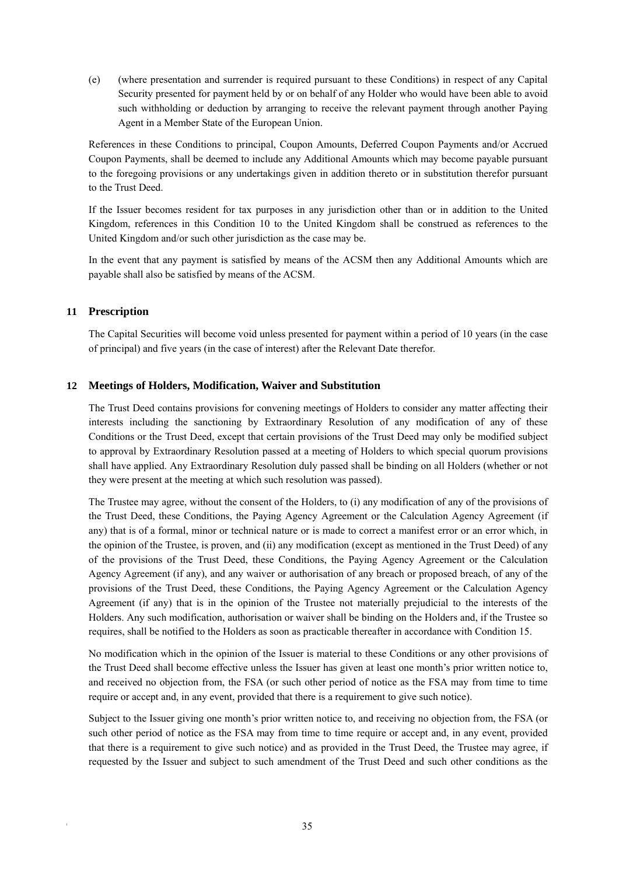(e) (where presentation and surrender is required pursuant to these Conditions) in respect of any Capital Security presented for payment held by or on behalf of any Holder who would have been able to avoid such withholding or deduction by arranging to receive the relevant payment through another Paying Agent in a Member State of the European Union.

References in these Conditions to principal, Coupon Amounts, Deferred Coupon Payments and/or Accrued Coupon Payments, shall be deemed to include any Additional Amounts which may become payable pursuant to the foregoing provisions or any undertakings given in addition thereto or in substitution therefor pursuant to the Trust Deed.

If the Issuer becomes resident for tax purposes in any jurisdiction other than or in addition to the United Kingdom, references in this Condition 10 to the United Kingdom shall be construed as references to the United Kingdom and/or such other jurisdiction as the case may be.

In the event that any payment is satisfied by means of the ACSM then any Additional Amounts which are payable shall also be satisfied by means of the ACSM.

# **11 Prescription**

The Capital Securities will become void unless presented for payment within a period of 10 years (in the case of principal) and five years (in the case of interest) after the Relevant Date therefor.

# **12 Meetings of Holders, Modification, Waiver and Substitution**

The Trust Deed contains provisions for convening meetings of Holders to consider any matter affecting their interests including the sanctioning by Extraordinary Resolution of any modification of any of these Conditions or the Trust Deed, except that certain provisions of the Trust Deed may only be modified subject to approval by Extraordinary Resolution passed at a meeting of Holders to which special quorum provisions shall have applied. Any Extraordinary Resolution duly passed shall be binding on all Holders (whether or not they were present at the meeting at which such resolution was passed).

The Trustee may agree, without the consent of the Holders, to (i) any modification of any of the provisions of the Trust Deed, these Conditions, the Paying Agency Agreement or the Calculation Agency Agreement (if any) that is of a formal, minor or technical nature or is made to correct a manifest error or an error which, in the opinion of the Trustee, is proven, and (ii) any modification (except as mentioned in the Trust Deed) of any of the provisions of the Trust Deed, these Conditions, the Paying Agency Agreement or the Calculation Agency Agreement (if any), and any waiver or authorisation of any breach or proposed breach, of any of the provisions of the Trust Deed, these Conditions, the Paying Agency Agreement or the Calculation Agency Agreement (if any) that is in the opinion of the Trustee not materially prejudicial to the interests of the Holders. Any such modification, authorisation or waiver shall be binding on the Holders and, if the Trustee so requires, shall be notified to the Holders as soon as practicable thereafter in accordance with Condition 15.

No modification which in the opinion of the Issuer is material to these Conditions or any other provisions of the Trust Deed shall become effective unless the Issuer has given at least one month's prior written notice to, and received no objection from, the FSA (or such other period of notice as the FSA may from time to time require or accept and, in any event, provided that there is a requirement to give such notice).

Subject to the Issuer giving one month's prior written notice to, and receiving no objection from, the FSA (or such other period of notice as the FSA may from time to time require or accept and, in any event, provided that there is a requirement to give such notice) and as provided in the Trust Deed, the Trustee may agree, if requested by the Issuer and subject to such amendment of the Trust Deed and such other conditions as the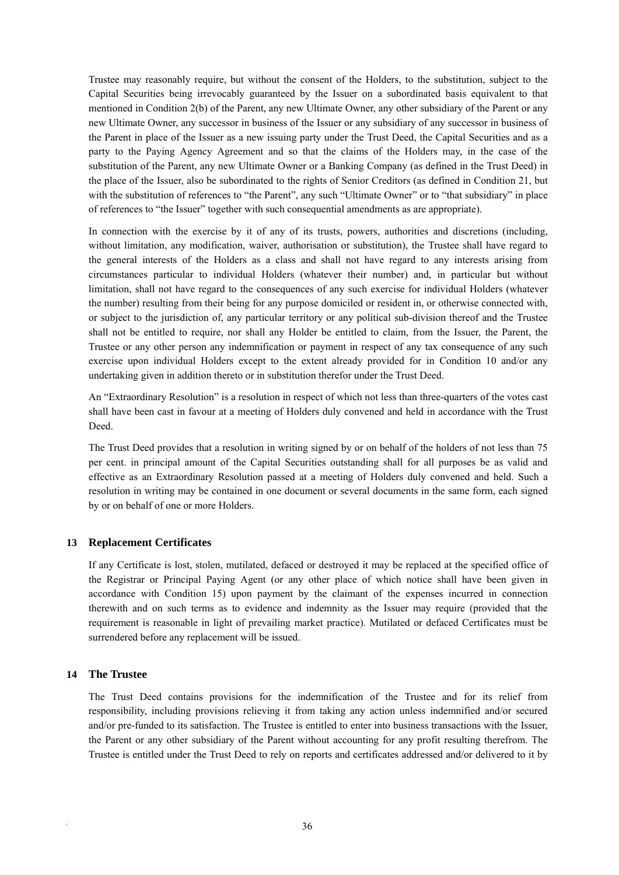Trustee may reasonably require, but without the consent of the Holders, to the substitution, subject to the Capital Securities being irrevocably guaranteed by the Issuer on a subordinated basis equivalent to that mentioned in Condition 2(b) of the Parent, any new Ultimate Owner, any other subsidiary of the Parent or any new Ultimate Owner, any successor in business of the Issuer or any subsidiary of any successor in business of the Parent in place of the Issuer as a new issuing party under the Trust Deed, the Capital Securities and as a party to the Paying Agency Agreement and so that the claims of the Holders may, in the case of the substitution of the Parent, any new Ultimate Owner or a Banking Company (as defined in the Trust Deed) in the place of the Issuer, also be subordinated to the rights of Senior Creditors (as defined in Condition 21, but with the substitution of references to "the Parent", any such "Ultimate Owner" or to "that subsidiary" in place of references to "the Issuer" together with such consequential amendments as are appropriate).

In connection with the exercise by it of any of its trusts, powers, authorities and discretions (including, without limitation, any modification, waiver, authorisation or substitution), the Trustee shall have regard to the general interests of the Holders as a class and shall not have regard to any interests arising from circumstances particular to individual Holders (whatever their number) and, in particular but without limitation, shall not have regard to the consequences of any such exercise for individual Holders (whatever the number) resulting from their being for any purpose domiciled or resident in, or otherwise connected with, or subject to the jurisdiction of, any particular territory or any political sub-division thereof and the Trustee shall not be entitled to require, nor shall any Holder be entitled to claim, from the Issuer, the Parent, the Trustee or any other person any indemnification or payment in respect of any tax consequence of any such exercise upon individual Holders except to the extent already provided for in Condition 10 and/or any undertaking given in addition thereto or in substitution therefor under the Trust Deed.

An "Extraordinary Resolution" is a resolution in respect of which not less than three-quarters of the votes cast shall have been cast in favour at a meeting of Holders duly convened and held in accordance with the Trust Deed.

The Trust Deed provides that a resolution in writing signed by or on behalf of the holders of not less than 75 per cent. in principal amount of the Capital Securities outstanding shall for all purposes be as valid and effective as an Extraordinary Resolution passed at a meeting of Holders duly convened and held. Such a resolution in writing may be contained in one document or several documents in the same form, each signed by or on behalf of one or more Holders.

# **13 Replacement Certificates**

If any Certificate is lost, stolen, mutilated, defaced or destroyed it may be replaced at the specified office of the Registrar or Principal Paying Agent (or any other place of which notice shall have been given in accordance with Condition 15) upon payment by the claimant of the expenses incurred in connection therewith and on such terms as to evidence and indemnity as the Issuer may require (provided that the requirement is reasonable in light of prevailing market practice). Mutilated or defaced Certificates must be surrendered before any replacement will be issued.

#### **14 The Trustee**

The Trust Deed contains provisions for the indemnification of the Trustee and for its relief from responsibility, including provisions relieving it from taking any action unless indemnified and/or secured and/or pre-funded to its satisfaction. The Trustee is entitled to enter into business transactions with the Issuer, the Parent or any other subsidiary of the Parent without accounting for any profit resulting therefrom. The Trustee is entitled under the Trust Deed to rely on reports and certificates addressed and/or delivered to it by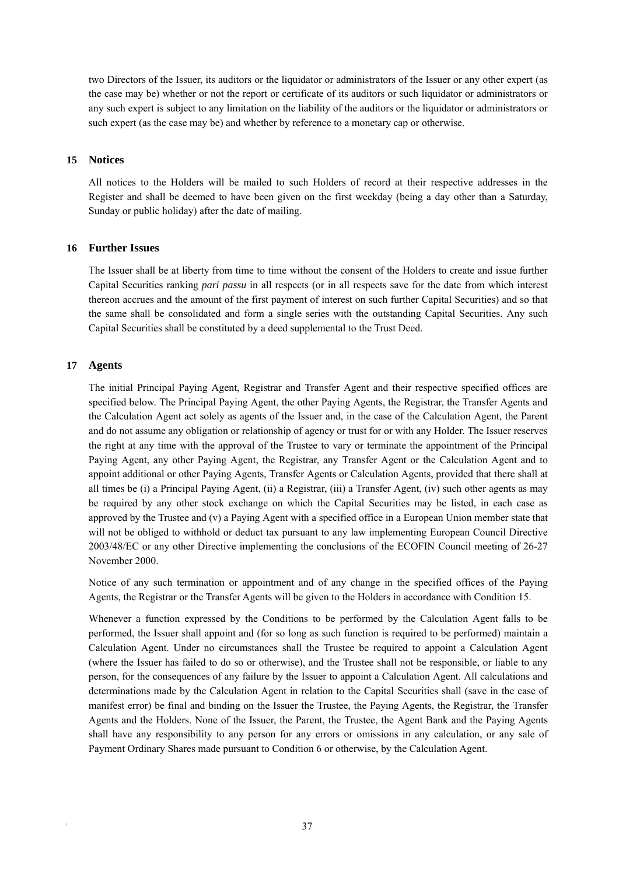two Directors of the Issuer, its auditors or the liquidator or administrators of the Issuer or any other expert (as the case may be) whether or not the report or certificate of its auditors or such liquidator or administrators or any such expert is subject to any limitation on the liability of the auditors or the liquidator or administrators or such expert (as the case may be) and whether by reference to a monetary cap or otherwise.

# **15 Notices**

All notices to the Holders will be mailed to such Holders of record at their respective addresses in the Register and shall be deemed to have been given on the first weekday (being a day other than a Saturday, Sunday or public holiday) after the date of mailing.

# **16 Further Issues**

The Issuer shall be at liberty from time to time without the consent of the Holders to create and issue further Capital Securities ranking *pari passu* in all respects (or in all respects save for the date from which interest thereon accrues and the amount of the first payment of interest on such further Capital Securities) and so that the same shall be consolidated and form a single series with the outstanding Capital Securities. Any such Capital Securities shall be constituted by a deed supplemental to the Trust Deed.

# **17 Agents**

The initial Principal Paying Agent, Registrar and Transfer Agent and their respective specified offices are specified below. The Principal Paying Agent, the other Paying Agents, the Registrar, the Transfer Agents and the Calculation Agent act solely as agents of the Issuer and, in the case of the Calculation Agent, the Parent and do not assume any obligation or relationship of agency or trust for or with any Holder. The Issuer reserves the right at any time with the approval of the Trustee to vary or terminate the appointment of the Principal Paying Agent, any other Paying Agent, the Registrar, any Transfer Agent or the Calculation Agent and to appoint additional or other Paying Agents, Transfer Agents or Calculation Agents, provided that there shall at all times be (i) a Principal Paying Agent, (ii) a Registrar, (iii) a Transfer Agent, (iv) such other agents as may be required by any other stock exchange on which the Capital Securities may be listed, in each case as approved by the Trustee and (v) a Paying Agent with a specified office in a European Union member state that will not be obliged to withhold or deduct tax pursuant to any law implementing European Council Directive 2003/48/EC or any other Directive implementing the conclusions of the ECOFIN Council meeting of 26-27 November 2000.

Notice of any such termination or appointment and of any change in the specified offices of the Paying Agents, the Registrar or the Transfer Agents will be given to the Holders in accordance with Condition 15.

Whenever a function expressed by the Conditions to be performed by the Calculation Agent falls to be performed, the Issuer shall appoint and (for so long as such function is required to be performed) maintain a Calculation Agent. Under no circumstances shall the Trustee be required to appoint a Calculation Agent (where the Issuer has failed to do so or otherwise), and the Trustee shall not be responsible, or liable to any person, for the consequences of any failure by the Issuer to appoint a Calculation Agent. All calculations and determinations made by the Calculation Agent in relation to the Capital Securities shall (save in the case of manifest error) be final and binding on the Issuer the Trustee, the Paying Agents, the Registrar, the Transfer Agents and the Holders. None of the Issuer, the Parent, the Trustee, the Agent Bank and the Paying Agents shall have any responsibility to any person for any errors or omissions in any calculation, or any sale of Payment Ordinary Shares made pursuant to Condition 6 or otherwise, by the Calculation Agent.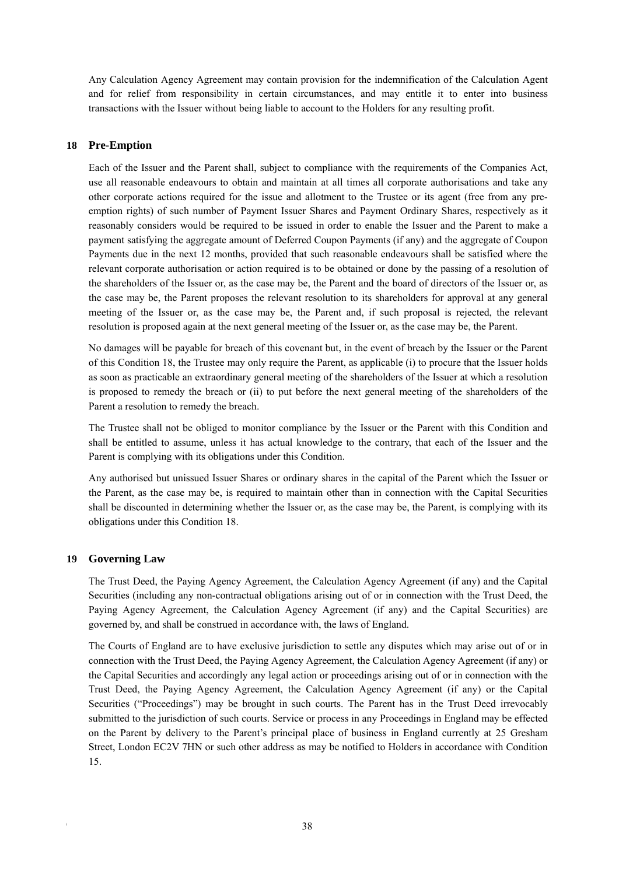Any Calculation Agency Agreement may contain provision for the indemnification of the Calculation Agent and for relief from responsibility in certain circumstances, and may entitle it to enter into business transactions with the Issuer without being liable to account to the Holders for any resulting profit.

# **18 Pre-Emption**

Each of the Issuer and the Parent shall, subject to compliance with the requirements of the Companies Act, use all reasonable endeavours to obtain and maintain at all times all corporate authorisations and take any other corporate actions required for the issue and allotment to the Trustee or its agent (free from any preemption rights) of such number of Payment Issuer Shares and Payment Ordinary Shares, respectively as it reasonably considers would be required to be issued in order to enable the Issuer and the Parent to make a payment satisfying the aggregate amount of Deferred Coupon Payments (if any) and the aggregate of Coupon Payments due in the next 12 months, provided that such reasonable endeavours shall be satisfied where the relevant corporate authorisation or action required is to be obtained or done by the passing of a resolution of the shareholders of the Issuer or, as the case may be, the Parent and the board of directors of the Issuer or, as the case may be, the Parent proposes the relevant resolution to its shareholders for approval at any general meeting of the Issuer or, as the case may be, the Parent and, if such proposal is rejected, the relevant resolution is proposed again at the next general meeting of the Issuer or, as the case may be, the Parent.

No damages will be payable for breach of this covenant but, in the event of breach by the Issuer or the Parent of this Condition 18, the Trustee may only require the Parent, as applicable (i) to procure that the Issuer holds as soon as practicable an extraordinary general meeting of the shareholders of the Issuer at which a resolution is proposed to remedy the breach or (ii) to put before the next general meeting of the shareholders of the Parent a resolution to remedy the breach.

The Trustee shall not be obliged to monitor compliance by the Issuer or the Parent with this Condition and shall be entitled to assume, unless it has actual knowledge to the contrary, that each of the Issuer and the Parent is complying with its obligations under this Condition.

Any authorised but unissued Issuer Shares or ordinary shares in the capital of the Parent which the Issuer or the Parent, as the case may be, is required to maintain other than in connection with the Capital Securities shall be discounted in determining whether the Issuer or, as the case may be, the Parent, is complying with its obligations under this Condition 18.

# **19 Governing Law**

The Trust Deed, the Paying Agency Agreement, the Calculation Agency Agreement (if any) and the Capital Securities (including any non-contractual obligations arising out of or in connection with the Trust Deed, the Paying Agency Agreement, the Calculation Agency Agreement (if any) and the Capital Securities) are governed by, and shall be construed in accordance with, the laws of England.

The Courts of England are to have exclusive jurisdiction to settle any disputes which may arise out of or in connection with the Trust Deed, the Paying Agency Agreement, the Calculation Agency Agreement (if any) or the Capital Securities and accordingly any legal action or proceedings arising out of or in connection with the Trust Deed, the Paying Agency Agreement, the Calculation Agency Agreement (if any) or the Capital Securities ("Proceedings") may be brought in such courts. The Parent has in the Trust Deed irrevocably submitted to the jurisdiction of such courts. Service or process in any Proceedings in England may be effected on the Parent by delivery to the Parent's principal place of business in England currently at 25 Gresham Street, London EC2V 7HN or such other address as may be notified to Holders in accordance with Condition 15.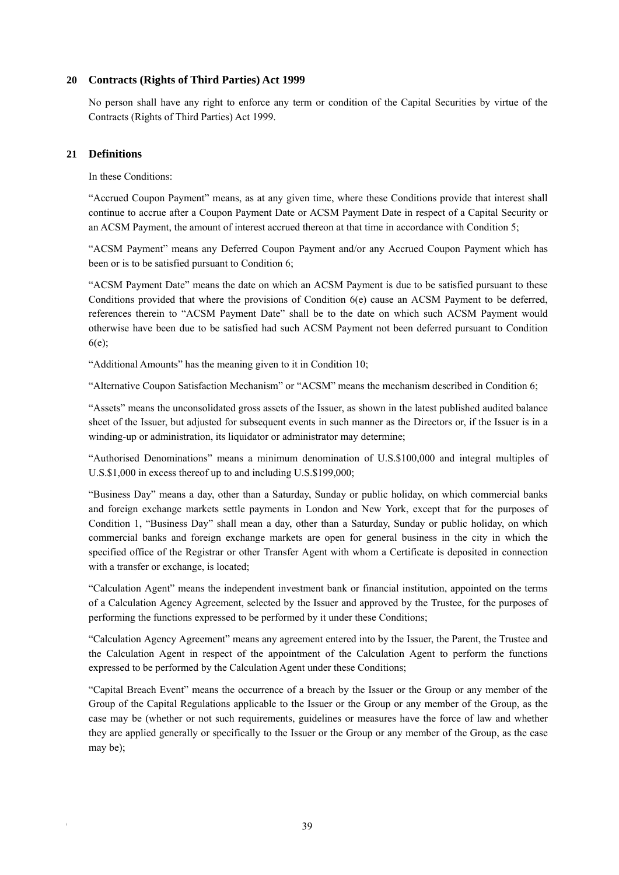# **20 Contracts (Rights of Third Parties) Act 1999**

No person shall have any right to enforce any term or condition of the Capital Securities by virtue of the Contracts (Rights of Third Parties) Act 1999.

# **21 Definitions**

In these Conditions:

"Accrued Coupon Payment" means, as at any given time, where these Conditions provide that interest shall continue to accrue after a Coupon Payment Date or ACSM Payment Date in respect of a Capital Security or an ACSM Payment, the amount of interest accrued thereon at that time in accordance with Condition 5;

"ACSM Payment" means any Deferred Coupon Payment and/or any Accrued Coupon Payment which has been or is to be satisfied pursuant to Condition 6;

"ACSM Payment Date" means the date on which an ACSM Payment is due to be satisfied pursuant to these Conditions provided that where the provisions of Condition 6(e) cause an ACSM Payment to be deferred, references therein to "ACSM Payment Date" shall be to the date on which such ACSM Payment would otherwise have been due to be satisfied had such ACSM Payment not been deferred pursuant to Condition 6(e);

"Additional Amounts" has the meaning given to it in Condition 10;

"Alternative Coupon Satisfaction Mechanism" or "ACSM" means the mechanism described in Condition 6;

"Assets" means the unconsolidated gross assets of the Issuer, as shown in the latest published audited balance sheet of the Issuer, but adjusted for subsequent events in such manner as the Directors or, if the Issuer is in a winding-up or administration, its liquidator or administrator may determine;

"Authorised Denominations" means a minimum denomination of U.S.\$100,000 and integral multiples of U.S.\$1,000 in excess thereof up to and including U.S.\$199,000;

"Business Day" means a day, other than a Saturday, Sunday or public holiday, on which commercial banks and foreign exchange markets settle payments in London and New York, except that for the purposes of Condition 1, "Business Day" shall mean a day, other than a Saturday, Sunday or public holiday, on which commercial banks and foreign exchange markets are open for general business in the city in which the specified office of the Registrar or other Transfer Agent with whom a Certificate is deposited in connection with a transfer or exchange, is located;

"Calculation Agent" means the independent investment bank or financial institution, appointed on the terms of a Calculation Agency Agreement, selected by the Issuer and approved by the Trustee, for the purposes of performing the functions expressed to be performed by it under these Conditions;

"Calculation Agency Agreement" means any agreement entered into by the Issuer, the Parent, the Trustee and the Calculation Agent in respect of the appointment of the Calculation Agent to perform the functions expressed to be performed by the Calculation Agent under these Conditions;

"Capital Breach Event" means the occurrence of a breach by the Issuer or the Group or any member of the Group of the Capital Regulations applicable to the Issuer or the Group or any member of the Group, as the case may be (whether or not such requirements, guidelines or measures have the force of law and whether they are applied generally or specifically to the Issuer or the Group or any member of the Group, as the case may be);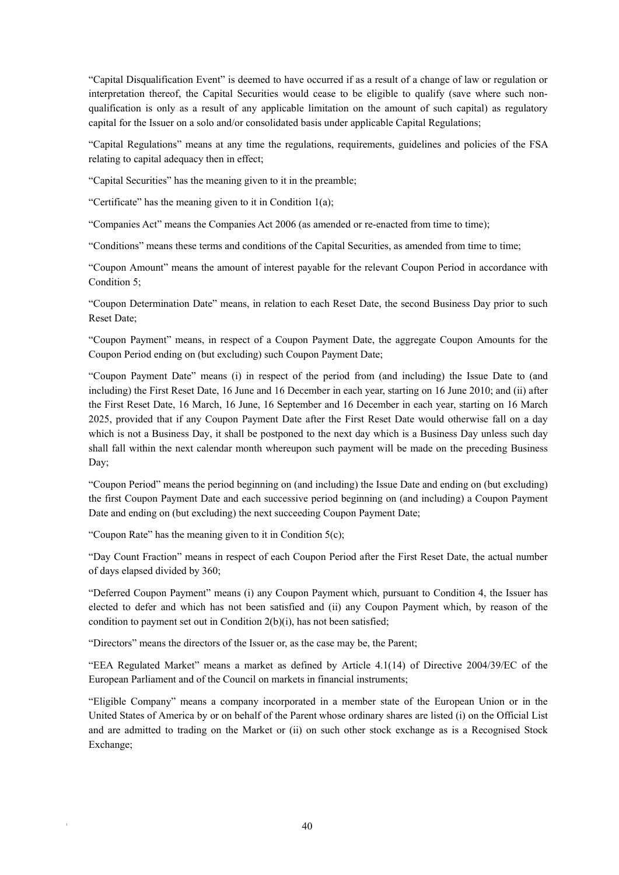"Capital Disqualification Event" is deemed to have occurred if as a result of a change of law or regulation or interpretation thereof, the Capital Securities would cease to be eligible to qualify (save where such nonqualification is only as a result of any applicable limitation on the amount of such capital) as regulatory capital for the Issuer on a solo and/or consolidated basis under applicable Capital Regulations;

"Capital Regulations" means at any time the regulations, requirements, guidelines and policies of the FSA relating to capital adequacy then in effect;

"Capital Securities" has the meaning given to it in the preamble;

"Certificate" has the meaning given to it in Condition 1(a);

"Companies Act" means the Companies Act 2006 (as amended or re-enacted from time to time);

"Conditions" means these terms and conditions of the Capital Securities, as amended from time to time;

"Coupon Amount" means the amount of interest payable for the relevant Coupon Period in accordance with Condition 5;

"Coupon Determination Date" means, in relation to each Reset Date, the second Business Day prior to such Reset Date;

"Coupon Payment" means, in respect of a Coupon Payment Date, the aggregate Coupon Amounts for the Coupon Period ending on (but excluding) such Coupon Payment Date;

"Coupon Payment Date" means (i) in respect of the period from (and including) the Issue Date to (and including) the First Reset Date, 16 June and 16 December in each year, starting on 16 June 2010; and (ii) after the First Reset Date, 16 March, 16 June, 16 September and 16 December in each year, starting on 16 March 2025, provided that if any Coupon Payment Date after the First Reset Date would otherwise fall on a day which is not a Business Day, it shall be postponed to the next day which is a Business Day unless such day shall fall within the next calendar month whereupon such payment will be made on the preceding Business Day;

"Coupon Period" means the period beginning on (and including) the Issue Date and ending on (but excluding) the first Coupon Payment Date and each successive period beginning on (and including) a Coupon Payment Date and ending on (but excluding) the next succeeding Coupon Payment Date;

"Coupon Rate" has the meaning given to it in Condition 5(c);

"Day Count Fraction" means in respect of each Coupon Period after the First Reset Date, the actual number of days elapsed divided by 360;

"Deferred Coupon Payment" means (i) any Coupon Payment which, pursuant to Condition 4, the Issuer has elected to defer and which has not been satisfied and (ii) any Coupon Payment which, by reason of the condition to payment set out in Condition 2(b)(i), has not been satisfied;

"Directors" means the directors of the Issuer or, as the case may be, the Parent;

"EEA Regulated Market" means a market as defined by Article 4.1(14) of Directive 2004/39/EC of the European Parliament and of the Council on markets in financial instruments;

"Eligible Company" means a company incorporated in a member state of the European Union or in the United States of America by or on behalf of the Parent whose ordinary shares are listed (i) on the Official List and are admitted to trading on the Market or (ii) on such other stock exchange as is a Recognised Stock Exchange;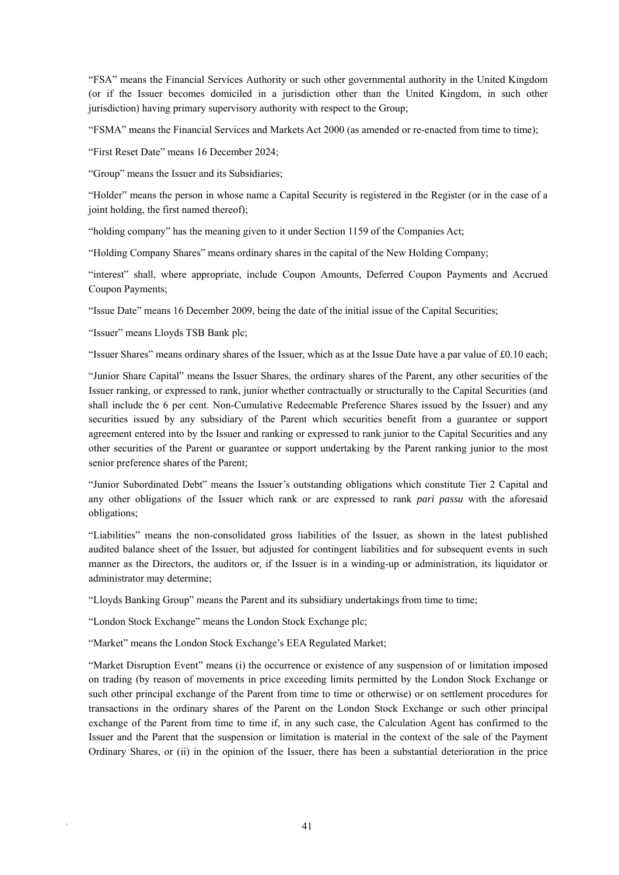"FSA" means the Financial Services Authority or such other governmental authority in the United Kingdom (or if the Issuer becomes domiciled in a jurisdiction other than the United Kingdom, in such other jurisdiction) having primary supervisory authority with respect to the Group;

"FSMA" means the Financial Services and Markets Act 2000 (as amended or re-enacted from time to time);

"First Reset Date" means 16 December 2024;

"Group" means the Issuer and its Subsidiaries;

"Holder" means the person in whose name a Capital Security is registered in the Register (or in the case of a joint holding, the first named thereof);

"holding company" has the meaning given to it under Section 1159 of the Companies Act;

"Holding Company Shares" means ordinary shares in the capital of the New Holding Company;

"interest" shall, where appropriate, include Coupon Amounts, Deferred Coupon Payments and Accrued Coupon Payments;

"Issue Date" means 16 December 2009, being the date of the initial issue of the Capital Securities;

"Issuer" means Lloyds TSB Bank plc;

"Issuer Shares" means ordinary shares of the Issuer, which as at the Issue Date have a par value of £0.10 each;

"Junior Share Capital" means the Issuer Shares, the ordinary shares of the Parent, any other securities of the Issuer ranking, or expressed to rank, junior whether contractually or structurally to the Capital Securities (and shall include the 6 per cent. Non-Cumulative Redeemable Preference Shares issued by the Issuer) and any securities issued by any subsidiary of the Parent which securities benefit from a guarantee or support agreement entered into by the Issuer and ranking or expressed to rank junior to the Capital Securities and any other securities of the Parent or guarantee or support undertaking by the Parent ranking junior to the most senior preference shares of the Parent;

"Junior Subordinated Debt" means the Issuer's outstanding obligations which constitute Tier 2 Capital and any other obligations of the Issuer which rank or are expressed to rank *pari passu* with the aforesaid obligations;

"Liabilities" means the non-consolidated gross liabilities of the Issuer, as shown in the latest published audited balance sheet of the Issuer, but adjusted for contingent liabilities and for subsequent events in such manner as the Directors, the auditors or, if the Issuer is in a winding-up or administration, its liquidator or administrator may determine;

"Lloyds Banking Group" means the Parent and its subsidiary undertakings from time to time;

"London Stock Exchange" means the London Stock Exchange plc;

"Market" means the London Stock Exchange's EEA Regulated Market;

"Market Disruption Event" means (i) the occurrence or existence of any suspension of or limitation imposed on trading (by reason of movements in price exceeding limits permitted by the London Stock Exchange or such other principal exchange of the Parent from time to time or otherwise) or on settlement procedures for transactions in the ordinary shares of the Parent on the London Stock Exchange or such other principal exchange of the Parent from time to time if, in any such case, the Calculation Agent has confirmed to the Issuer and the Parent that the suspension or limitation is material in the context of the sale of the Payment Ordinary Shares, or (ii) in the opinion of the Issuer, there has been a substantial deterioration in the price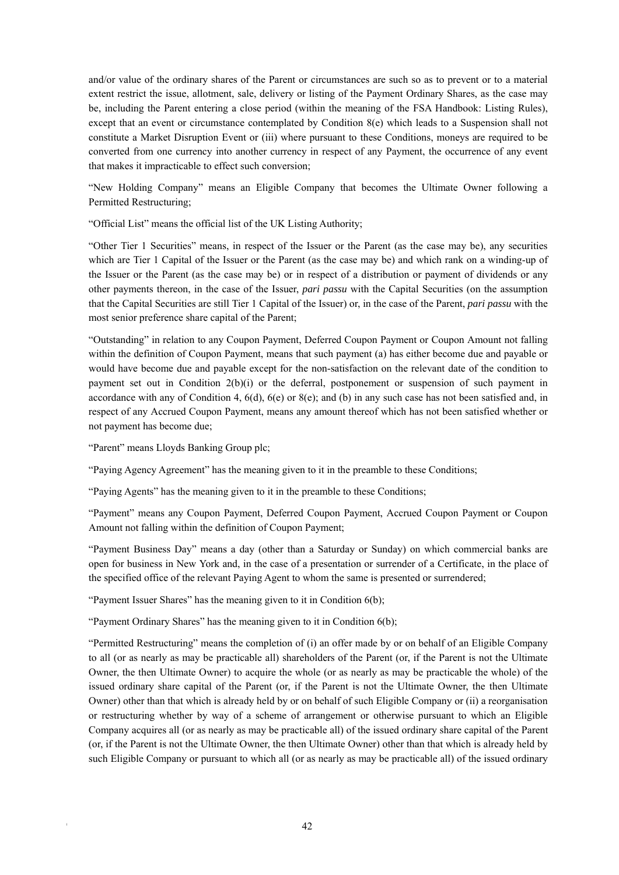and/or value of the ordinary shares of the Parent or circumstances are such so as to prevent or to a material extent restrict the issue, allotment, sale, delivery or listing of the Payment Ordinary Shares, as the case may be, including the Parent entering a close period (within the meaning of the FSA Handbook: Listing Rules), except that an event or circumstance contemplated by Condition 8(e) which leads to a Suspension shall not constitute a Market Disruption Event or (iii) where pursuant to these Conditions, moneys are required to be converted from one currency into another currency in respect of any Payment, the occurrence of any event that makes it impracticable to effect such conversion;

"New Holding Company" means an Eligible Company that becomes the Ultimate Owner following a Permitted Restructuring;

"Official List" means the official list of the UK Listing Authority;

"Other Tier 1 Securities" means, in respect of the Issuer or the Parent (as the case may be), any securities which are Tier 1 Capital of the Issuer or the Parent (as the case may be) and which rank on a winding-up of the Issuer or the Parent (as the case may be) or in respect of a distribution or payment of dividends or any other payments thereon, in the case of the Issuer, *pari passu* with the Capital Securities (on the assumption that the Capital Securities are still Tier 1 Capital of the Issuer) or, in the case of the Parent, *pari passu* with the most senior preference share capital of the Parent;

"Outstanding" in relation to any Coupon Payment, Deferred Coupon Payment or Coupon Amount not falling within the definition of Coupon Payment, means that such payment (a) has either become due and payable or would have become due and payable except for the non-satisfaction on the relevant date of the condition to payment set out in Condition 2(b)(i) or the deferral, postponement or suspension of such payment in accordance with any of Condition 4,  $6(d)$ ,  $6(e)$  or  $8(e)$ ; and (b) in any such case has not been satisfied and, in respect of any Accrued Coupon Payment, means any amount thereof which has not been satisfied whether or not payment has become due;

"Parent" means Lloyds Banking Group plc;

"Paying Agency Agreement" has the meaning given to it in the preamble to these Conditions;

"Paying Agents" has the meaning given to it in the preamble to these Conditions;

"Payment" means any Coupon Payment, Deferred Coupon Payment, Accrued Coupon Payment or Coupon Amount not falling within the definition of Coupon Payment;

"Payment Business Day" means a day (other than a Saturday or Sunday) on which commercial banks are open for business in New York and, in the case of a presentation or surrender of a Certificate, in the place of the specified office of the relevant Paying Agent to whom the same is presented or surrendered;

"Payment Issuer Shares" has the meaning given to it in Condition 6(b);

"Payment Ordinary Shares" has the meaning given to it in Condition 6(b);

"Permitted Restructuring" means the completion of (i) an offer made by or on behalf of an Eligible Company to all (or as nearly as may be practicable all) shareholders of the Parent (or, if the Parent is not the Ultimate Owner, the then Ultimate Owner) to acquire the whole (or as nearly as may be practicable the whole) of the issued ordinary share capital of the Parent (or, if the Parent is not the Ultimate Owner, the then Ultimate Owner) other than that which is already held by or on behalf of such Eligible Company or (ii) a reorganisation or restructuring whether by way of a scheme of arrangement or otherwise pursuant to which an Eligible Company acquires all (or as nearly as may be practicable all) of the issued ordinary share capital of the Parent (or, if the Parent is not the Ultimate Owner, the then Ultimate Owner) other than that which is already held by such Eligible Company or pursuant to which all (or as nearly as may be practicable all) of the issued ordinary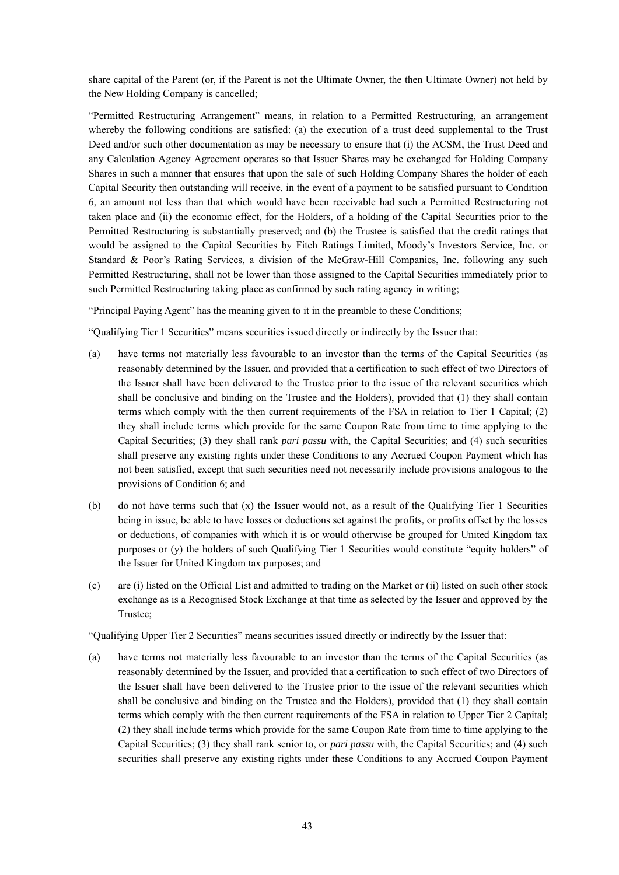share capital of the Parent (or, if the Parent is not the Ultimate Owner, the then Ultimate Owner) not held by the New Holding Company is cancelled;

"Permitted Restructuring Arrangement" means, in relation to a Permitted Restructuring, an arrangement whereby the following conditions are satisfied: (a) the execution of a trust deed supplemental to the Trust Deed and/or such other documentation as may be necessary to ensure that (i) the ACSM, the Trust Deed and any Calculation Agency Agreement operates so that Issuer Shares may be exchanged for Holding Company Shares in such a manner that ensures that upon the sale of such Holding Company Shares the holder of each Capital Security then outstanding will receive, in the event of a payment to be satisfied pursuant to Condition 6, an amount not less than that which would have been receivable had such a Permitted Restructuring not taken place and (ii) the economic effect, for the Holders, of a holding of the Capital Securities prior to the Permitted Restructuring is substantially preserved; and (b) the Trustee is satisfied that the credit ratings that would be assigned to the Capital Securities by Fitch Ratings Limited, Moody's Investors Service, Inc. or Standard & Poor's Rating Services, a division of the McGraw-Hill Companies, Inc. following any such Permitted Restructuring, shall not be lower than those assigned to the Capital Securities immediately prior to such Permitted Restructuring taking place as confirmed by such rating agency in writing;

"Principal Paying Agent" has the meaning given to it in the preamble to these Conditions;

"Qualifying Tier 1 Securities" means securities issued directly or indirectly by the Issuer that:

- (a) have terms not materially less favourable to an investor than the terms of the Capital Securities (as reasonably determined by the Issuer, and provided that a certification to such effect of two Directors of the Issuer shall have been delivered to the Trustee prior to the issue of the relevant securities which shall be conclusive and binding on the Trustee and the Holders), provided that (1) they shall contain terms which comply with the then current requirements of the FSA in relation to Tier 1 Capital; (2) they shall include terms which provide for the same Coupon Rate from time to time applying to the Capital Securities; (3) they shall rank *pari passu* with, the Capital Securities; and (4) such securities shall preserve any existing rights under these Conditions to any Accrued Coupon Payment which has not been satisfied, except that such securities need not necessarily include provisions analogous to the provisions of Condition 6; and
- (b) do not have terms such that (x) the Issuer would not, as a result of the Qualifying Tier 1 Securities being in issue, be able to have losses or deductions set against the profits, or profits offset by the losses or deductions, of companies with which it is or would otherwise be grouped for United Kingdom tax purposes or (y) the holders of such Qualifying Tier 1 Securities would constitute "equity holders" of the Issuer for United Kingdom tax purposes; and
- (c) are (i) listed on the Official List and admitted to trading on the Market or (ii) listed on such other stock exchange as is a Recognised Stock Exchange at that time as selected by the Issuer and approved by the Trustee;

"Qualifying Upper Tier 2 Securities" means securities issued directly or indirectly by the Issuer that:

(a) have terms not materially less favourable to an investor than the terms of the Capital Securities (as reasonably determined by the Issuer, and provided that a certification to such effect of two Directors of the Issuer shall have been delivered to the Trustee prior to the issue of the relevant securities which shall be conclusive and binding on the Trustee and the Holders), provided that (1) they shall contain terms which comply with the then current requirements of the FSA in relation to Upper Tier 2 Capital; (2) they shall include terms which provide for the same Coupon Rate from time to time applying to the Capital Securities; (3) they shall rank senior to, or *pari passu* with, the Capital Securities; and (4) such securities shall preserve any existing rights under these Conditions to any Accrued Coupon Payment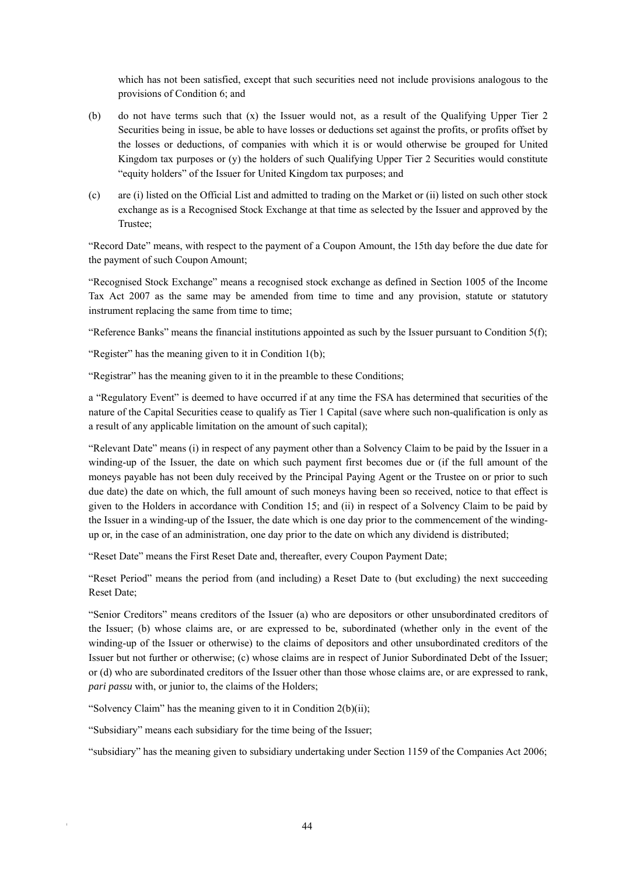which has not been satisfied, except that such securities need not include provisions analogous to the provisions of Condition 6; and

- (b) do not have terms such that (x) the Issuer would not, as a result of the Qualifying Upper Tier 2 Securities being in issue, be able to have losses or deductions set against the profits, or profits offset by the losses or deductions, of companies with which it is or would otherwise be grouped for United Kingdom tax purposes or (y) the holders of such Qualifying Upper Tier 2 Securities would constitute "equity holders" of the Issuer for United Kingdom tax purposes; and
- (c) are (i) listed on the Official List and admitted to trading on the Market or (ii) listed on such other stock exchange as is a Recognised Stock Exchange at that time as selected by the Issuer and approved by the Trustee;

"Record Date" means, with respect to the payment of a Coupon Amount, the 15th day before the due date for the payment of such Coupon Amount;

"Recognised Stock Exchange" means a recognised stock exchange as defined in Section 1005 of the Income Tax Act 2007 as the same may be amended from time to time and any provision, statute or statutory instrument replacing the same from time to time;

"Reference Banks" means the financial institutions appointed as such by the Issuer pursuant to Condition 5(f);

"Register" has the meaning given to it in Condition 1(b);

"Registrar" has the meaning given to it in the preamble to these Conditions;

a "Regulatory Event" is deemed to have occurred if at any time the FSA has determined that securities of the nature of the Capital Securities cease to qualify as Tier 1 Capital (save where such non-qualification is only as a result of any applicable limitation on the amount of such capital);

"Relevant Date" means (i) in respect of any payment other than a Solvency Claim to be paid by the Issuer in a winding-up of the Issuer, the date on which such payment first becomes due or (if the full amount of the moneys payable has not been duly received by the Principal Paying Agent or the Trustee on or prior to such due date) the date on which, the full amount of such moneys having been so received, notice to that effect is given to the Holders in accordance with Condition 15; and (ii) in respect of a Solvency Claim to be paid by the Issuer in a winding-up of the Issuer, the date which is one day prior to the commencement of the windingup or, in the case of an administration, one day prior to the date on which any dividend is distributed;

"Reset Date" means the First Reset Date and, thereafter, every Coupon Payment Date;

"Reset Period" means the period from (and including) a Reset Date to (but excluding) the next succeeding Reset Date;

"Senior Creditors" means creditors of the Issuer (a) who are depositors or other unsubordinated creditors of the Issuer; (b) whose claims are, or are expressed to be, subordinated (whether only in the event of the winding-up of the Issuer or otherwise) to the claims of depositors and other unsubordinated creditors of the Issuer but not further or otherwise; (c) whose claims are in respect of Junior Subordinated Debt of the Issuer; or (d) who are subordinated creditors of the Issuer other than those whose claims are, or are expressed to rank, *pari passu* with, or junior to, the claims of the Holders;

"Solvency Claim" has the meaning given to it in Condition 2(b)(ii);

"Subsidiary" means each subsidiary for the time being of the Issuer;

"subsidiary" has the meaning given to subsidiary undertaking under Section 1159 of the Companies Act 2006;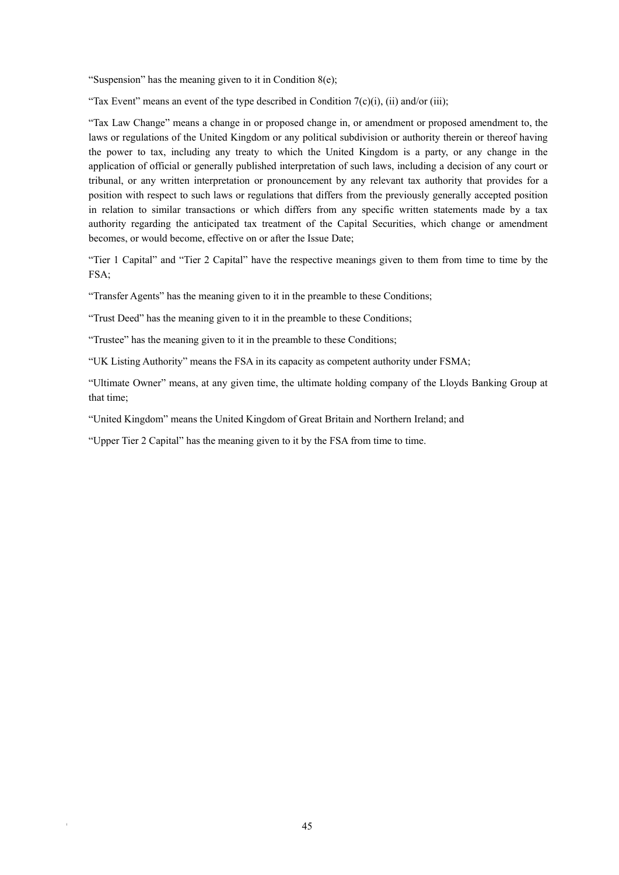"Suspension" has the meaning given to it in Condition 8(e);

"Tax Event" means an event of the type described in Condition  $7(c)(i)$ , (ii) and/or (iii);

"Tax Law Change" means a change in or proposed change in, or amendment or proposed amendment to, the laws or regulations of the United Kingdom or any political subdivision or authority therein or thereof having the power to tax, including any treaty to which the United Kingdom is a party, or any change in the application of official or generally published interpretation of such laws, including a decision of any court or tribunal, or any written interpretation or pronouncement by any relevant tax authority that provides for a position with respect to such laws or regulations that differs from the previously generally accepted position in relation to similar transactions or which differs from any specific written statements made by a tax authority regarding the anticipated tax treatment of the Capital Securities, which change or amendment becomes, or would become, effective on or after the Issue Date;

"Tier 1 Capital" and "Tier 2 Capital" have the respective meanings given to them from time to time by the FSA;

"Transfer Agents" has the meaning given to it in the preamble to these Conditions;

"Trust Deed" has the meaning given to it in the preamble to these Conditions;

"Trustee" has the meaning given to it in the preamble to these Conditions;

"UK Listing Authority" means the FSA in its capacity as competent authority under FSMA;

"Ultimate Owner" means, at any given time, the ultimate holding company of the Lloyds Banking Group at that time;

"United Kingdom" means the United Kingdom of Great Britain and Northern Ireland; and

"Upper Tier 2 Capital" has the meaning given to it by the FSA from time to time.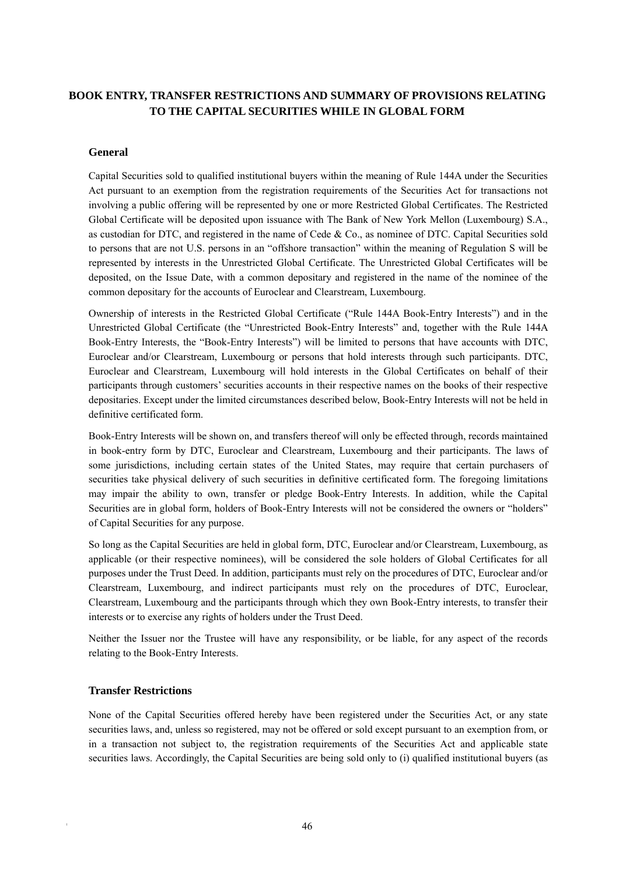# **BOOK ENTRY, TRANSFER RESTRICTIONS AND SUMMARY OF PROVISIONS RELATING TO THE CAPITAL SECURITIES WHILE IN GLOBAL FORM**

# **General**

Capital Securities sold to qualified institutional buyers within the meaning of Rule 144A under the Securities Act pursuant to an exemption from the registration requirements of the Securities Act for transactions not involving a public offering will be represented by one or more Restricted Global Certificates. The Restricted Global Certificate will be deposited upon issuance with The Bank of New York Mellon (Luxembourg) S.A., as custodian for DTC, and registered in the name of Cede & Co., as nominee of DTC. Capital Securities sold to persons that are not U.S. persons in an "offshore transaction" within the meaning of Regulation S will be represented by interests in the Unrestricted Global Certificate. The Unrestricted Global Certificates will be deposited, on the Issue Date, with a common depositary and registered in the name of the nominee of the common depositary for the accounts of Euroclear and Clearstream, Luxembourg.

Ownership of interests in the Restricted Global Certificate ("Rule 144A Book-Entry Interests") and in the Unrestricted Global Certificate (the "Unrestricted Book-Entry Interests" and, together with the Rule 144A Book-Entry Interests, the "Book-Entry Interests") will be limited to persons that have accounts with DTC, Euroclear and/or Clearstream, Luxembourg or persons that hold interests through such participants. DTC, Euroclear and Clearstream, Luxembourg will hold interests in the Global Certificates on behalf of their participants through customers' securities accounts in their respective names on the books of their respective depositaries. Except under the limited circumstances described below, Book-Entry Interests will not be held in definitive certificated form.

Book-Entry Interests will be shown on, and transfers thereof will only be effected through, records maintained in book-entry form by DTC, Euroclear and Clearstream, Luxembourg and their participants. The laws of some jurisdictions, including certain states of the United States, may require that certain purchasers of securities take physical delivery of such securities in definitive certificated form. The foregoing limitations may impair the ability to own, transfer or pledge Book-Entry Interests. In addition, while the Capital Securities are in global form, holders of Book-Entry Interests will not be considered the owners or "holders" of Capital Securities for any purpose.

So long as the Capital Securities are held in global form, DTC, Euroclear and/or Clearstream, Luxembourg, as applicable (or their respective nominees), will be considered the sole holders of Global Certificates for all purposes under the Trust Deed. In addition, participants must rely on the procedures of DTC, Euroclear and/or Clearstream, Luxembourg, and indirect participants must rely on the procedures of DTC, Euroclear, Clearstream, Luxembourg and the participants through which they own Book-Entry interests, to transfer their interests or to exercise any rights of holders under the Trust Deed.

Neither the Issuer nor the Trustee will have any responsibility, or be liable, for any aspect of the records relating to the Book-Entry Interests.

#### **Transfer Restrictions**

None of the Capital Securities offered hereby have been registered under the Securities Act, or any state securities laws, and, unless so registered, may not be offered or sold except pursuant to an exemption from, or in a transaction not subject to, the registration requirements of the Securities Act and applicable state securities laws. Accordingly, the Capital Securities are being sold only to (i) qualified institutional buyers (as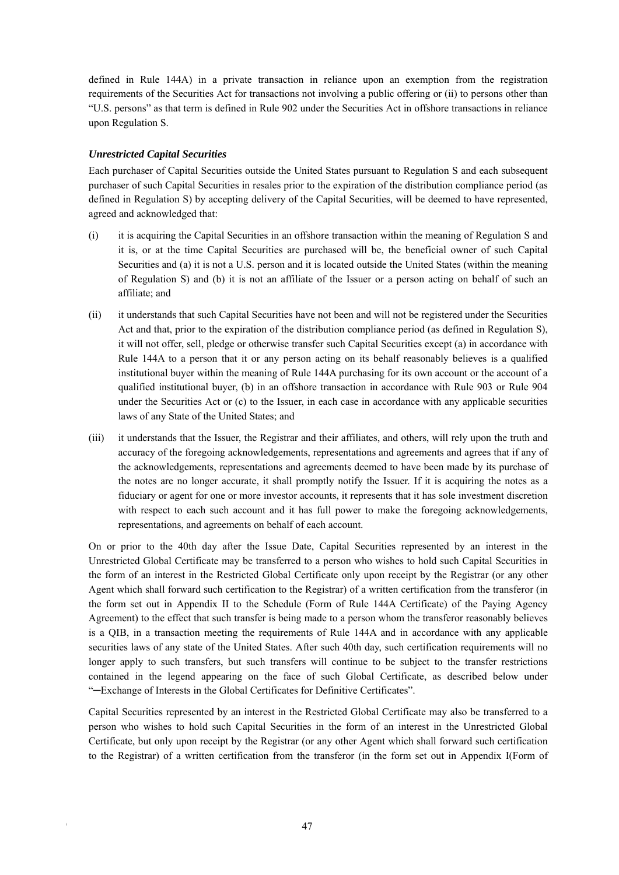defined in Rule 144A) in a private transaction in reliance upon an exemption from the registration requirements of the Securities Act for transactions not involving a public offering or (ii) to persons other than "U.S. persons" as that term is defined in Rule 902 under the Securities Act in offshore transactions in reliance upon Regulation S.

# *Unrestricted Capital Securities*

Each purchaser of Capital Securities outside the United States pursuant to Regulation S and each subsequent purchaser of such Capital Securities in resales prior to the expiration of the distribution compliance period (as defined in Regulation S) by accepting delivery of the Capital Securities, will be deemed to have represented, agreed and acknowledged that:

- (i) it is acquiring the Capital Securities in an offshore transaction within the meaning of Regulation S and it is, or at the time Capital Securities are purchased will be, the beneficial owner of such Capital Securities and (a) it is not a U.S. person and it is located outside the United States (within the meaning of Regulation S) and (b) it is not an affiliate of the Issuer or a person acting on behalf of such an affiliate; and
- (ii) it understands that such Capital Securities have not been and will not be registered under the Securities Act and that, prior to the expiration of the distribution compliance period (as defined in Regulation S), it will not offer, sell, pledge or otherwise transfer such Capital Securities except (a) in accordance with Rule 144A to a person that it or any person acting on its behalf reasonably believes is a qualified institutional buyer within the meaning of Rule 144A purchasing for its own account or the account of a qualified institutional buyer, (b) in an offshore transaction in accordance with Rule 903 or Rule 904 under the Securities Act or (c) to the Issuer, in each case in accordance with any applicable securities laws of any State of the United States; and
- (iii) it understands that the Issuer, the Registrar and their affiliates, and others, will rely upon the truth and accuracy of the foregoing acknowledgements, representations and agreements and agrees that if any of the acknowledgements, representations and agreements deemed to have been made by its purchase of the notes are no longer accurate, it shall promptly notify the Issuer. If it is acquiring the notes as a fiduciary or agent for one or more investor accounts, it represents that it has sole investment discretion with respect to each such account and it has full power to make the foregoing acknowledgements, representations, and agreements on behalf of each account.

On or prior to the 40th day after the Issue Date, Capital Securities represented by an interest in the Unrestricted Global Certificate may be transferred to a person who wishes to hold such Capital Securities in the form of an interest in the Restricted Global Certificate only upon receipt by the Registrar (or any other Agent which shall forward such certification to the Registrar) of a written certification from the transferor (in the form set out in Appendix II to the Schedule (Form of Rule 144A Certificate) of the Paying Agency Agreement) to the effect that such transfer is being made to a person whom the transferor reasonably believes is a QIB, in a transaction meeting the requirements of Rule 144A and in accordance with any applicable securities laws of any state of the United States. After such 40th day, such certification requirements will no longer apply to such transfers, but such transfers will continue to be subject to the transfer restrictions contained in the legend appearing on the face of such Global Certificate, as described below under "─Exchange of Interests in the Global Certificates for Definitive Certificates".

Capital Securities represented by an interest in the Restricted Global Certificate may also be transferred to a person who wishes to hold such Capital Securities in the form of an interest in the Unrestricted Global Certificate, but only upon receipt by the Registrar (or any other Agent which shall forward such certification to the Registrar) of a written certification from the transferor (in the form set out in Appendix I(Form of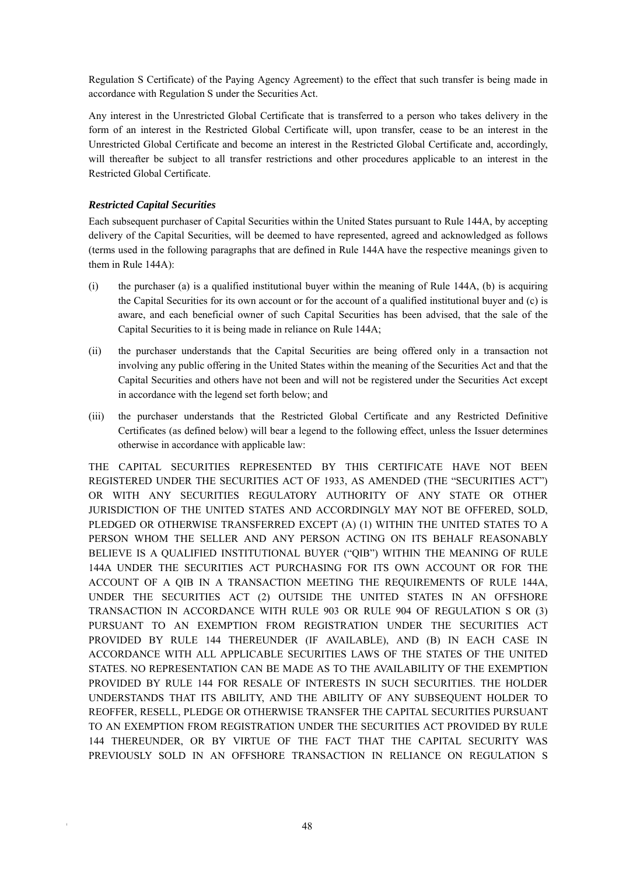Regulation S Certificate) of the Paying Agency Agreement) to the effect that such transfer is being made in accordance with Regulation S under the Securities Act.

Any interest in the Unrestricted Global Certificate that is transferred to a person who takes delivery in the form of an interest in the Restricted Global Certificate will, upon transfer, cease to be an interest in the Unrestricted Global Certificate and become an interest in the Restricted Global Certificate and, accordingly, will thereafter be subject to all transfer restrictions and other procedures applicable to an interest in the Restricted Global Certificate.

# *Restricted Capital Securities*

Each subsequent purchaser of Capital Securities within the United States pursuant to Rule 144A, by accepting delivery of the Capital Securities, will be deemed to have represented, agreed and acknowledged as follows (terms used in the following paragraphs that are defined in Rule 144A have the respective meanings given to them in Rule 144A):

- (i) the purchaser (a) is a qualified institutional buyer within the meaning of Rule 144A, (b) is acquiring the Capital Securities for its own account or for the account of a qualified institutional buyer and (c) is aware, and each beneficial owner of such Capital Securities has been advised, that the sale of the Capital Securities to it is being made in reliance on Rule 144A;
- (ii) the purchaser understands that the Capital Securities are being offered only in a transaction not involving any public offering in the United States within the meaning of the Securities Act and that the Capital Securities and others have not been and will not be registered under the Securities Act except in accordance with the legend set forth below; and
- (iii) the purchaser understands that the Restricted Global Certificate and any Restricted Definitive Certificates (as defined below) will bear a legend to the following effect, unless the Issuer determines otherwise in accordance with applicable law:

THE CAPITAL SECURITIES REPRESENTED BY THIS CERTIFICATE HAVE NOT BEEN REGISTERED UNDER THE SECURITIES ACT OF 1933, AS AMENDED (THE "SECURITIES ACT") OR WITH ANY SECURITIES REGULATORY AUTHORITY OF ANY STATE OR OTHER JURISDICTION OF THE UNITED STATES AND ACCORDINGLY MAY NOT BE OFFERED, SOLD, PLEDGED OR OTHERWISE TRANSFERRED EXCEPT (A) (1) WITHIN THE UNITED STATES TO A PERSON WHOM THE SELLER AND ANY PERSON ACTING ON ITS BEHALF REASONABLY BELIEVE IS A QUALIFIED INSTITUTIONAL BUYER ("QIB") WITHIN THE MEANING OF RULE 144A UNDER THE SECURITIES ACT PURCHASING FOR ITS OWN ACCOUNT OR FOR THE ACCOUNT OF A QIB IN A TRANSACTION MEETING THE REQUIREMENTS OF RULE 144A, UNDER THE SECURITIES ACT (2) OUTSIDE THE UNITED STATES IN AN OFFSHORE TRANSACTION IN ACCORDANCE WITH RULE 903 OR RULE 904 OF REGULATION S OR (3) PURSUANT TO AN EXEMPTION FROM REGISTRATION UNDER THE SECURITIES ACT PROVIDED BY RULE 144 THEREUNDER (IF AVAILABLE), AND (B) IN EACH CASE IN ACCORDANCE WITH ALL APPLICABLE SECURITIES LAWS OF THE STATES OF THE UNITED STATES. NO REPRESENTATION CAN BE MADE AS TO THE AVAILABILITY OF THE EXEMPTION PROVIDED BY RULE 144 FOR RESALE OF INTERESTS IN SUCH SECURITIES. THE HOLDER UNDERSTANDS THAT ITS ABILITY, AND THE ABILITY OF ANY SUBSEQUENT HOLDER TO REOFFER, RESELL, PLEDGE OR OTHERWISE TRANSFER THE CAPITAL SECURITIES PURSUANT TO AN EXEMPTION FROM REGISTRATION UNDER THE SECURITIES ACT PROVIDED BY RULE 144 THEREUNDER, OR BY VIRTUE OF THE FACT THAT THE CAPITAL SECURITY WAS PREVIOUSLY SOLD IN AN OFFSHORE TRANSACTION IN RELIANCE ON REGULATION S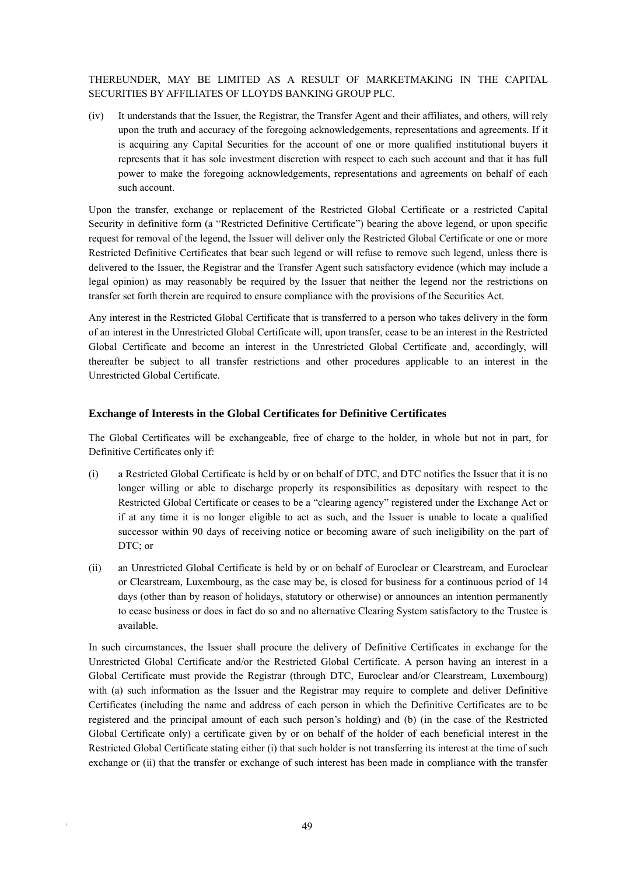THEREUNDER, MAY BE LIMITED AS A RESULT OF MARKETMAKING IN THE CAPITAL SECURITIES BY AFFILIATES OF LLOYDS BANKING GROUP PLC.

(iv) It understands that the Issuer, the Registrar, the Transfer Agent and their affiliates, and others, will rely upon the truth and accuracy of the foregoing acknowledgements, representations and agreements. If it is acquiring any Capital Securities for the account of one or more qualified institutional buyers it represents that it has sole investment discretion with respect to each such account and that it has full power to make the foregoing acknowledgements, representations and agreements on behalf of each such account.

Upon the transfer, exchange or replacement of the Restricted Global Certificate or a restricted Capital Security in definitive form (a "Restricted Definitive Certificate") bearing the above legend, or upon specific request for removal of the legend, the Issuer will deliver only the Restricted Global Certificate or one or more Restricted Definitive Certificates that bear such legend or will refuse to remove such legend, unless there is delivered to the Issuer, the Registrar and the Transfer Agent such satisfactory evidence (which may include a legal opinion) as may reasonably be required by the Issuer that neither the legend nor the restrictions on transfer set forth therein are required to ensure compliance with the provisions of the Securities Act.

Any interest in the Restricted Global Certificate that is transferred to a person who takes delivery in the form of an interest in the Unrestricted Global Certificate will, upon transfer, cease to be an interest in the Restricted Global Certificate and become an interest in the Unrestricted Global Certificate and, accordingly, will thereafter be subject to all transfer restrictions and other procedures applicable to an interest in the Unrestricted Global Certificate.

# **Exchange of Interests in the Global Certificates for Definitive Certificates**

The Global Certificates will be exchangeable, free of charge to the holder, in whole but not in part, for Definitive Certificates only if:

- (i) a Restricted Global Certificate is held by or on behalf of DTC, and DTC notifies the Issuer that it is no longer willing or able to discharge properly its responsibilities as depositary with respect to the Restricted Global Certificate or ceases to be a "clearing agency" registered under the Exchange Act or if at any time it is no longer eligible to act as such, and the Issuer is unable to locate a qualified successor within 90 days of receiving notice or becoming aware of such ineligibility on the part of DTC; or
- (ii) an Unrestricted Global Certificate is held by or on behalf of Euroclear or Clearstream, and Euroclear or Clearstream, Luxembourg, as the case may be, is closed for business for a continuous period of 14 days (other than by reason of holidays, statutory or otherwise) or announces an intention permanently to cease business or does in fact do so and no alternative Clearing System satisfactory to the Trustee is available.

In such circumstances, the Issuer shall procure the delivery of Definitive Certificates in exchange for the Unrestricted Global Certificate and/or the Restricted Global Certificate. A person having an interest in a Global Certificate must provide the Registrar (through DTC, Euroclear and/or Clearstream, Luxembourg) with (a) such information as the Issuer and the Registrar may require to complete and deliver Definitive Certificates (including the name and address of each person in which the Definitive Certificates are to be registered and the principal amount of each such person's holding) and (b) (in the case of the Restricted Global Certificate only) a certificate given by or on behalf of the holder of each beneficial interest in the Restricted Global Certificate stating either (i) that such holder is not transferring its interest at the time of such exchange or (ii) that the transfer or exchange of such interest has been made in compliance with the transfer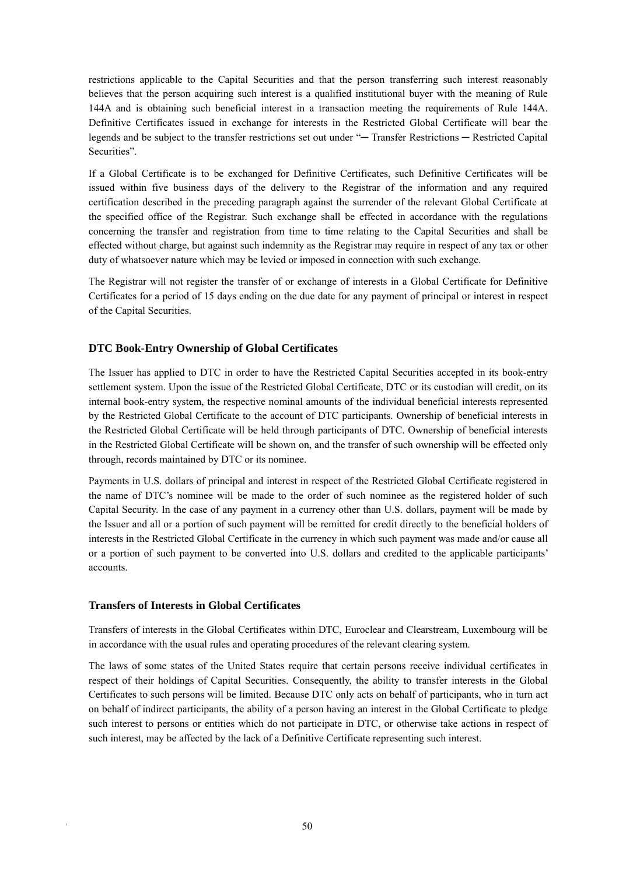restrictions applicable to the Capital Securities and that the person transferring such interest reasonably believes that the person acquiring such interest is a qualified institutional buyer with the meaning of Rule 144A and is obtaining such beneficial interest in a transaction meeting the requirements of Rule 144A. Definitive Certificates issued in exchange for interests in the Restricted Global Certificate will bear the legends and be subject to the transfer restrictions set out under "─ Transfer Restrictions ─ Restricted Capital Securities".

If a Global Certificate is to be exchanged for Definitive Certificates, such Definitive Certificates will be issued within five business days of the delivery to the Registrar of the information and any required certification described in the preceding paragraph against the surrender of the relevant Global Certificate at the specified office of the Registrar. Such exchange shall be effected in accordance with the regulations concerning the transfer and registration from time to time relating to the Capital Securities and shall be effected without charge, but against such indemnity as the Registrar may require in respect of any tax or other duty of whatsoever nature which may be levied or imposed in connection with such exchange.

The Registrar will not register the transfer of or exchange of interests in a Global Certificate for Definitive Certificates for a period of 15 days ending on the due date for any payment of principal or interest in respect of the Capital Securities.

# **DTC Book-Entry Ownership of Global Certificates**

The Issuer has applied to DTC in order to have the Restricted Capital Securities accepted in its book-entry settlement system. Upon the issue of the Restricted Global Certificate, DTC or its custodian will credit, on its internal book-entry system, the respective nominal amounts of the individual beneficial interests represented by the Restricted Global Certificate to the account of DTC participants. Ownership of beneficial interests in the Restricted Global Certificate will be held through participants of DTC. Ownership of beneficial interests in the Restricted Global Certificate will be shown on, and the transfer of such ownership will be effected only through, records maintained by DTC or its nominee.

Payments in U.S. dollars of principal and interest in respect of the Restricted Global Certificate registered in the name of DTC's nominee will be made to the order of such nominee as the registered holder of such Capital Security. In the case of any payment in a currency other than U.S. dollars, payment will be made by the Issuer and all or a portion of such payment will be remitted for credit directly to the beneficial holders of interests in the Restricted Global Certificate in the currency in which such payment was made and/or cause all or a portion of such payment to be converted into U.S. dollars and credited to the applicable participants' accounts.

# **Transfers of Interests in Global Certificates**

Transfers of interests in the Global Certificates within DTC, Euroclear and Clearstream, Luxembourg will be in accordance with the usual rules and operating procedures of the relevant clearing system.

The laws of some states of the United States require that certain persons receive individual certificates in respect of their holdings of Capital Securities. Consequently, the ability to transfer interests in the Global Certificates to such persons will be limited. Because DTC only acts on behalf of participants, who in turn act on behalf of indirect participants, the ability of a person having an interest in the Global Certificate to pledge such interest to persons or entities which do not participate in DTC, or otherwise take actions in respect of such interest, may be affected by the lack of a Definitive Certificate representing such interest.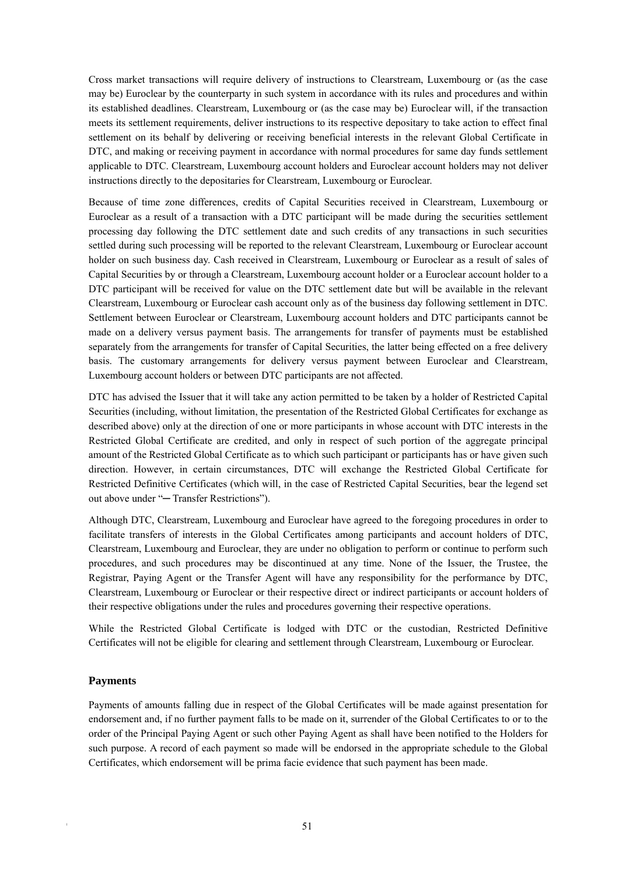Cross market transactions will require delivery of instructions to Clearstream, Luxembourg or (as the case may be) Euroclear by the counterparty in such system in accordance with its rules and procedures and within its established deadlines. Clearstream, Luxembourg or (as the case may be) Euroclear will, if the transaction meets its settlement requirements, deliver instructions to its respective depositary to take action to effect final settlement on its behalf by delivering or receiving beneficial interests in the relevant Global Certificate in DTC, and making or receiving payment in accordance with normal procedures for same day funds settlement applicable to DTC. Clearstream, Luxembourg account holders and Euroclear account holders may not deliver instructions directly to the depositaries for Clearstream, Luxembourg or Euroclear.

Because of time zone differences, credits of Capital Securities received in Clearstream, Luxembourg or Euroclear as a result of a transaction with a DTC participant will be made during the securities settlement processing day following the DTC settlement date and such credits of any transactions in such securities settled during such processing will be reported to the relevant Clearstream, Luxembourg or Euroclear account holder on such business day. Cash received in Clearstream, Luxembourg or Euroclear as a result of sales of Capital Securities by or through a Clearstream, Luxembourg account holder or a Euroclear account holder to a DTC participant will be received for value on the DTC settlement date but will be available in the relevant Clearstream, Luxembourg or Euroclear cash account only as of the business day following settlement in DTC. Settlement between Euroclear or Clearstream, Luxembourg account holders and DTC participants cannot be made on a delivery versus payment basis. The arrangements for transfer of payments must be established separately from the arrangements for transfer of Capital Securities, the latter being effected on a free delivery basis. The customary arrangements for delivery versus payment between Euroclear and Clearstream, Luxembourg account holders or between DTC participants are not affected.

DTC has advised the Issuer that it will take any action permitted to be taken by a holder of Restricted Capital Securities (including, without limitation, the presentation of the Restricted Global Certificates for exchange as described above) only at the direction of one or more participants in whose account with DTC interests in the Restricted Global Certificate are credited, and only in respect of such portion of the aggregate principal amount of the Restricted Global Certificate as to which such participant or participants has or have given such direction. However, in certain circumstances, DTC will exchange the Restricted Global Certificate for Restricted Definitive Certificates (which will, in the case of Restricted Capital Securities, bear the legend set out above under "─ Transfer Restrictions").

Although DTC, Clearstream, Luxembourg and Euroclear have agreed to the foregoing procedures in order to facilitate transfers of interests in the Global Certificates among participants and account holders of DTC, Clearstream, Luxembourg and Euroclear, they are under no obligation to perform or continue to perform such procedures, and such procedures may be discontinued at any time. None of the Issuer, the Trustee, the Registrar, Paying Agent or the Transfer Agent will have any responsibility for the performance by DTC, Clearstream, Luxembourg or Euroclear or their respective direct or indirect participants or account holders of their respective obligations under the rules and procedures governing their respective operations.

While the Restricted Global Certificate is lodged with DTC or the custodian, Restricted Definitive Certificates will not be eligible for clearing and settlement through Clearstream, Luxembourg or Euroclear.

# **Payments**

Payments of amounts falling due in respect of the Global Certificates will be made against presentation for endorsement and, if no further payment falls to be made on it, surrender of the Global Certificates to or to the order of the Principal Paying Agent or such other Paying Agent as shall have been notified to the Holders for such purpose. A record of each payment so made will be endorsed in the appropriate schedule to the Global Certificates, which endorsement will be prima facie evidence that such payment has been made.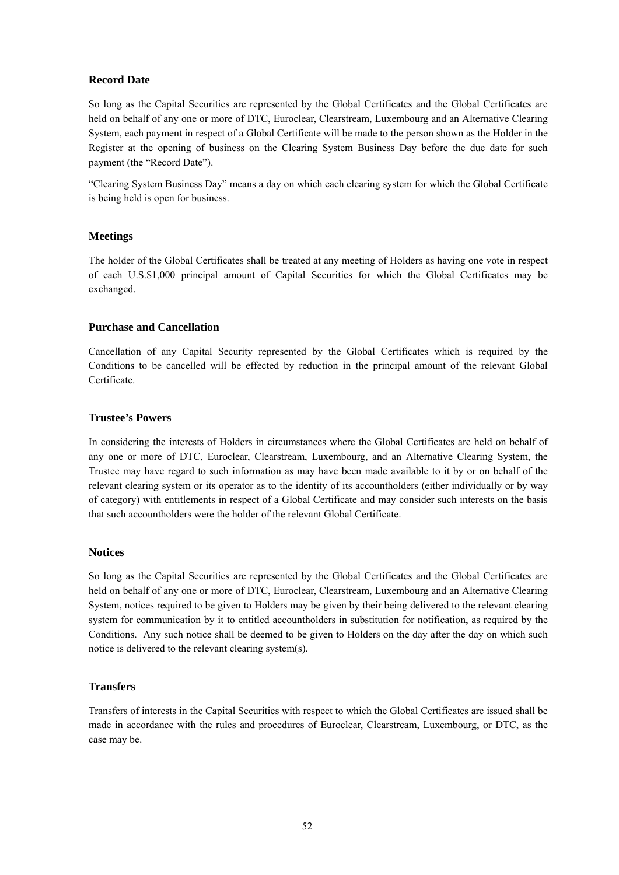# **Record Date**

So long as the Capital Securities are represented by the Global Certificates and the Global Certificates are held on behalf of any one or more of DTC, Euroclear, Clearstream, Luxembourg and an Alternative Clearing System, each payment in respect of a Global Certificate will be made to the person shown as the Holder in the Register at the opening of business on the Clearing System Business Day before the due date for such payment (the "Record Date").

"Clearing System Business Day" means a day on which each clearing system for which the Global Certificate is being held is open for business.

# **Meetings**

The holder of the Global Certificates shall be treated at any meeting of Holders as having one vote in respect of each U.S.\$1,000 principal amount of Capital Securities for which the Global Certificates may be exchanged.

# **Purchase and Cancellation**

Cancellation of any Capital Security represented by the Global Certificates which is required by the Conditions to be cancelled will be effected by reduction in the principal amount of the relevant Global Certificate.

# **Trustee's Powers**

In considering the interests of Holders in circumstances where the Global Certificates are held on behalf of any one or more of DTC, Euroclear, Clearstream, Luxembourg, and an Alternative Clearing System, the Trustee may have regard to such information as may have been made available to it by or on behalf of the relevant clearing system or its operator as to the identity of its accountholders (either individually or by way of category) with entitlements in respect of a Global Certificate and may consider such interests on the basis that such accountholders were the holder of the relevant Global Certificate.

#### **Notices**

So long as the Capital Securities are represented by the Global Certificates and the Global Certificates are held on behalf of any one or more of DTC, Euroclear, Clearstream, Luxembourg and an Alternative Clearing System, notices required to be given to Holders may be given by their being delivered to the relevant clearing system for communication by it to entitled accountholders in substitution for notification, as required by the Conditions. Any such notice shall be deemed to be given to Holders on the day after the day on which such notice is delivered to the relevant clearing system(s).

# **Transfers**

Transfers of interests in the Capital Securities with respect to which the Global Certificates are issued shall be made in accordance with the rules and procedures of Euroclear, Clearstream, Luxembourg, or DTC, as the case may be.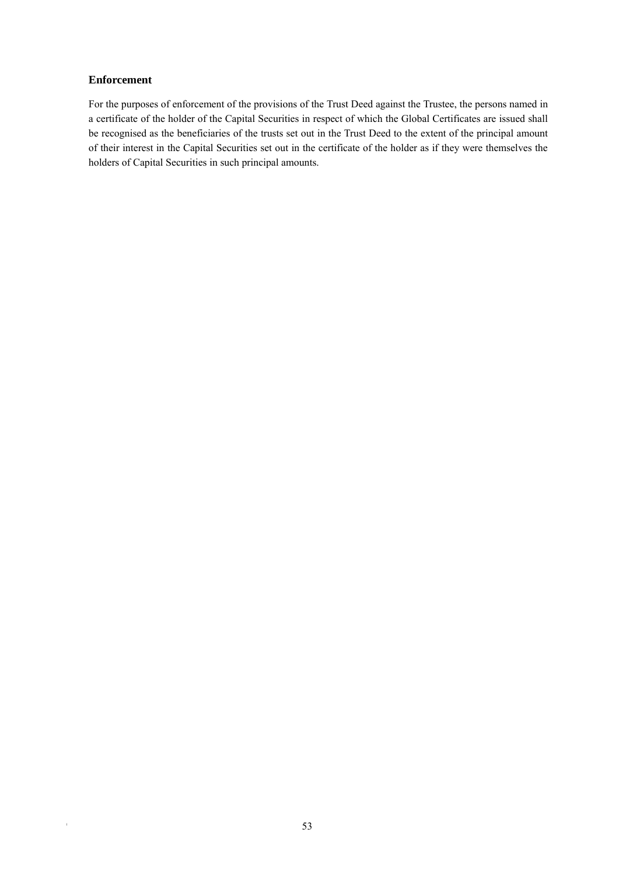# **Enforcement**

For the purposes of enforcement of the provisions of the Trust Deed against the Trustee, the persons named in a certificate of the holder of the Capital Securities in respect of which the Global Certificates are issued shall be recognised as the beneficiaries of the trusts set out in the Trust Deed to the extent of the principal amount of their interest in the Capital Securities set out in the certificate of the holder as if they were themselves the holders of Capital Securities in such principal amounts.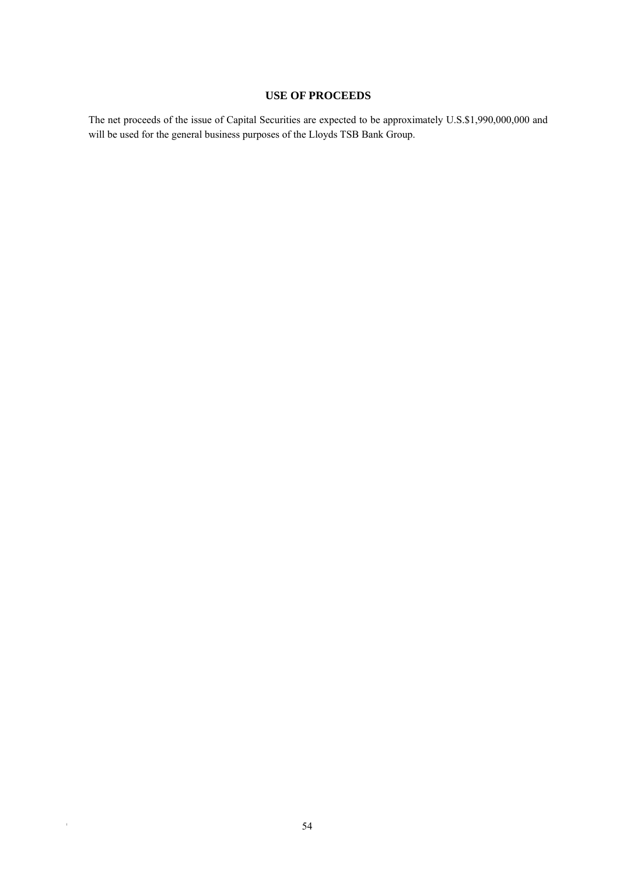# **USE OF PROCEEDS**

The net proceeds of the issue of Capital Securities are expected to be approximately U.S.\$1,990,000,000 and will be used for the general business purposes of the Lloyds TSB Bank Group.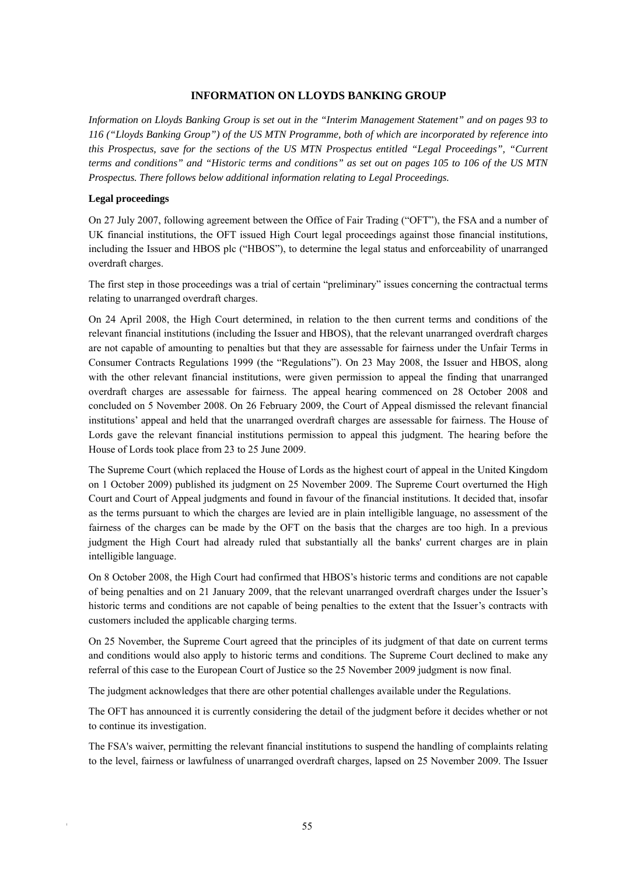#### **INFORMATION ON LLOYDS BANKING GROUP**

*Information on Lloyds Banking Group is set out in the "Interim Management Statement" and on pages 93 to 116 ("Lloyds Banking Group") of the US MTN Programme, both of which are incorporated by reference into this Prospectus, save for the sections of the US MTN Prospectus entitled "Legal Proceedings", "Current terms and conditions" and "Historic terms and conditions" as set out on pages 105 to 106 of the US MTN Prospectus. There follows below additional information relating to Legal Proceedings.* 

#### **Legal proceedings**

On 27 July 2007, following agreement between the Office of Fair Trading ("OFT"), the FSA and a number of UK financial institutions, the OFT issued High Court legal proceedings against those financial institutions, including the Issuer and HBOS plc ("HBOS"), to determine the legal status and enforceability of unarranged overdraft charges.

The first step in those proceedings was a trial of certain "preliminary" issues concerning the contractual terms relating to unarranged overdraft charges.

On 24 April 2008, the High Court determined, in relation to the then current terms and conditions of the relevant financial institutions (including the Issuer and HBOS), that the relevant unarranged overdraft charges are not capable of amounting to penalties but that they are assessable for fairness under the Unfair Terms in Consumer Contracts Regulations 1999 (the "Regulations"). On 23 May 2008, the Issuer and HBOS, along with the other relevant financial institutions, were given permission to appeal the finding that unarranged overdraft charges are assessable for fairness. The appeal hearing commenced on 28 October 2008 and concluded on 5 November 2008. On 26 February 2009, the Court of Appeal dismissed the relevant financial institutions' appeal and held that the unarranged overdraft charges are assessable for fairness. The House of Lords gave the relevant financial institutions permission to appeal this judgment. The hearing before the House of Lords took place from 23 to 25 June 2009.

The Supreme Court (which replaced the House of Lords as the highest court of appeal in the United Kingdom on 1 October 2009) published its judgment on 25 November 2009. The Supreme Court overturned the High Court and Court of Appeal judgments and found in favour of the financial institutions. It decided that, insofar as the terms pursuant to which the charges are levied are in plain intelligible language, no assessment of the fairness of the charges can be made by the OFT on the basis that the charges are too high. In a previous judgment the High Court had already ruled that substantially all the banks' current charges are in plain intelligible language.

On 8 October 2008, the High Court had confirmed that HBOS's historic terms and conditions are not capable of being penalties and on 21 January 2009, that the relevant unarranged overdraft charges under the Issuer's historic terms and conditions are not capable of being penalties to the extent that the Issuer's contracts with customers included the applicable charging terms.

On 25 November, the Supreme Court agreed that the principles of its judgment of that date on current terms and conditions would also apply to historic terms and conditions. The Supreme Court declined to make any referral of this case to the European Court of Justice so the 25 November 2009 judgment is now final.

The judgment acknowledges that there are other potential challenges available under the Regulations.

The OFT has announced it is currently considering the detail of the judgment before it decides whether or not to continue its investigation.

The FSA's waiver, permitting the relevant financial institutions to suspend the handling of complaints relating to the level, fairness or lawfulness of unarranged overdraft charges, lapsed on 25 November 2009. The Issuer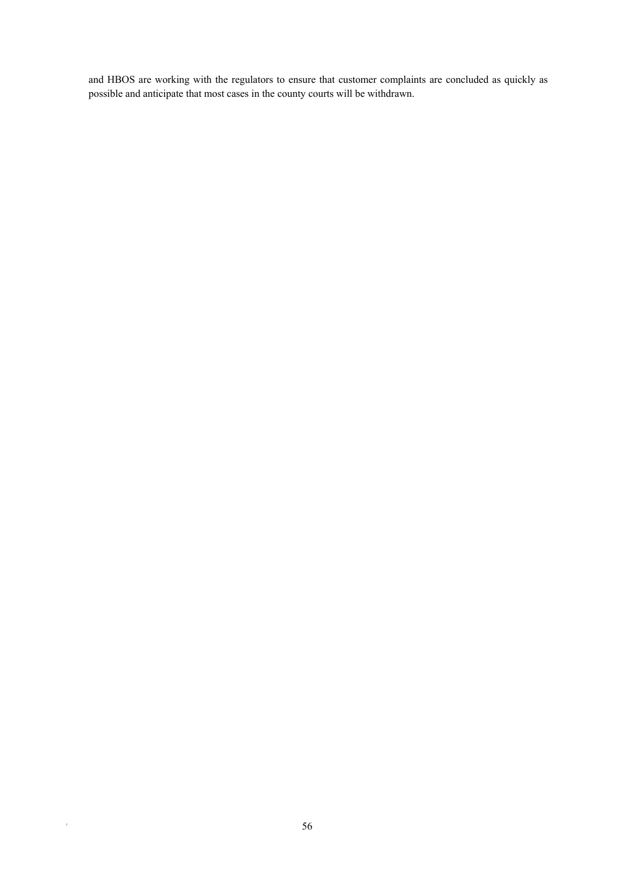and HBOS are working with the regulators to ensure that customer complaints are concluded as quickly as possible and anticipate that most cases in the county courts will be withdrawn.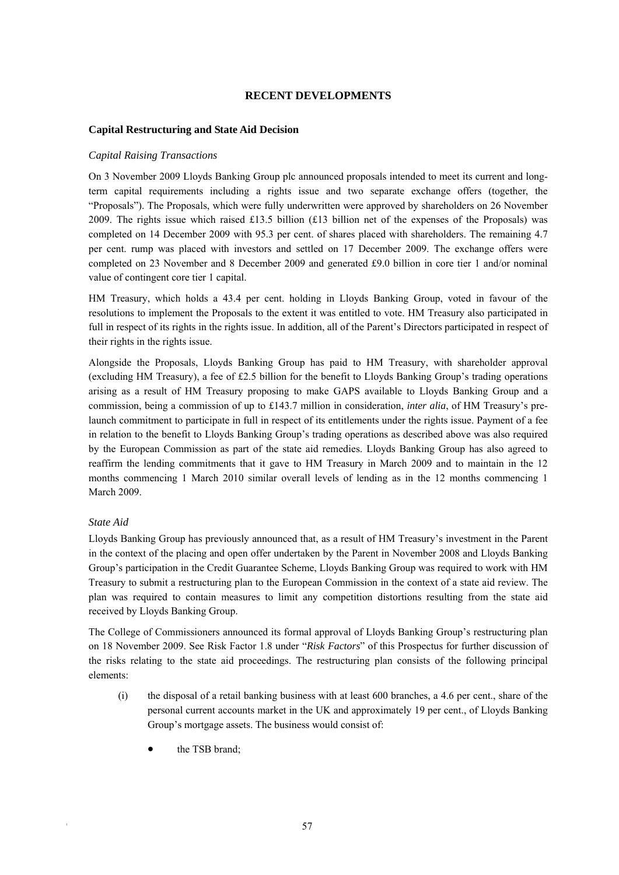# **RECENT DEVELOPMENTS**

#### **Capital Restructuring and State Aid Decision**

#### *Capital Raising Transactions*

On 3 November 2009 Lloyds Banking Group plc announced proposals intended to meet its current and longterm capital requirements including a rights issue and two separate exchange offers (together, the "Proposals"). The Proposals, which were fully underwritten were approved by shareholders on 26 November 2009. The rights issue which raised £13.5 billion (£13 billion net of the expenses of the Proposals) was completed on 14 December 2009 with 95.3 per cent. of shares placed with shareholders. The remaining 4.7 per cent. rump was placed with investors and settled on 17 December 2009. The exchange offers were completed on 23 November and 8 December 2009 and generated £9.0 billion in core tier 1 and/or nominal value of contingent core tier 1 capital.

HM Treasury, which holds a 43.4 per cent. holding in Lloyds Banking Group, voted in favour of the resolutions to implement the Proposals to the extent it was entitled to vote. HM Treasury also participated in full in respect of its rights in the rights issue. In addition, all of the Parent's Directors participated in respect of their rights in the rights issue.

Alongside the Proposals, Lloyds Banking Group has paid to HM Treasury, with shareholder approval (excluding HM Treasury), a fee of £2.5 billion for the benefit to Lloyds Banking Group's trading operations arising as a result of HM Treasury proposing to make GAPS available to Lloyds Banking Group and a commission, being a commission of up to £143.7 million in consideration, *inter alia*, of HM Treasury's prelaunch commitment to participate in full in respect of its entitlements under the rights issue. Payment of a fee in relation to the benefit to Lloyds Banking Group's trading operations as described above was also required by the European Commission as part of the state aid remedies. Lloyds Banking Group has also agreed to reaffirm the lending commitments that it gave to HM Treasury in March 2009 and to maintain in the 12 months commencing 1 March 2010 similar overall levels of lending as in the 12 months commencing 1 March 2009.

#### *State Aid*

Lloyds Banking Group has previously announced that, as a result of HM Treasury's investment in the Parent in the context of the placing and open offer undertaken by the Parent in November 2008 and Lloyds Banking Group's participation in the Credit Guarantee Scheme, Lloyds Banking Group was required to work with HM Treasury to submit a restructuring plan to the European Commission in the context of a state aid review. The plan was required to contain measures to limit any competition distortions resulting from the state aid received by Lloyds Banking Group.

The College of Commissioners announced its formal approval of Lloyds Banking Group's restructuring plan on 18 November 2009. See Risk Factor 1.8 under "*Risk Factors*" of this Prospectus for further discussion of the risks relating to the state aid proceedings. The restructuring plan consists of the following principal elements:

- (i) the disposal of a retail banking business with at least 600 branches, a 4.6 per cent., share of the personal current accounts market in the UK and approximately 19 per cent., of Lloyds Banking Group's mortgage assets. The business would consist of:
	- the TSB brand;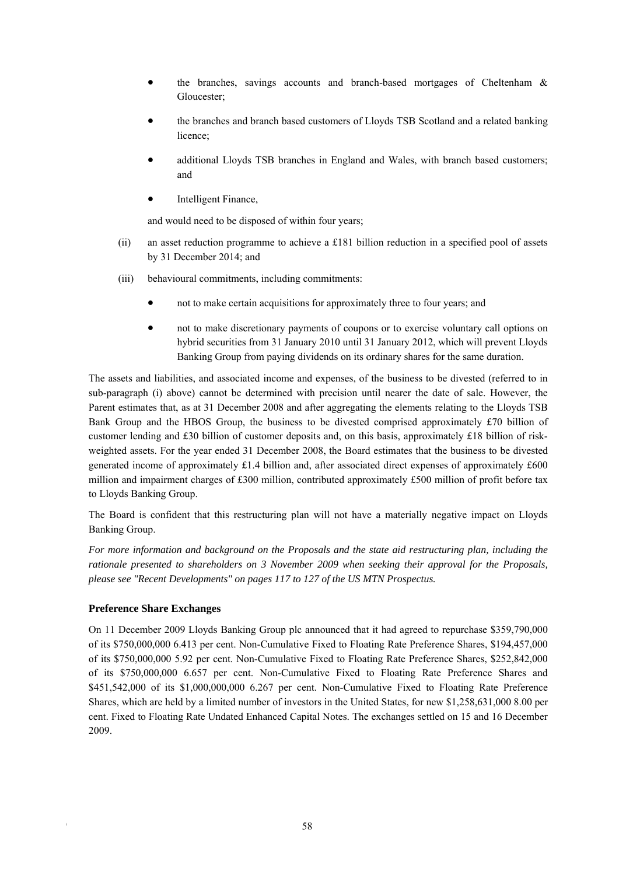- the branches, savings accounts and branch-based mortgages of Cheltenham & Gloucester;
- the branches and branch based customers of Lloyds TSB Scotland and a related banking licence;
- additional Lloyds TSB branches in England and Wales, with branch based customers; and
- Intelligent Finance,

and would need to be disposed of within four years;

- (ii) an asset reduction programme to achieve a £181 billion reduction in a specified pool of assets by 31 December 2014; and
- (iii) behavioural commitments, including commitments:
	- not to make certain acquisitions for approximately three to four years; and
	- not to make discretionary payments of coupons or to exercise voluntary call options on hybrid securities from 31 January 2010 until 31 January 2012, which will prevent Lloyds Banking Group from paying dividends on its ordinary shares for the same duration.

The assets and liabilities, and associated income and expenses, of the business to be divested (referred to in sub-paragraph (i) above) cannot be determined with precision until nearer the date of sale. However, the Parent estimates that, as at 31 December 2008 and after aggregating the elements relating to the Lloyds TSB Bank Group and the HBOS Group, the business to be divested comprised approximately £70 billion of customer lending and £30 billion of customer deposits and, on this basis, approximately £18 billion of riskweighted assets. For the year ended 31 December 2008, the Board estimates that the business to be divested generated income of approximately £1.4 billion and, after associated direct expenses of approximately £600 million and impairment charges of £300 million, contributed approximately £500 million of profit before tax to Lloyds Banking Group.

The Board is confident that this restructuring plan will not have a materially negative impact on Lloyds Banking Group.

*For more information and background on the Proposals and the state aid restructuring plan, including the rationale presented to shareholders on 3 November 2009 when seeking their approval for the Proposals, please see "Recent Developments" on pages 117 to 127 of the US MTN Prospectus.* 

# **Preference Share Exchanges**

On 11 December 2009 Lloyds Banking Group plc announced that it had agreed to repurchase \$359,790,000 of its \$750,000,000 6.413 per cent. Non-Cumulative Fixed to Floating Rate Preference Shares, \$194,457,000 of its \$750,000,000 5.92 per cent. Non-Cumulative Fixed to Floating Rate Preference Shares, \$252,842,000 of its \$750,000,000 6.657 per cent. Non-Cumulative Fixed to Floating Rate Preference Shares and \$451,542,000 of its \$1,000,000,000 6.267 per cent. Non-Cumulative Fixed to Floating Rate Preference Shares, which are held by a limited number of investors in the United States, for new \$1,258,631,000 8.00 per cent. Fixed to Floating Rate Undated Enhanced Capital Notes. The exchanges settled on 15 and 16 December 2009.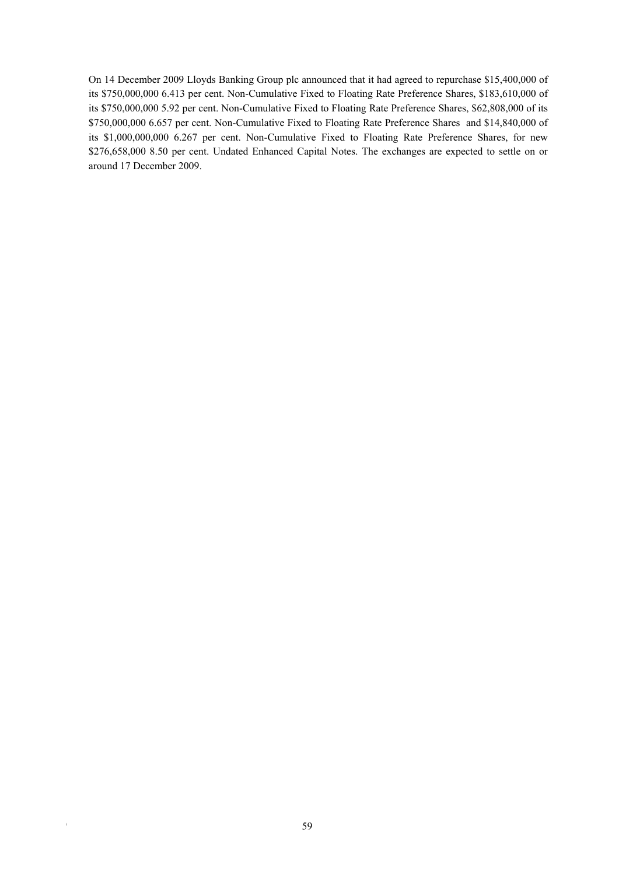On 14 December 2009 Lloyds Banking Group plc announced that it had agreed to repurchase \$15,400,000 of its \$750,000,000 6.413 per cent. Non-Cumulative Fixed to Floating Rate Preference Shares, \$183,610,000 of its \$750,000,000 5.92 per cent. Non-Cumulative Fixed to Floating Rate Preference Shares, \$62,808,000 of its \$750,000,000 6.657 per cent. Non-Cumulative Fixed to Floating Rate Preference Shares and \$14,840,000 of its \$1,000,000,000 6.267 per cent. Non-Cumulative Fixed to Floating Rate Preference Shares, for new \$276,658,000 8.50 per cent. Undated Enhanced Capital Notes. The exchanges are expected to settle on or around 17 December 2009.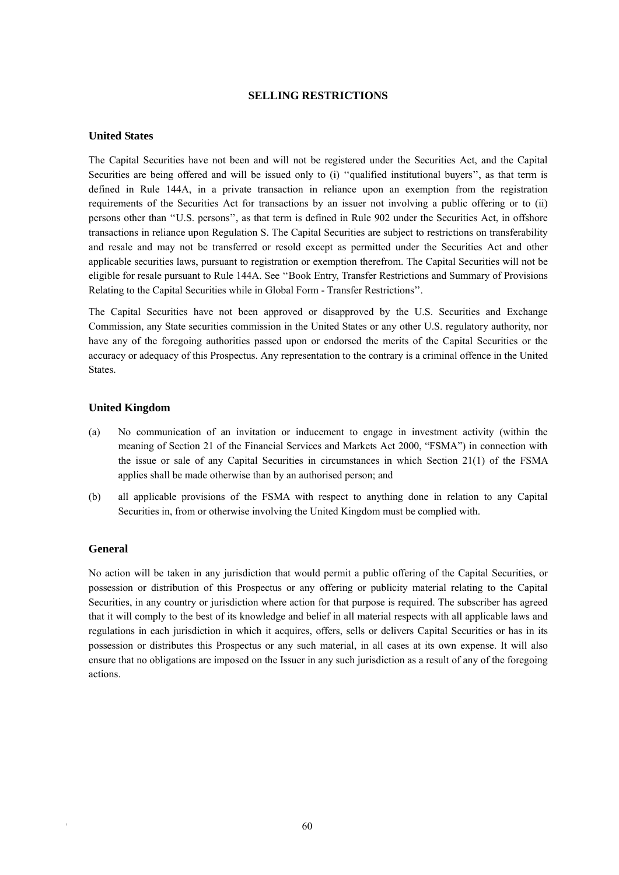#### **SELLING RESTRICTIONS**

# **United States**

The Capital Securities have not been and will not be registered under the Securities Act, and the Capital Securities are being offered and will be issued only to (i) "qualified institutional buyers", as that term is defined in Rule 144A, in a private transaction in reliance upon an exemption from the registration requirements of the Securities Act for transactions by an issuer not involving a public offering or to (ii) persons other than ''U.S. persons'', as that term is defined in Rule 902 under the Securities Act, in offshore transactions in reliance upon Regulation S. The Capital Securities are subject to restrictions on transferability and resale and may not be transferred or resold except as permitted under the Securities Act and other applicable securities laws, pursuant to registration or exemption therefrom. The Capital Securities will not be eligible for resale pursuant to Rule 144A. See ''Book Entry, Transfer Restrictions and Summary of Provisions Relating to the Capital Securities while in Global Form - Transfer Restrictions''.

The Capital Securities have not been approved or disapproved by the U.S. Securities and Exchange Commission, any State securities commission in the United States or any other U.S. regulatory authority, nor have any of the foregoing authorities passed upon or endorsed the merits of the Capital Securities or the accuracy or adequacy of this Prospectus. Any representation to the contrary is a criminal offence in the United States.

# **United Kingdom**

- (a) No communication of an invitation or inducement to engage in investment activity (within the meaning of Section 21 of the Financial Services and Markets Act 2000, "FSMA") in connection with the issue or sale of any Capital Securities in circumstances in which Section 21(1) of the FSMA applies shall be made otherwise than by an authorised person; and
- (b) all applicable provisions of the FSMA with respect to anything done in relation to any Capital Securities in, from or otherwise involving the United Kingdom must be complied with.

#### **General**

No action will be taken in any jurisdiction that would permit a public offering of the Capital Securities, or possession or distribution of this Prospectus or any offering or publicity material relating to the Capital Securities, in any country or jurisdiction where action for that purpose is required. The subscriber has agreed that it will comply to the best of its knowledge and belief in all material respects with all applicable laws and regulations in each jurisdiction in which it acquires, offers, sells or delivers Capital Securities or has in its possession or distributes this Prospectus or any such material, in all cases at its own expense. It will also ensure that no obligations are imposed on the Issuer in any such jurisdiction as a result of any of the foregoing actions.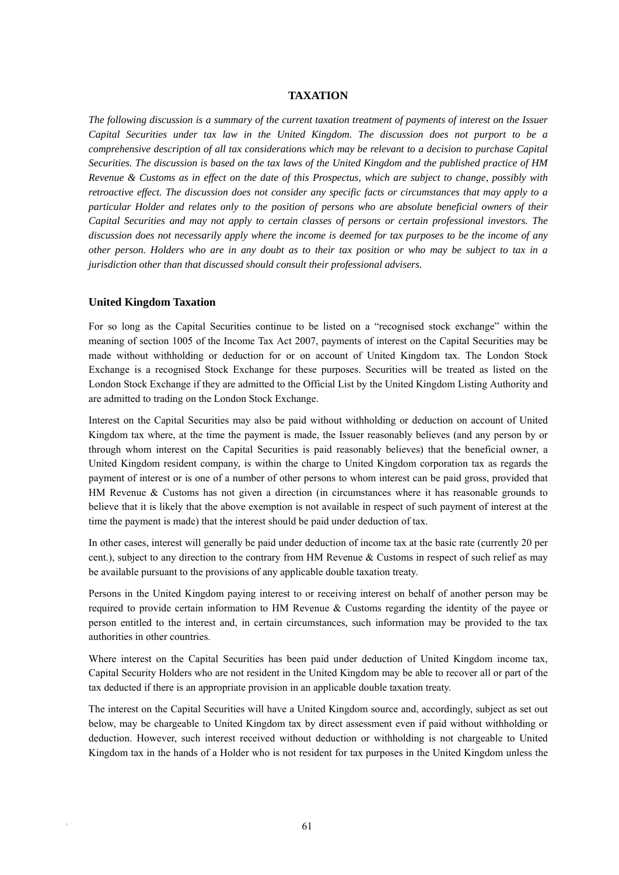#### **TAXATION**

*The following discussion is a summary of the current taxation treatment of payments of interest on the Issuer Capital Securities under tax law in the United Kingdom. The discussion does not purport to be a comprehensive description of all tax considerations which may be relevant to a decision to purchase Capital Securities. The discussion is based on the tax laws of the United Kingdom and the published practice of HM Revenue & Customs as in effect on the date of this Prospectus, which are subject to change, possibly with retroactive effect. The discussion does not consider any specific facts or circumstances that may apply to a particular Holder and relates only to the position of persons who are absolute beneficial owners of their Capital Securities and may not apply to certain classes of persons or certain professional investors. The discussion does not necessarily apply where the income is deemed for tax purposes to be the income of any other person. Holders who are in any doubt as to their tax position or who may be subject to tax in a jurisdiction other than that discussed should consult their professional advisers.* 

#### **United Kingdom Taxation**

For so long as the Capital Securities continue to be listed on a "recognised stock exchange" within the meaning of section 1005 of the Income Tax Act 2007, payments of interest on the Capital Securities may be made without withholding or deduction for or on account of United Kingdom tax. The London Stock Exchange is a recognised Stock Exchange for these purposes. Securities will be treated as listed on the London Stock Exchange if they are admitted to the Official List by the United Kingdom Listing Authority and are admitted to trading on the London Stock Exchange.

Interest on the Capital Securities may also be paid without withholding or deduction on account of United Kingdom tax where, at the time the payment is made, the Issuer reasonably believes (and any person by or through whom interest on the Capital Securities is paid reasonably believes) that the beneficial owner, a United Kingdom resident company, is within the charge to United Kingdom corporation tax as regards the payment of interest or is one of a number of other persons to whom interest can be paid gross, provided that HM Revenue & Customs has not given a direction (in circumstances where it has reasonable grounds to believe that it is likely that the above exemption is not available in respect of such payment of interest at the time the payment is made) that the interest should be paid under deduction of tax.

In other cases, interest will generally be paid under deduction of income tax at the basic rate (currently 20 per cent.), subject to any direction to the contrary from HM Revenue & Customs in respect of such relief as may be available pursuant to the provisions of any applicable double taxation treaty.

Persons in the United Kingdom paying interest to or receiving interest on behalf of another person may be required to provide certain information to HM Revenue & Customs regarding the identity of the payee or person entitled to the interest and, in certain circumstances, such information may be provided to the tax authorities in other countries.

Where interest on the Capital Securities has been paid under deduction of United Kingdom income tax, Capital Security Holders who are not resident in the United Kingdom may be able to recover all or part of the tax deducted if there is an appropriate provision in an applicable double taxation treaty.

The interest on the Capital Securities will have a United Kingdom source and, accordingly, subject as set out below, may be chargeable to United Kingdom tax by direct assessment even if paid without withholding or deduction. However, such interest received without deduction or withholding is not chargeable to United Kingdom tax in the hands of a Holder who is not resident for tax purposes in the United Kingdom unless the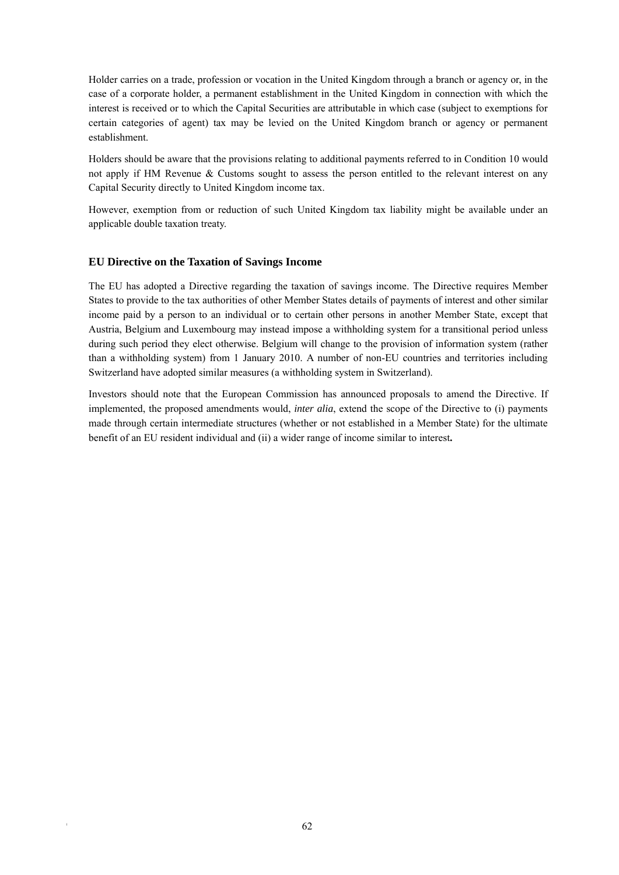Holder carries on a trade, profession or vocation in the United Kingdom through a branch or agency or, in the case of a corporate holder, a permanent establishment in the United Kingdom in connection with which the interest is received or to which the Capital Securities are attributable in which case (subject to exemptions for certain categories of agent) tax may be levied on the United Kingdom branch or agency or permanent establishment.

Holders should be aware that the provisions relating to additional payments referred to in Condition 10 would not apply if HM Revenue & Customs sought to assess the person entitled to the relevant interest on any Capital Security directly to United Kingdom income tax.

However, exemption from or reduction of such United Kingdom tax liability might be available under an applicable double taxation treaty.

# **EU Directive on the Taxation of Savings Income**

The EU has adopted a Directive regarding the taxation of savings income. The Directive requires Member States to provide to the tax authorities of other Member States details of payments of interest and other similar income paid by a person to an individual or to certain other persons in another Member State, except that Austria, Belgium and Luxembourg may instead impose a withholding system for a transitional period unless during such period they elect otherwise. Belgium will change to the provision of information system (rather than a withholding system) from 1 January 2010. A number of non-EU countries and territories including Switzerland have adopted similar measures (a withholding system in Switzerland).

Investors should note that the European Commission has announced proposals to amend the Directive. If implemented, the proposed amendments would, *inter alia*, extend the scope of the Directive to (i) payments made through certain intermediate structures (whether or not established in a Member State) for the ultimate benefit of an EU resident individual and (ii) a wider range of income similar to interest**.**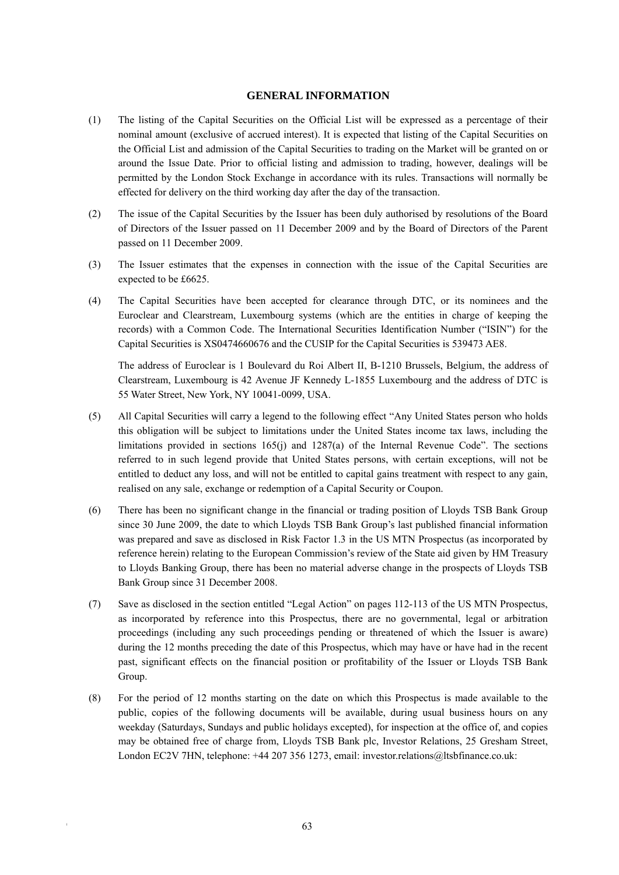#### **GENERAL INFORMATION**

- (1) The listing of the Capital Securities on the Official List will be expressed as a percentage of their nominal amount (exclusive of accrued interest). It is expected that listing of the Capital Securities on the Official List and admission of the Capital Securities to trading on the Market will be granted on or around the Issue Date. Prior to official listing and admission to trading, however, dealings will be permitted by the London Stock Exchange in accordance with its rules. Transactions will normally be effected for delivery on the third working day after the day of the transaction.
- (2) The issue of the Capital Securities by the Issuer has been duly authorised by resolutions of the Board of Directors of the Issuer passed on 11 December 2009 and by the Board of Directors of the Parent passed on 11 December 2009.
- (3) The Issuer estimates that the expenses in connection with the issue of the Capital Securities are expected to be £6625.
- (4) The Capital Securities have been accepted for clearance through DTC, or its nominees and the Euroclear and Clearstream, Luxembourg systems (which are the entities in charge of keeping the records) with a Common Code. The International Securities Identification Number ("ISIN") for the Capital Securities is XS0474660676 and the CUSIP for the Capital Securities is 539473 AE8.

The address of Euroclear is 1 Boulevard du Roi Albert II, B-1210 Brussels, Belgium, the address of Clearstream, Luxembourg is 42 Avenue JF Kennedy L-1855 Luxembourg and the address of DTC is 55 Water Street, New York, NY 10041-0099, USA.

- (5) All Capital Securities will carry a legend to the following effect "Any United States person who holds this obligation will be subject to limitations under the United States income tax laws, including the limitations provided in sections 165(j) and 1287(a) of the Internal Revenue Code". The sections referred to in such legend provide that United States persons, with certain exceptions, will not be entitled to deduct any loss, and will not be entitled to capital gains treatment with respect to any gain, realised on any sale, exchange or redemption of a Capital Security or Coupon.
- (6) There has been no significant change in the financial or trading position of Lloyds TSB Bank Group since 30 June 2009, the date to which Lloyds TSB Bank Group's last published financial information was prepared and save as disclosed in Risk Factor 1.3 in the US MTN Prospectus (as incorporated by reference herein) relating to the European Commission's review of the State aid given by HM Treasury to Lloyds Banking Group, there has been no material adverse change in the prospects of Lloyds TSB Bank Group since 31 December 2008.
- (7) Save as disclosed in the section entitled "Legal Action" on pages 112-113 of the US MTN Prospectus, as incorporated by reference into this Prospectus, there are no governmental, legal or arbitration proceedings (including any such proceedings pending or threatened of which the Issuer is aware) during the 12 months preceding the date of this Prospectus, which may have or have had in the recent past, significant effects on the financial position or profitability of the Issuer or Lloyds TSB Bank Group.
- (8) For the period of 12 months starting on the date on which this Prospectus is made available to the public, copies of the following documents will be available, during usual business hours on any weekday (Saturdays, Sundays and public holidays excepted), for inspection at the office of, and copies may be obtained free of charge from, Lloyds TSB Bank plc, Investor Relations, 25 Gresham Street, London EC2V 7HN, telephone: +44 207 356 1273, email: investor.relations@ltsbfinance.co.uk: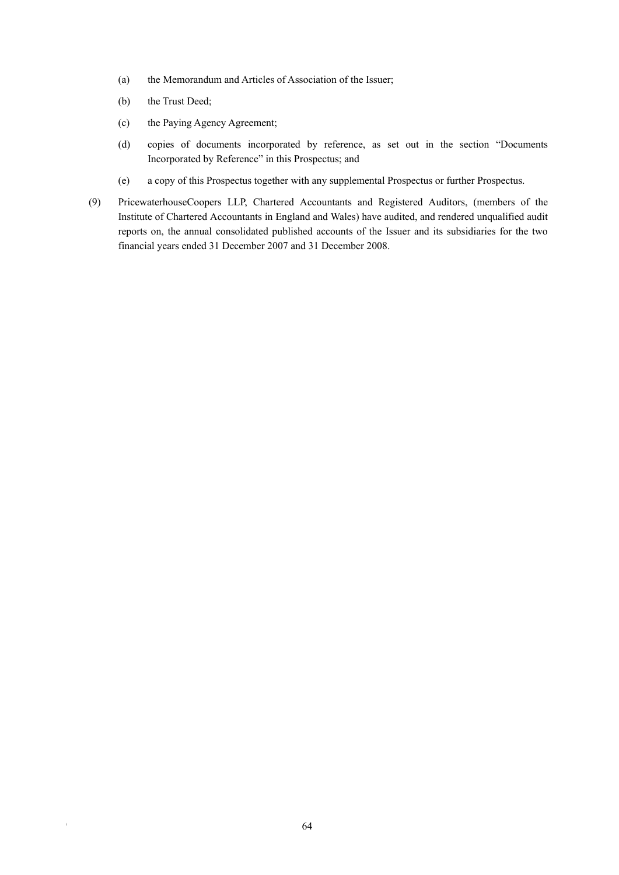- (a) the Memorandum and Articles of Association of the Issuer;
- (b) the Trust Deed;
- (c) the Paying Agency Agreement;
- (d) copies of documents incorporated by reference, as set out in the section "Documents Incorporated by Reference" in this Prospectus; and
- (e) a copy of this Prospectus together with any supplemental Prospectus or further Prospectus.
- (9) PricewaterhouseCoopers LLP, Chartered Accountants and Registered Auditors, (members of the Institute of Chartered Accountants in England and Wales) have audited, and rendered unqualified audit reports on, the annual consolidated published accounts of the Issuer and its subsidiaries for the two financial years ended 31 December 2007 and 31 December 2008.